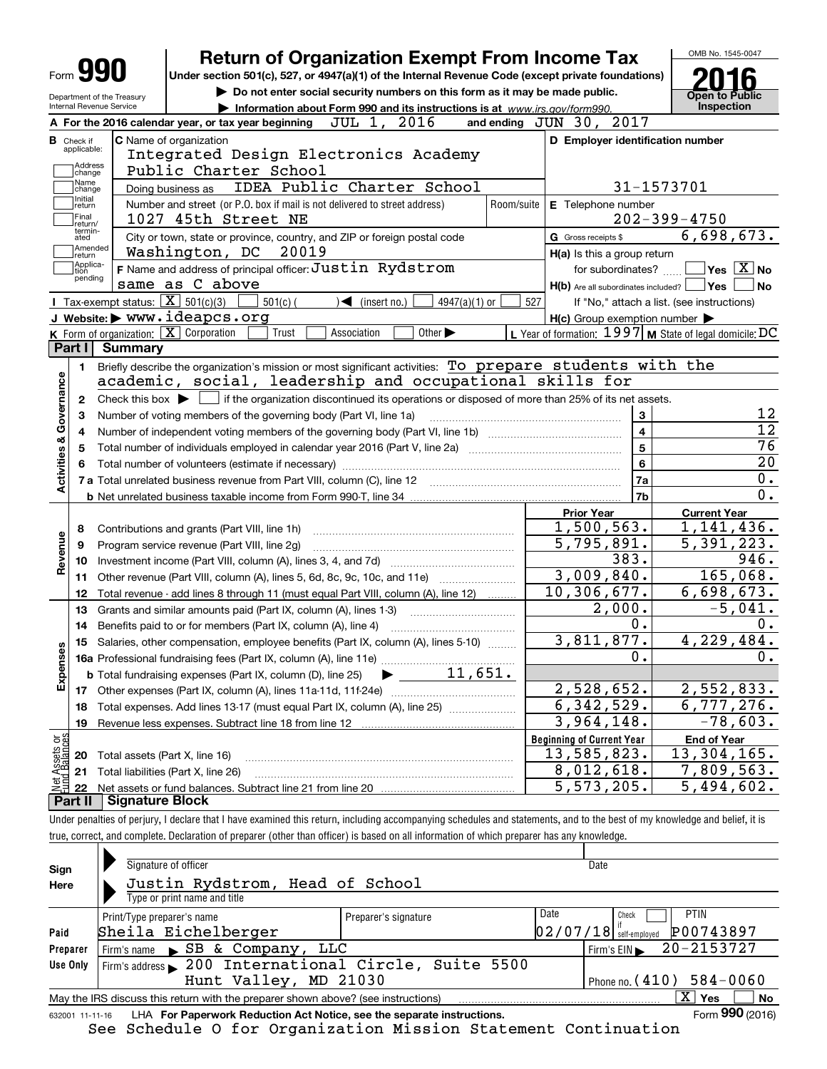|                                       |                | <b>Return of Organization Exempt From Income Tax</b>                                                                                                |            |                                                                   |                                                                             |                 |            |                                                     |                         |            | OMB No. 1545-0047                                         |
|---------------------------------------|----------------|-----------------------------------------------------------------------------------------------------------------------------------------------------|------------|-------------------------------------------------------------------|-----------------------------------------------------------------------------|-----------------|------------|-----------------------------------------------------|-------------------------|------------|-----------------------------------------------------------|
| Form JY                               |                | Under section 501(c), 527, or 4947(a)(1) of the Internal Revenue Code (except private foundations)                                                  |            |                                                                   |                                                                             |                 |            |                                                     |                         |            |                                                           |
| Department of the Treasury            |                |                                                                                                                                                     |            |                                                                   | Do not enter social security numbers on this form as it may be made public. |                 |            |                                                     |                         |            | <b>Open to Public</b>                                     |
| Internal Revenue Service              |                |                                                                                                                                                     |            |                                                                   | Information about Form 990 and its instructions is at www.irs.gov/form990.  |                 |            |                                                     |                         |            | Inspection                                                |
|                                       |                | A For the 2016 calendar year, or tax year beginning                                                                                                 |            | JUL 1, 2016                                                       |                                                                             |                 |            | and ending JUN 30, 2017                             |                         |            |                                                           |
| <b>B</b> Check if<br>applicable:      |                | C Name of organization                                                                                                                              |            |                                                                   |                                                                             |                 |            | D Employer identification number                    |                         |            |                                                           |
|                                       |                | Integrated Design Electronics Academy                                                                                                               |            |                                                                   |                                                                             |                 |            |                                                     |                         |            |                                                           |
| Address<br>change                     |                | Public Charter School                                                                                                                               |            |                                                                   |                                                                             |                 |            |                                                     |                         |            |                                                           |
| Name<br>change                        |                | Doing business as                                                                                                                                   |            |                                                                   | IDEA Public Charter School                                                  |                 |            |                                                     |                         | 31-1573701 |                                                           |
| Initial<br>return                     |                | Number and street (or P.O. box if mail is not delivered to street address)                                                                          |            |                                                                   |                                                                             |                 | Room/suite | E Telephone number                                  |                         |            |                                                           |
| Final<br>return/                      |                | 1027 45th Street NE                                                                                                                                 |            |                                                                   |                                                                             |                 |            |                                                     |                         |            | $202 - 399 - 4750$                                        |
| termin-<br>ated                       |                | City or town, state or province, country, and ZIP or foreign postal code                                                                            |            |                                                                   |                                                                             |                 |            | G Gross receipts \$                                 |                         |            | 6,698,673.                                                |
| Amended<br>return                     |                | Washington, DC                                                                                                                                      | 20019      |                                                                   |                                                                             |                 |            | H(a) Is this a group return                         |                         |            |                                                           |
| Applica-<br>tion                      |                | F Name and address of principal officer: Justin Rydstrom                                                                                            |            |                                                                   |                                                                             |                 |            |                                                     | for subordinates?       |            | $\sqrt{\mathsf{Yes}\mathord{\;\mathbb{X}}\,}$ No          |
| pending                               |                | same as C above                                                                                                                                     |            |                                                                   |                                                                             |                 |            |                                                     |                         |            | $H(b)$ Are all subordinates included? $\Box$ Yes<br>No    |
|                                       |                | Tax-exempt status: $\boxed{\mathbf{X}}$ 501(c)(3)                                                                                                   | $501(c)$ ( | $\sqrt{\frac{1}{1}}$ (insert no.)                                 |                                                                             | $4947(a)(1)$ or | 527        |                                                     |                         |            | If "No," attach a list. (see instructions)                |
|                                       |                | J Website: > www.ideapcs.org                                                                                                                        |            |                                                                   |                                                                             |                 |            | $H(c)$ Group exemption number $\blacktriangleright$ |                         |            |                                                           |
|                                       |                | K Form of organization: X Corporation                                                                                                               | Trust      | Association                                                       | Other $\blacktriangleright$                                                 |                 |            |                                                     |                         |            | L Year of formation: $1997$ M State of legal domicile: DC |
| Part I                                | <b>Summary</b> |                                                                                                                                                     |            |                                                                   |                                                                             |                 |            |                                                     |                         |            |                                                           |
| 1.                                    |                | Briefly describe the organization's mission or most significant activities: To prepare students with the                                            |            |                                                                   |                                                                             |                 |            |                                                     |                         |            |                                                           |
|                                       |                | academic, social, leadership and occupational skills for                                                                                            |            |                                                                   |                                                                             |                 |            |                                                     |                         |            |                                                           |
| 2                                     |                | Check this box $\blacktriangleright$ $\blacksquare$ if the organization discontinued its operations or disposed of more than 25% of its net assets. |            |                                                                   |                                                                             |                 |            |                                                     |                         |            |                                                           |
|                                       |                |                                                                                                                                                     |            |                                                                   |                                                                             |                 |            |                                                     |                         |            |                                                           |
|                                       |                |                                                                                                                                                     |            |                                                                   |                                                                             |                 |            |                                                     |                         |            |                                                           |
| З                                     |                |                                                                                                                                                     |            | Number of voting members of the governing body (Part VI, line 1a) |                                                                             |                 |            |                                                     | 3                       |            |                                                           |
| 4                                     |                |                                                                                                                                                     |            |                                                                   |                                                                             |                 |            |                                                     | $\overline{\mathbf{4}}$ |            |                                                           |
| 5                                     |                |                                                                                                                                                     |            |                                                                   |                                                                             |                 |            |                                                     | 5                       |            |                                                           |
| 6                                     |                | Total number of volunteers (estimate if necessary)                                                                                                  |            |                                                                   |                                                                             |                 |            |                                                     | 6                       |            |                                                           |
| Activities & Governance               |                | 7 a Total unrelated business revenue from Part VIII, column (C), line 12                                                                            |            |                                                                   |                                                                             |                 |            |                                                     | 7a                      |            | $\mathbf 0$ .                                             |
|                                       |                |                                                                                                                                                     |            |                                                                   |                                                                             |                 |            |                                                     | 7 <sub>b</sub>          |            | $\overline{0}$ .                                          |
|                                       |                |                                                                                                                                                     |            |                                                                   |                                                                             |                 |            | <b>Prior Year</b>                                   |                         |            | <b>Current Year</b>                                       |
| 8                                     |                | Contributions and grants (Part VIII, line 1h)                                                                                                       |            |                                                                   |                                                                             |                 |            | 1,500,563.                                          |                         |            | 1,141,436.                                                |
| 9                                     |                | Program service revenue (Part VIII, line 2g)                                                                                                        |            |                                                                   |                                                                             |                 |            | 5,795,891.                                          |                         |            | 5,391,223.                                                |
| 10                                    |                |                                                                                                                                                     |            |                                                                   |                                                                             |                 |            |                                                     | 383.                    |            | 946.                                                      |
| Revenue<br>11                         |                | Other revenue (Part VIII, column (A), lines 5, 6d, 8c, 9c, 10c, and 11e)                                                                            |            |                                                                   |                                                                             |                 |            | 3,009,840.                                          |                         |            | 165,068.                                                  |
| 12                                    |                | Total revenue - add lines 8 through 11 (must equal Part VIII, column (A), line 12)                                                                  |            |                                                                   |                                                                             |                 |            | 10, 306, 677.                                       |                         |            | 6,698,673.                                                |
| 13                                    |                | Grants and similar amounts paid (Part IX, column (A), lines 1-3)                                                                                    |            |                                                                   |                                                                             |                 |            |                                                     | 2,000.                  |            | $-5,041.$                                                 |
| 14                                    |                | Benefits paid to or for members (Part IX, column (A), line 4)                                                                                       |            |                                                                   |                                                                             |                 |            |                                                     | 0.                      |            | 0.                                                        |
|                                       |                | 15 Salaries, other compensation, employee benefits (Part IX, column (A), lines 5-10)                                                                |            |                                                                   |                                                                             |                 |            | 3,811,877.                                          |                         |            | 4,229,484.                                                |
|                                       |                |                                                                                                                                                     |            |                                                                   |                                                                             |                 |            |                                                     | 0.                      |            | 0.                                                        |
| w                                     |                | <b>b</b> Total fundraising expenses (Part IX, column (D), line 25)                                                                                  |            |                                                                   | $\blacktriangleright$ 11,651.                                               |                 |            |                                                     |                         |            |                                                           |
| Expense<br>17                         |                |                                                                                                                                                     |            |                                                                   |                                                                             |                 |            | 2,528,652.                                          |                         |            | 2,552,833.                                                |
| 18                                    |                |                                                                                                                                                     |            |                                                                   |                                                                             |                 |            | 6,342,529.                                          |                         |            | 6,777,276.                                                |
| 19                                    |                | Total expenses. Add lines 13-17 (must equal Part IX, column (A), line 25)                                                                           |            |                                                                   |                                                                             |                 |            | 3,964,148.                                          |                         |            | $\overline{-78}$ , 603.                                   |
|                                       |                |                                                                                                                                                     |            |                                                                   |                                                                             |                 |            |                                                     |                         |            |                                                           |
|                                       |                |                                                                                                                                                     |            |                                                                   |                                                                             |                 |            | <b>Beginning of Current Year</b>                    |                         |            | <b>End of Year</b>                                        |
| 20                                    |                | Total assets (Part X, line 16)                                                                                                                      |            |                                                                   |                                                                             |                 |            | 13,585,823.                                         |                         |            | 13,304,165.                                               |
| t Assets or<br>d Balances<br>21<br>22 |                | Total liabilities (Part X, line 26)                                                                                                                 |            |                                                                   |                                                                             |                 |            | 8,012,618.<br>$\overline{5,573},205.$               |                         |            | 7,809,563.<br>5,494,602.                                  |

| Sign<br>Here | Signature of officer<br>Justin Rydstrom, Head of School<br>Type or print name and title                               |                      |      | Date                                                          |  |  |  |  |  |  |
|--------------|-----------------------------------------------------------------------------------------------------------------------|----------------------|------|---------------------------------------------------------------|--|--|--|--|--|--|
| Paid         | Print/Type preparer's name<br>Sheila Eichelberger                                                                     | Preparer's signature | Date | <b>PTIN</b><br>Check<br>P00743897<br>$02/07/18$ self-employed |  |  |  |  |  |  |
| Preparer     | SB & Company,<br>LLC<br>Firm's name                                                                                   |                      |      | 20-2153727<br>Firm's $EIN$                                    |  |  |  |  |  |  |
| Use Only     | Firm's address 200 International Circle, Suite 5500                                                                   |                      |      |                                                               |  |  |  |  |  |  |
|              | Hunt Valley, MD 21030<br>Phone no. $(410)$ 584-0060                                                                   |                      |      |                                                               |  |  |  |  |  |  |
|              | $\mathbf{X}$<br><b>Yes</b><br>No<br>May the IRS discuss this return with the preparer shown above? (see instructions) |                      |      |                                                               |  |  |  |  |  |  |
|              | Form 990 (2016)<br>LHA For Paperwork Reduction Act Notice, see the separate instructions.<br>632001 11-11-16          |                      |      |                                                               |  |  |  |  |  |  |

See Schedule O for Organization Mission Statement Continuation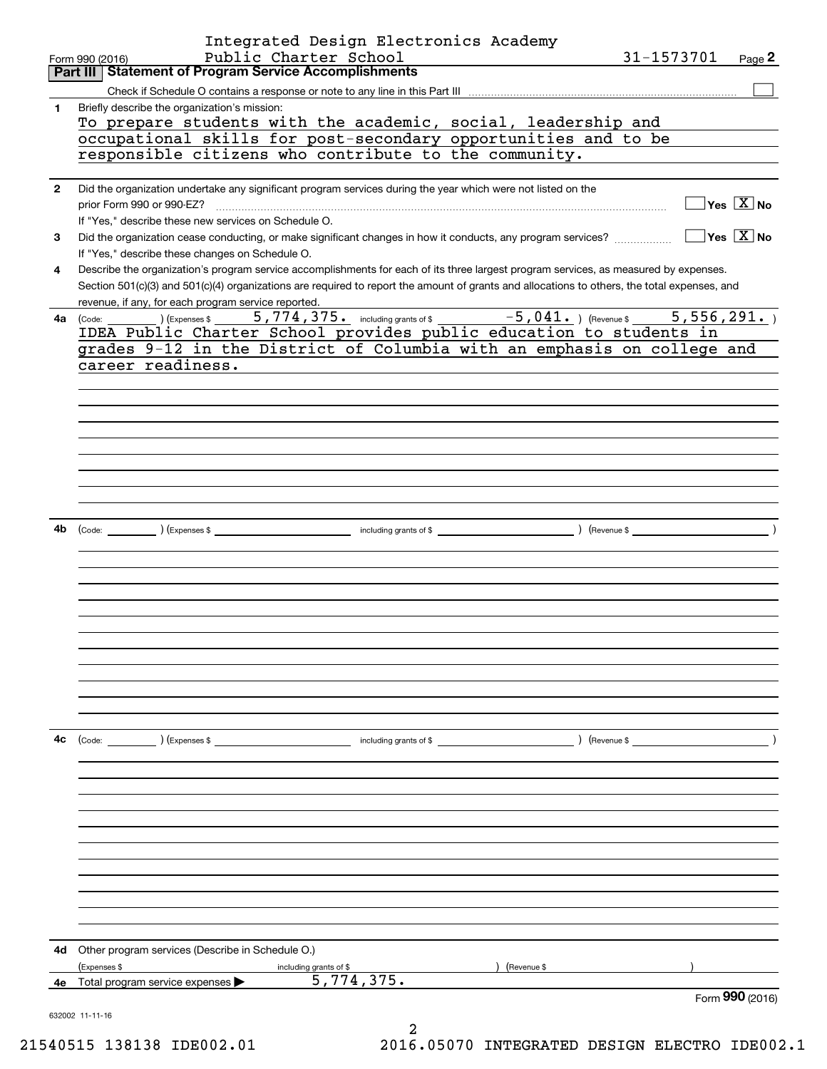|              | Integrated Design Electronics Academy<br>Public Charter School<br>31-1573701                                                                           |
|--------------|--------------------------------------------------------------------------------------------------------------------------------------------------------|
|              | Page 2<br>Form 990 (2016)<br>Part III Statement of Program Service Accomplishments                                                                     |
|              |                                                                                                                                                        |
| 1.           | Briefly describe the organization's mission:                                                                                                           |
|              | To prepare students with the academic, social, leadership and                                                                                          |
|              | occupational skills for post-secondary opportunities and to be                                                                                         |
|              | responsible citizens who contribute to the community.                                                                                                  |
|              |                                                                                                                                                        |
| $\mathbf{2}$ | Did the organization undertake any significant program services during the year which were not listed on the                                           |
|              | $\sqrt{}$ Yes $\sqrt{}$ X $\sqrt{}$ No                                                                                                                 |
|              | If "Yes," describe these new services on Schedule O.                                                                                                   |
| 3            | $\sqrt{}$ Yes $\sqrt{}$ X $\sqrt{}$ No<br>Did the organization cease conducting, or make significant changes in how it conducts, any program services? |
|              | If "Yes," describe these changes on Schedule O.                                                                                                        |
| 4            | Describe the organization's program service accomplishments for each of its three largest program services, as measured by expenses.                   |
|              | Section 501(c)(3) and 501(c)(4) organizations are required to report the amount of grants and allocations to others, the total expenses, and           |
|              | revenue, if any, for each program service reported.                                                                                                    |
|              | 5,774,375. including grants of \$ -5,041. ) (Revenue \$<br>5,556,291.<br>(Expenses \$<br>4a (Code:                                                     |
|              | IDEA Public Charter School provides public education to students in                                                                                    |
|              | grades 9-12 in the District of Columbia with an emphasis on college and                                                                                |
|              | career readiness.                                                                                                                                      |
|              |                                                                                                                                                        |
|              |                                                                                                                                                        |
|              |                                                                                                                                                        |
|              |                                                                                                                                                        |
|              |                                                                                                                                                        |
|              |                                                                                                                                                        |
|              |                                                                                                                                                        |
|              |                                                                                                                                                        |
|              |                                                                                                                                                        |
| 4b           |                                                                                                                                                        |
|              |                                                                                                                                                        |
|              |                                                                                                                                                        |
|              |                                                                                                                                                        |
|              |                                                                                                                                                        |
|              |                                                                                                                                                        |
|              |                                                                                                                                                        |
|              |                                                                                                                                                        |
|              |                                                                                                                                                        |
|              |                                                                                                                                                        |
|              |                                                                                                                                                        |
|              |                                                                                                                                                        |
|              |                                                                                                                                                        |
| 4с           | (Code: ) (Expenses \$<br>) (Revenue \$<br>including grants of \$                                                                                       |
|              |                                                                                                                                                        |
|              |                                                                                                                                                        |
|              |                                                                                                                                                        |
|              |                                                                                                                                                        |
|              |                                                                                                                                                        |
|              |                                                                                                                                                        |
|              |                                                                                                                                                        |
|              |                                                                                                                                                        |
|              |                                                                                                                                                        |
|              |                                                                                                                                                        |
|              |                                                                                                                                                        |
|              |                                                                                                                                                        |
| 4d           | Other program services (Describe in Schedule O.)                                                                                                       |
|              | (Expenses \$<br>(Revenue \$<br>including grants of \$                                                                                                  |
| 4е           | 5,774,375.<br>Total program service expenses                                                                                                           |
|              | Form 990 (2016)                                                                                                                                        |
|              | 632002 11-11-16                                                                                                                                        |
|              |                                                                                                                                                        |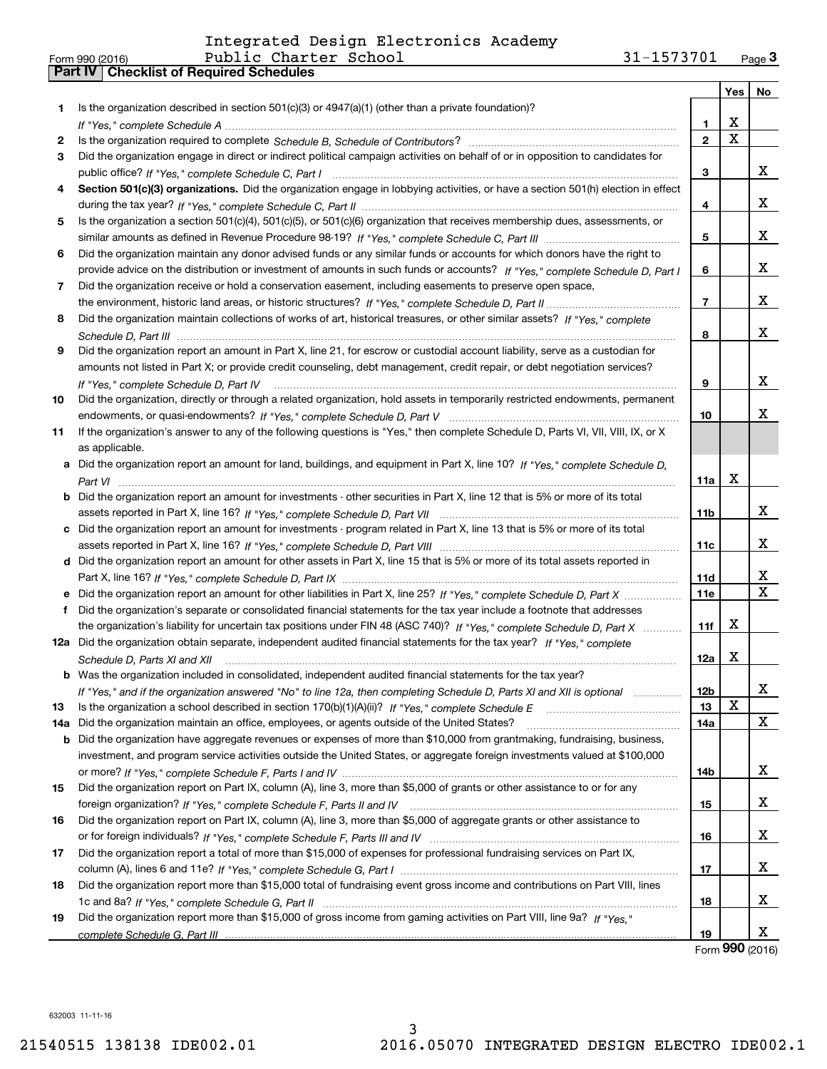|     | 31-1573701<br>Public Charter School<br>Form 990 (2016)                                                                                                                                                                        |                 |             | Page $3$ |
|-----|-------------------------------------------------------------------------------------------------------------------------------------------------------------------------------------------------------------------------------|-----------------|-------------|----------|
|     | Part IV   Checklist of Required Schedules                                                                                                                                                                                     |                 |             |          |
|     |                                                                                                                                                                                                                               |                 | Yes         | No       |
| 1.  | Is the organization described in section $501(c)(3)$ or $4947(a)(1)$ (other than a private foundation)?                                                                                                                       |                 |             |          |
|     |                                                                                                                                                                                                                               | 1.              | X           |          |
| 2   |                                                                                                                                                                                                                               | $\mathbf{2}$    | $\mathbf X$ |          |
| З   | Did the organization engage in direct or indirect political campaign activities on behalf of or in opposition to candidates for                                                                                               |                 |             |          |
|     |                                                                                                                                                                                                                               | 3               |             | x        |
| 4   | Section 501(c)(3) organizations. Did the organization engage in lobbying activities, or have a section 501(h) election in effect                                                                                              |                 |             |          |
|     |                                                                                                                                                                                                                               | 4               |             | x        |
| 5   | Is the organization a section 501(c)(4), 501(c)(5), or 501(c)(6) organization that receives membership dues, assessments, or                                                                                                  |                 |             |          |
|     |                                                                                                                                                                                                                               | 5               |             | x        |
| 6   | Did the organization maintain any donor advised funds or any similar funds or accounts for which donors have the right to                                                                                                     |                 |             |          |
|     | provide advice on the distribution or investment of amounts in such funds or accounts? If "Yes," complete Schedule D, Part I                                                                                                  | 6               |             | x        |
| 7   | Did the organization receive or hold a conservation easement, including easements to preserve open space,                                                                                                                     |                 |             |          |
|     |                                                                                                                                                                                                                               | $\overline{7}$  |             | х        |
| 8   | Did the organization maintain collections of works of art, historical treasures, or other similar assets? If "Yes," complete                                                                                                  |                 |             |          |
|     |                                                                                                                                                                                                                               | 8               |             | x        |
|     | Did the organization report an amount in Part X, line 21, for escrow or custodial account liability, serve as a custodian for                                                                                                 |                 |             |          |
| 9   | amounts not listed in Part X; or provide credit counseling, debt management, credit repair, or debt negotiation services?                                                                                                     |                 |             |          |
|     |                                                                                                                                                                                                                               |                 |             | x        |
|     |                                                                                                                                                                                                                               | 9               |             |          |
| 10  | Did the organization, directly or through a related organization, hold assets in temporarily restricted endowments, permanent                                                                                                 |                 |             | X        |
|     |                                                                                                                                                                                                                               | 10              |             |          |
| 11  | If the organization's answer to any of the following questions is "Yes," then complete Schedule D, Parts VI, VII, VIII, IX, or X                                                                                              |                 |             |          |
|     | as applicable.                                                                                                                                                                                                                |                 |             |          |
|     | a Did the organization report an amount for land, buildings, and equipment in Part X, line 10? If "Yes." complete Schedule D.                                                                                                 |                 |             |          |
|     |                                                                                                                                                                                                                               | 11a             | X           |          |
|     | <b>b</b> Did the organization report an amount for investments - other securities in Part X, line 12 that is 5% or more of its total                                                                                          |                 |             |          |
|     |                                                                                                                                                                                                                               | 11 <sub>b</sub> |             | x        |
|     | c Did the organization report an amount for investments - program related in Part X, line 13 that is 5% or more of its total                                                                                                  |                 |             |          |
|     |                                                                                                                                                                                                                               | 11c             |             | x        |
|     | d Did the organization report an amount for other assets in Part X, line 15 that is 5% or more of its total assets reported in                                                                                                |                 |             |          |
|     |                                                                                                                                                                                                                               | 11d             |             | x        |
|     |                                                                                                                                                                                                                               | <b>11e</b>      |             | X        |
| f   | Did the organization's separate or consolidated financial statements for the tax year include a footnote that addresses                                                                                                       |                 |             |          |
|     | the organization's liability for uncertain tax positions under FIN 48 (ASC 740)? If "Yes," complete Schedule D, Part X                                                                                                        | 11f             | X           |          |
|     | 12a Did the organization obtain separate, independent audited financial statements for the tax year? If "Yes," complete                                                                                                       |                 |             |          |
|     | Schedule D, Parts XI and XII manufacture and the content of the content of the content of the content of the content of the content of the content of the content of the content of the content of the content of the content | 12a             | Χ           |          |
|     | <b>b</b> Was the organization included in consolidated, independent audited financial statements for the tax year?                                                                                                            |                 |             |          |
|     | If "Yes," and if the organization answered "No" to line 12a, then completing Schedule D, Parts XI and XII is optional                                                                                                         | 12b             |             | x        |
| 13  |                                                                                                                                                                                                                               | 13              | $\mathbf X$ |          |
| 14a | Did the organization maintain an office, employees, or agents outside of the United States?                                                                                                                                   | 14a             |             | X        |
|     | b Did the organization have aggregate revenues or expenses of more than \$10,000 from grantmaking, fundraising, business,                                                                                                     |                 |             |          |
|     | investment, and program service activities outside the United States, or aggregate foreign investments valued at \$100,000                                                                                                    |                 |             |          |
|     |                                                                                                                                                                                                                               | 14b             |             | x        |
| 15  | Did the organization report on Part IX, column (A), line 3, more than \$5,000 of grants or other assistance to or for any                                                                                                     |                 |             |          |
|     |                                                                                                                                                                                                                               | 15              |             | x        |
| 16  | Did the organization report on Part IX, column (A), line 3, more than \$5,000 of aggregate grants or other assistance to                                                                                                      |                 |             |          |
|     |                                                                                                                                                                                                                               | 16              |             | x        |
| 17  | Did the organization report a total of more than \$15,000 of expenses for professional fundraising services on Part IX,                                                                                                       |                 |             |          |
|     |                                                                                                                                                                                                                               | 17              |             | x        |
|     | Did the organization report more than \$15,000 total of fundraising event gross income and contributions on Part VIII, lines                                                                                                  |                 |             |          |
| 18  |                                                                                                                                                                                                                               |                 |             | x        |
|     |                                                                                                                                                                                                                               | 18              |             |          |
| 19  | Did the organization report more than \$15,000 of gross income from gaming activities on Part VIII, line 9a? If "Yes."                                                                                                        |                 |             |          |
|     |                                                                                                                                                                                                                               | 19              |             | x        |

Form (2016) **990**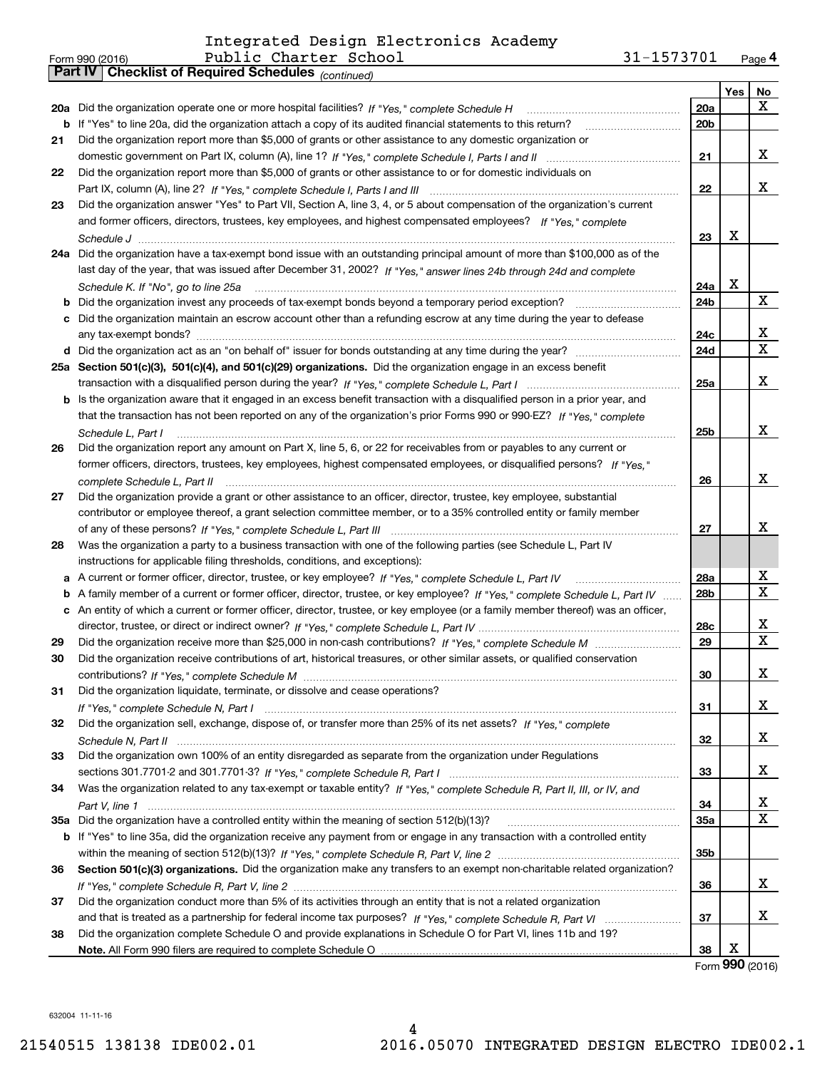|    | Public Charter School<br>Form 990 (2016)                                                                                          | 31-1573701      |     | Page 4          |
|----|-----------------------------------------------------------------------------------------------------------------------------------|-----------------|-----|-----------------|
|    | Part IV   Checklist of Required Schedules (continued)                                                                             |                 |     |                 |
|    |                                                                                                                                   |                 | Yes | No              |
|    |                                                                                                                                   | 20a             |     | x               |
|    | b If "Yes" to line 20a, did the organization attach a copy of its audited financial statements to this return?                    | 20 <sub>b</sub> |     |                 |
| 21 | Did the organization report more than \$5,000 of grants or other assistance to any domestic organization or                       |                 |     |                 |
|    |                                                                                                                                   | 21              |     | x               |
| 22 | Did the organization report more than \$5,000 of grants or other assistance to or for domestic individuals on                     |                 |     |                 |
|    |                                                                                                                                   | 22              |     | x               |
|    |                                                                                                                                   |                 |     |                 |
| 23 | Did the organization answer "Yes" to Part VII, Section A, line 3, 4, or 5 about compensation of the organization's current        |                 |     |                 |
|    | and former officers, directors, trustees, key employees, and highest compensated employees? If "Yes," complete                    |                 | X   |                 |
|    |                                                                                                                                   | 23              |     |                 |
|    | 24a Did the organization have a tax-exempt bond issue with an outstanding principal amount of more than \$100,000 as of the       |                 |     |                 |
|    | last day of the year, that was issued after December 31, 2002? If "Yes," answer lines 24b through 24d and complete                |                 |     |                 |
|    | Schedule K. If "No", go to line 25a                                                                                               | 24a             | X   |                 |
|    |                                                                                                                                   | 24b             |     | X               |
|    | c Did the organization maintain an escrow account other than a refunding escrow at any time during the year to defease            |                 |     |                 |
|    |                                                                                                                                   | 24c             |     | x               |
|    |                                                                                                                                   | 24d             |     | $\mathbf X$     |
|    | 25a Section 501(c)(3), 501(c)(4), and 501(c)(29) organizations. Did the organization engage in an excess benefit                  |                 |     |                 |
|    |                                                                                                                                   | 25a             |     | x               |
|    | b Is the organization aware that it engaged in an excess benefit transaction with a disqualified person in a prior year, and      |                 |     |                 |
|    | that the transaction has not been reported on any of the organization's prior Forms 990 or 990-EZ? If "Yes," complete             |                 |     |                 |
|    |                                                                                                                                   |                 |     | x               |
|    | Schedule L. Part I                                                                                                                | 25b             |     |                 |
| 26 | Did the organization report any amount on Part X, line 5, 6, or 22 for receivables from or payables to any current or             |                 |     |                 |
|    | former officers, directors, trustees, key employees, highest compensated employees, or disqualified persons? If "Yes."            |                 |     |                 |
|    |                                                                                                                                   | 26              |     | x               |
| 27 | Did the organization provide a grant or other assistance to an officer, director, trustee, key employee, substantial              |                 |     |                 |
|    | contributor or employee thereof, a grant selection committee member, or to a 35% controlled entity or family member               |                 |     |                 |
|    |                                                                                                                                   | 27              |     | x               |
| 28 | Was the organization a party to a business transaction with one of the following parties (see Schedule L, Part IV                 |                 |     |                 |
|    | instructions for applicable filing thresholds, conditions, and exceptions):                                                       |                 |     |                 |
|    |                                                                                                                                   | 28a             |     | x               |
|    | b A family member of a current or former officer, director, trustee, or key employee? If "Yes," complete Schedule L, Part IV      | 28 <sub>b</sub> |     | X               |
|    | c An entity of which a current or former officer, director, trustee, or key employee (or a family member thereof) was an officer, |                 |     |                 |
|    |                                                                                                                                   | 28c             |     | x               |
| 29 |                                                                                                                                   | 29              |     | X               |
|    | Did the organization receive contributions of art, historical treasures, or other similar assets, or qualified conservation       |                 |     |                 |
|    |                                                                                                                                   |                 |     | X               |
|    |                                                                                                                                   | 30              |     |                 |
| 31 | Did the organization liquidate, terminate, or dissolve and cease operations?                                                      |                 |     |                 |
|    |                                                                                                                                   | 31              |     | x               |
| 32 | Did the organization sell, exchange, dispose of, or transfer more than 25% of its net assets? If "Yes," complete                  |                 |     |                 |
|    |                                                                                                                                   | 32              |     | x               |
| 33 | Did the organization own 100% of an entity disregarded as separate from the organization under Regulations                        |                 |     |                 |
|    |                                                                                                                                   | 33              |     | x               |
| 34 | Was the organization related to any tax-exempt or taxable entity? If "Yes," complete Schedule R, Part II, III, or IV, and         |                 |     |                 |
|    |                                                                                                                                   | 34              |     | x               |
|    |                                                                                                                                   | <b>35a</b>      |     | X               |
|    | b If "Yes" to line 35a, did the organization receive any payment from or engage in any transaction with a controlled entity       |                 |     |                 |
|    |                                                                                                                                   | 35b             |     |                 |
| 36 | Section 501(c)(3) organizations. Did the organization make any transfers to an exempt non-charitable related organization?        |                 |     |                 |
|    |                                                                                                                                   | 36              |     | x               |
|    |                                                                                                                                   |                 |     |                 |
| 37 | Did the organization conduct more than 5% of its activities through an entity that is not a related organization                  |                 |     |                 |
|    |                                                                                                                                   | 37              |     | x               |
| 38 | Did the organization complete Schedule O and provide explanations in Schedule O for Part VI, lines 11b and 19?                    |                 |     |                 |
|    |                                                                                                                                   | 38              | х   |                 |
|    |                                                                                                                                   |                 |     | Form 990 (2016) |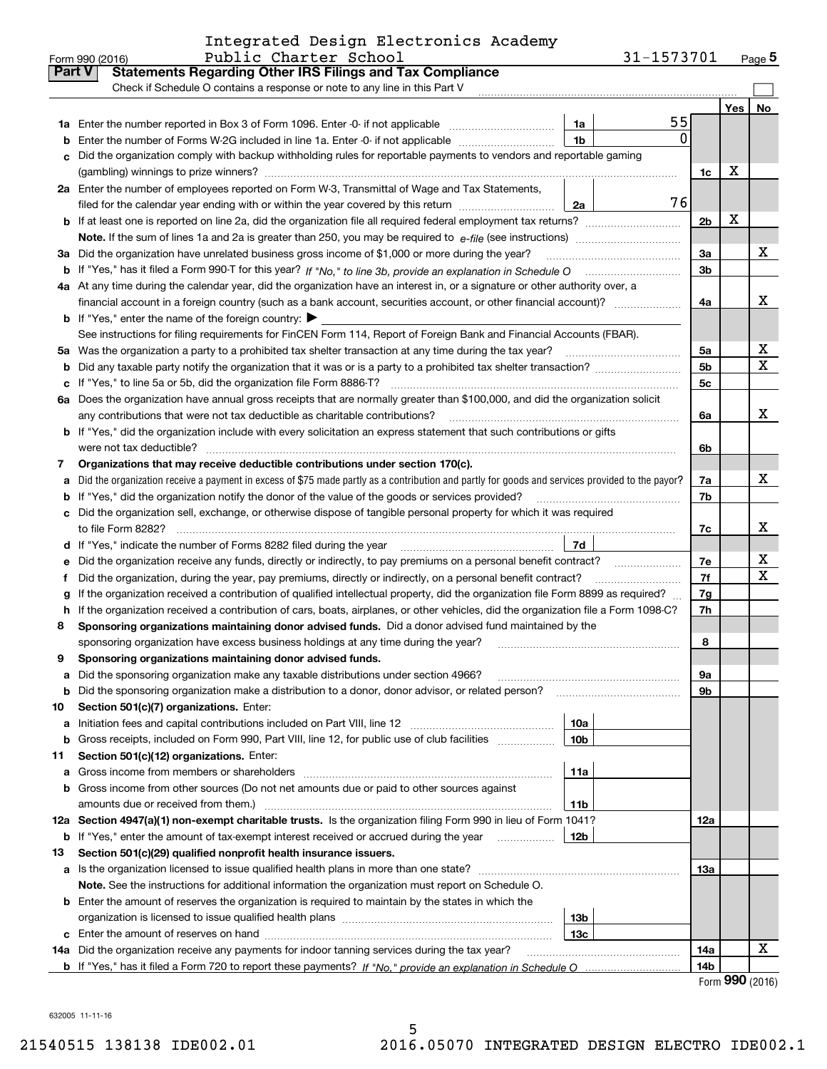| Integrated Design Electronics Academy |  |  |
|---------------------------------------|--|--|
|                                       |  |  |

|               | Public Charter School<br>Form 990 (2016)                                                                                                                   |                 | 31-1573701 |                |     | Page $5$ |
|---------------|------------------------------------------------------------------------------------------------------------------------------------------------------------|-----------------|------------|----------------|-----|----------|
| <b>Part V</b> | <b>Statements Regarding Other IRS Filings and Tax Compliance</b>                                                                                           |                 |            |                |     |          |
|               | Check if Schedule O contains a response or note to any line in this Part V                                                                                 |                 |            |                |     |          |
|               |                                                                                                                                                            |                 |            |                | Yes | No       |
|               |                                                                                                                                                            | 1a              | 55         |                |     |          |
| b             | Enter the number of Forms W-2G included in line 1a. Enter -0- if not applicable                                                                            | 1 <sub>b</sub>  | 0          |                |     |          |
| c.            | Did the organization comply with backup withholding rules for reportable payments to vendors and reportable gaming                                         |                 |            |                |     |          |
|               |                                                                                                                                                            |                 |            | 1c             | х   |          |
|               | 2a Enter the number of employees reported on Form W-3, Transmittal of Wage and Tax Statements,                                                             |                 |            |                |     |          |
|               | filed for the calendar year ending with or within the year covered by this return                                                                          | 2a              | 76         |                |     |          |
|               |                                                                                                                                                            |                 |            | 2 <sub>b</sub> | X   |          |
|               |                                                                                                                                                            |                 |            |                |     |          |
|               | 3a Did the organization have unrelated business gross income of \$1,000 or more during the year?                                                           |                 |            | 3a             |     | х        |
|               |                                                                                                                                                            |                 |            | 3 <sub>b</sub> |     |          |
|               | 4a At any time during the calendar year, did the organization have an interest in, or a signature or other authority over, a                               |                 |            |                |     |          |
|               |                                                                                                                                                            |                 |            | 4a             |     | x        |
|               | <b>b</b> If "Yes," enter the name of the foreign country: $\blacktriangleright$                                                                            |                 |            |                |     |          |
|               | See instructions for filing requirements for FinCEN Form 114, Report of Foreign Bank and Financial Accounts (FBAR).                                        |                 |            |                |     |          |
|               | 5a Was the organization a party to a prohibited tax shelter transaction at any time during the tax year?                                                   |                 |            | 5a             |     | х        |
| b             |                                                                                                                                                            |                 |            | 5 <sub>b</sub> |     | х        |
| c             | If "Yes," to line 5a or 5b, did the organization file Form 8886-T?                                                                                         |                 |            | 5c             |     |          |
|               | 6a Does the organization have annual gross receipts that are normally greater than \$100,000, and did the organization solicit                             |                 |            |                |     |          |
|               | any contributions that were not tax deductible as charitable contributions?                                                                                |                 |            | 6a             |     | x        |
|               | <b>b</b> If "Yes," did the organization include with every solicitation an express statement that such contributions or gifts                              |                 |            |                |     |          |
|               | were not tax deductible?                                                                                                                                   |                 |            | 6b             |     |          |
| 7             | Organizations that may receive deductible contributions under section 170(c).                                                                              |                 |            |                |     |          |
| a             | Did the organization receive a payment in excess of \$75 made partly as a contribution and partly for goods and services provided to the payor?            |                 |            | 7a             |     | x        |
| b             | If "Yes," did the organization notify the donor of the value of the goods or services provided?                                                            |                 |            | 7b             |     |          |
| c             | Did the organization sell, exchange, or otherwise dispose of tangible personal property for which it was required                                          |                 |            |                |     |          |
|               |                                                                                                                                                            |                 |            | 7c             |     | x        |
| d             | If "Yes," indicate the number of Forms 8282 filed during the year manufactured in the number of Forms 8282 filed during the year                           | 7d              |            |                |     |          |
| е             | Did the organization receive any funds, directly or indirectly, to pay premiums on a personal benefit contract?                                            |                 |            | 7e             |     | х        |
| f             | Did the organization, during the year, pay premiums, directly or indirectly, on a personal benefit contract?                                               |                 |            | 7f             |     | x        |
| g             | If the organization received a contribution of qualified intellectual property, did the organization file Form 8899 as required?                           |                 |            | 7g             |     |          |
| h.            | If the organization received a contribution of cars, boats, airplanes, or other vehicles, did the organization file a Form 1098-C?                         |                 |            | 7h             |     |          |
| 8             | Sponsoring organizations maintaining donor advised funds. Did a donor advised fund maintained by the                                                       |                 |            |                |     |          |
|               | sponsoring organization have excess business holdings at any time during the year?                                                                         |                 |            | 8              |     |          |
|               | Sponsoring organizations maintaining donor advised funds.                                                                                                  |                 |            |                |     |          |
| а             | Did the sponsoring organization make any taxable distributions under section 4966?                                                                         |                 |            | 9a             |     |          |
| b             | Did the sponsoring organization make a distribution to a donor, donor advisor, or related person?                                                          |                 |            | 9b             |     |          |
| 10            | Section 501(c)(7) organizations. Enter:                                                                                                                    |                 |            |                |     |          |
| а             | Initiation fees and capital contributions included on Part VIII, line 12 <i>manuarrouus</i> manuations of the lates                                        | 10a             |            |                |     |          |
| b             | Gross receipts, included on Form 990, Part VIII, line 12, for public use of club facilities                                                                | 10 <sub>b</sub> |            |                |     |          |
| 11            | Section 501(c)(12) organizations. Enter:                                                                                                                   |                 |            |                |     |          |
| а             | Gross income from members or shareholders                                                                                                                  | 11a             |            |                |     |          |
| b             | Gross income from other sources (Do not net amounts due or paid to other sources against                                                                   |                 |            |                |     |          |
|               | amounts due or received from them.)<br>12a Section 4947(a)(1) non-exempt charitable trusts. Is the organization filing Form 990 in lieu of Form 1041?      | 11b             |            |                |     |          |
|               |                                                                                                                                                            | 12 <sub>b</sub> |            | 12a            |     |          |
|               | <b>b</b> If "Yes," enter the amount of tax-exempt interest received or accrued during the year<br>.                                                        |                 |            |                |     |          |
| 13            | Section 501(c)(29) qualified nonprofit health insurance issuers.<br>a Is the organization licensed to issue qualified health plans in more than one state? |                 |            | 13a            |     |          |
|               | Note. See the instructions for additional information the organization must report on Schedule O.                                                          |                 |            |                |     |          |
|               | <b>b</b> Enter the amount of reserves the organization is required to maintain by the states in which the                                                  |                 |            |                |     |          |
|               |                                                                                                                                                            | 13b             |            |                |     |          |
|               |                                                                                                                                                            | 13c             |            |                |     |          |
|               | 14a Did the organization receive any payments for indoor tanning services during the tax year?                                                             |                 |            | 14a            |     | х        |
|               |                                                                                                                                                            |                 |            | 14b            |     |          |
|               |                                                                                                                                                            |                 |            |                |     |          |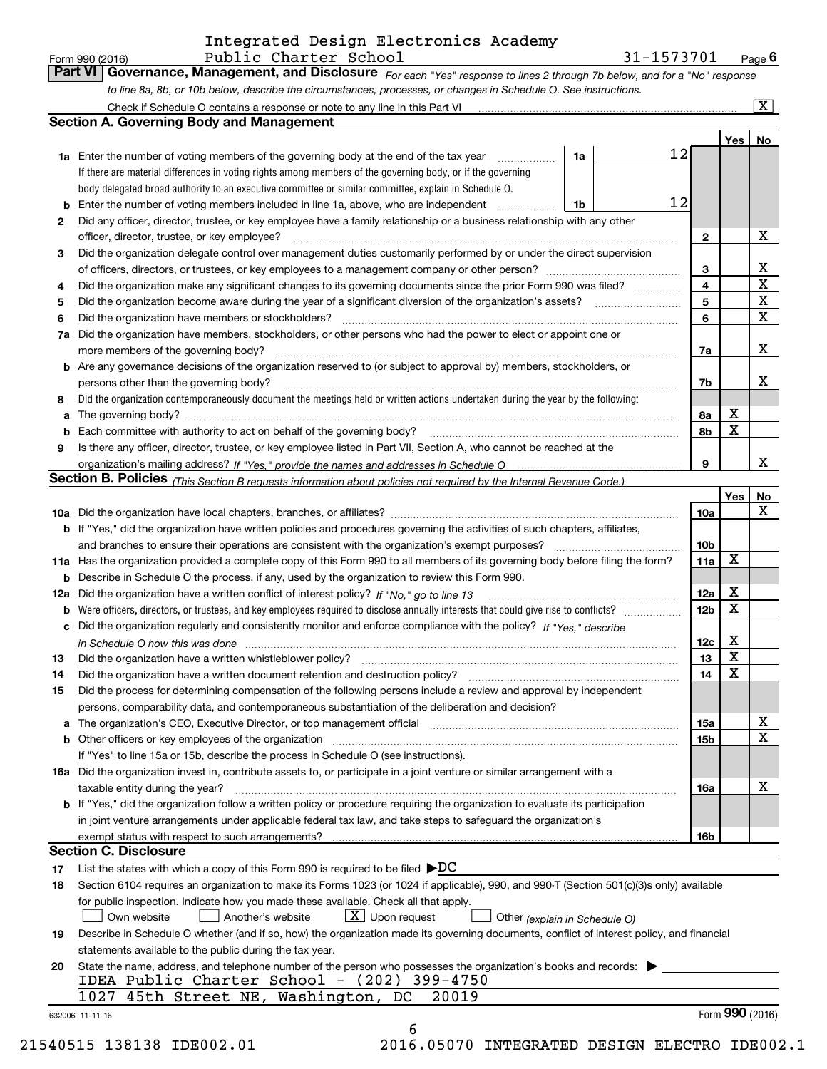| Form 990 (2016) | Public Charter School                                                                                                         | 31-1573701 | $P_{\text{aqe}}$ 6 |
|-----------------|-------------------------------------------------------------------------------------------------------------------------------|------------|--------------------|
|                 | Part VI   Governance, Management, and Disclosure For each "Yes" response to lines 2 through 7b below, and for a "No" response |            |                    |
|                 | to line 8a, 8b, or 10b below, describe the circumstances, processes, or changes in Schedule O. See instructions.              |            |                    |

|     | Check if Schedule O contains a response or note to any line in this Part VI                                                                                           |    |    |                 |                 | $ {\bf X} $ |
|-----|-----------------------------------------------------------------------------------------------------------------------------------------------------------------------|----|----|-----------------|-----------------|-------------|
|     | Section A. Governing Body and Management                                                                                                                              |    |    |                 |                 |             |
|     |                                                                                                                                                                       |    |    |                 | Yes             | No          |
|     | <b>1a</b> Enter the number of voting members of the governing body at the end of the tax year                                                                         | 1a | 12 |                 |                 |             |
|     | If there are material differences in voting rights among members of the governing body, or if the governing                                                           |    |    |                 |                 |             |
|     | body delegated broad authority to an executive committee or similar committee, explain in Schedule O.                                                                 |    |    |                 |                 |             |
| b   | Enter the number of voting members included in line 1a, above, who are independent                                                                                    | 1b | 12 |                 |                 |             |
| 2   | Did any officer, director, trustee, or key employee have a family relationship or a business relationship with any other                                              |    |    |                 |                 |             |
|     | officer, director, trustee, or key employee?                                                                                                                          |    |    | $\mathbf{2}$    |                 | X           |
| 3   | Did the organization delegate control over management duties customarily performed by or under the direct supervision                                                 |    |    |                 |                 |             |
|     |                                                                                                                                                                       |    |    | 3               |                 | X           |
| 4   | Did the organization make any significant changes to its governing documents since the prior Form 990 was filed?                                                      |    |    | $\overline{4}$  |                 | $\mathbf X$ |
| 5   | Did the organization become aware during the year of a significant diversion of the organization's assets? <i>manageranian</i> entity                                 |    |    | 5               |                 | X           |
| 6   | Did the organization have members or stockholders?                                                                                                                    |    |    | 6               |                 | X           |
| 7a  | Did the organization have members, stockholders, or other persons who had the power to elect or appoint one or                                                        |    |    |                 |                 |             |
|     | more members of the governing body?                                                                                                                                   |    |    | 7a              |                 | X           |
|     | <b>b</b> Are any governance decisions of the organization reserved to (or subject to approval by) members, stockholders, or                                           |    |    |                 |                 |             |
|     |                                                                                                                                                                       |    |    |                 |                 | x           |
|     | persons other than the governing body?                                                                                                                                |    |    | 7b              |                 |             |
| 8   | Did the organization contemporaneously document the meetings held or written actions undertaken during the year by the following:                                     |    |    |                 | X               |             |
| a   |                                                                                                                                                                       |    |    | 8а              | X               |             |
| b   | Each committee with authority to act on behalf of the governing body?                                                                                                 |    |    | 8b              |                 |             |
| 9   | Is there any officer, director, trustee, or key employee listed in Part VII, Section A, who cannot be reached at the                                                  |    |    |                 |                 |             |
|     |                                                                                                                                                                       |    |    | 9               |                 | X.          |
|     | <b>Section B. Policies</b> (This Section B requests information about policies not required by the Internal Revenue Code.)                                            |    |    |                 |                 |             |
|     |                                                                                                                                                                       |    |    |                 | Yes             | No          |
|     |                                                                                                                                                                       |    |    | 10a             |                 | X           |
|     | <b>b</b> If "Yes," did the organization have written policies and procedures governing the activities of such chapters, affiliates,                                   |    |    |                 |                 |             |
|     | and branches to ensure their operations are consistent with the organization's exempt purposes?                                                                       |    |    | 10 <sub>b</sub> |                 |             |
|     | 11a Has the organization provided a complete copy of this Form 990 to all members of its governing body before filing the form?                                       |    |    | 11a             | X               |             |
| b   | Describe in Schedule O the process, if any, used by the organization to review this Form 990.                                                                         |    |    |                 |                 |             |
| 12a | Did the organization have a written conflict of interest policy? If "No," go to line 13                                                                               |    |    | 12a             | X               |             |
| b   |                                                                                                                                                                       |    |    | 12 <sub>b</sub> | X               |             |
| с   | Did the organization regularly and consistently monitor and enforce compliance with the policy? If "Yes." describe                                                    |    |    |                 |                 |             |
|     | in Schedule O how this was done measured and contain an account of the state of the state of the state of the                                                         |    |    | 12c             | X               |             |
| 13  | Did the organization have a written whistleblower policy?                                                                                                             |    |    | 13              | X               |             |
| 14  | Did the organization have a written document retention and destruction policy?                                                                                        |    |    | 14              | X               |             |
| 15  | Did the process for determining compensation of the following persons include a review and approval by independent                                                    |    |    |                 |                 |             |
|     | persons, comparability data, and contemporaneous substantiation of the deliberation and decision?                                                                     |    |    |                 |                 |             |
| а   | The organization's CEO, Executive Director, or top management official manufactured content of the organization's CEO, Executive Director, or top management official |    |    | 15a             |                 | х           |
|     | Other officers or key employees of the organization                                                                                                                   |    |    | 15 <sub>b</sub> |                 | X           |
|     | If "Yes" to line 15a or 15b, describe the process in Schedule O (see instructions).                                                                                   |    |    |                 |                 |             |
|     | 16a Did the organization invest in, contribute assets to, or participate in a joint venture or similar arrangement with a                                             |    |    |                 |                 |             |
|     | taxable entity during the year?                                                                                                                                       |    |    | 16a             |                 | X           |
|     | b If "Yes," did the organization follow a written policy or procedure requiring the organization to evaluate its participation                                        |    |    |                 |                 |             |
|     | in joint venture arrangements under applicable federal tax law, and take steps to safeguard the organization's                                                        |    |    |                 |                 |             |
|     | exempt status with respect to such arrangements?                                                                                                                      |    |    | 16b             |                 |             |
|     | <b>Section C. Disclosure</b>                                                                                                                                          |    |    |                 |                 |             |
| 17  | List the states with which a copy of this Form 990 is required to be filed $\blacktriangleright$ DC                                                                   |    |    |                 |                 |             |
| 18  | Section 6104 requires an organization to make its Forms 1023 (or 1024 if applicable), 990, and 990-T (Section 501(c)(3)s only) available                              |    |    |                 |                 |             |
|     | for public inspection. Indicate how you made these available. Check all that apply.                                                                                   |    |    |                 |                 |             |
|     | $X$ Upon request<br>Another's website<br>Own website<br>Other (explain in Schedule O)                                                                                 |    |    |                 |                 |             |
| 19  | Describe in Schedule O whether (and if so, how) the organization made its governing documents, conflict of interest policy, and financial                             |    |    |                 |                 |             |
|     | statements available to the public during the tax year.                                                                                                               |    |    |                 |                 |             |
|     | State the name, address, and telephone number of the person who possesses the organization's books and records:                                                       |    |    |                 |                 |             |
| 20  | IDEA Public Charter School - (202) 399-4750                                                                                                                           |    |    |                 |                 |             |
|     | 1027 45th Street NE, Washington, DC<br>20019                                                                                                                          |    |    |                 |                 |             |
|     |                                                                                                                                                                       |    |    |                 | Form 990 (2016) |             |
|     | 632006 11-11-16                                                                                                                                                       |    |    |                 |                 |             |
|     | 6                                                                                                                                                                     |    |    |                 |                 |             |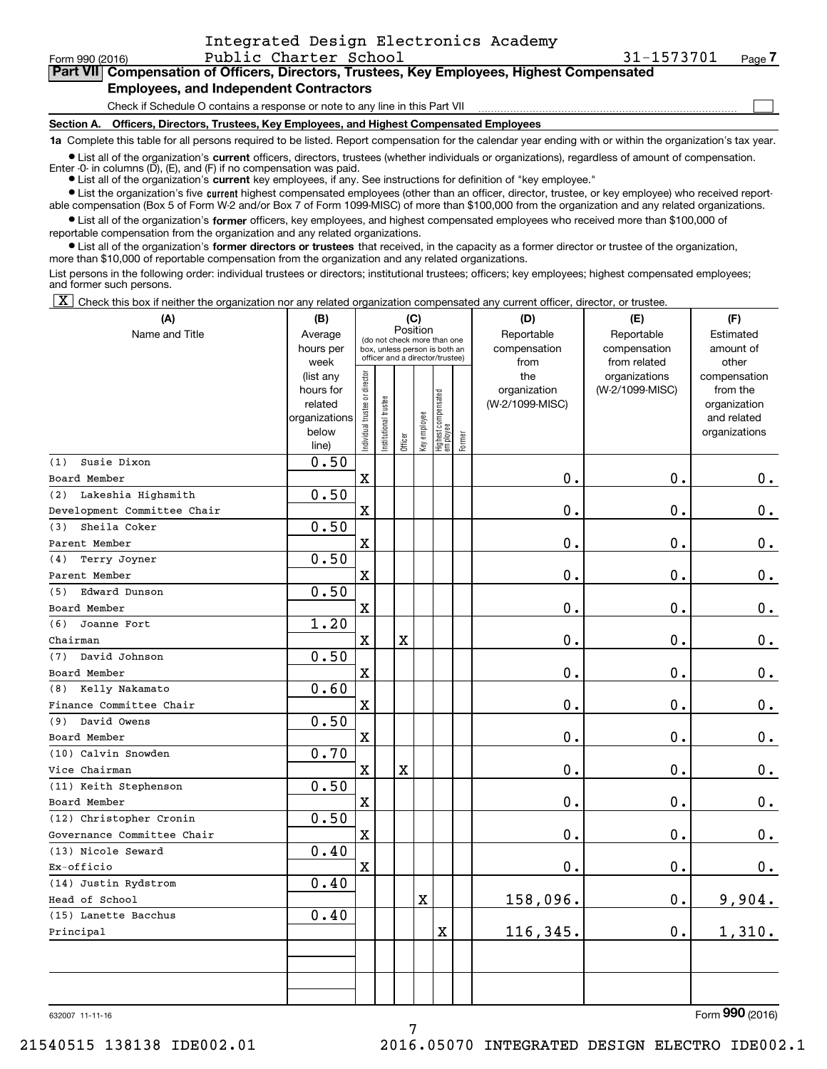| Form 990 (2016)                                                                            | Public Charter School                                                           | 31-1573701 | Page / |  |  |  |  |  |  |
|--------------------------------------------------------------------------------------------|---------------------------------------------------------------------------------|------------|--------|--|--|--|--|--|--|
| Part VII Compensation of Officers, Directors, Trustees, Key Employees, Highest Compensated |                                                                                 |            |        |  |  |  |  |  |  |
| <b>Employees, and Independent Contractors</b>                                              |                                                                                 |            |        |  |  |  |  |  |  |
|                                                                                            | Check if Schedule O contains a response or note to any line in this Part VII    |            |        |  |  |  |  |  |  |
| Section A.                                                                                 | Officers, Directors, Trustees, Key Employees, and Highest Compensated Employees |            |        |  |  |  |  |  |  |

**1a**  Complete this table for all persons required to be listed. Report compensation for the calendar year ending with or within the organization's tax year.

**•** List all of the organization's current officers, directors, trustees (whether individuals or organizations), regardless of amount of compensation. Enter -0- in columns  $(D)$ ,  $(E)$ , and  $(F)$  if no compensation was paid.

● List all of the organization's **current** key employees, if any. See instructions for definition of "key employee."

**•** List the organization's five current highest compensated employees (other than an officer, director, trustee, or key employee) who received reportable compensation (Box 5 of Form W-2 and/or Box 7 of Form 1099-MISC) of more than \$100,000 from the organization and any related organizations.

 $\bullet$  List all of the organization's **former** officers, key employees, and highest compensated employees who received more than \$100,000 of reportable compensation from the organization and any related organizations.

**•** List all of the organization's former directors or trustees that received, in the capacity as a former director or trustee of the organization, more than \$10,000 of reportable compensation from the organization and any related organizations.

List persons in the following order: individual trustees or directors; institutional trustees; officers; key employees; highest compensated employees; and former such persons.

 $\boxed{\textbf{X}}$  Check this box if neither the organization nor any related organization compensated any current officer, director, or trustee.

| (A)                         | (B)                                                |                               |                      |                                 | (C)          |                                   |            | (D)             | (E)             | (F)                         |
|-----------------------------|----------------------------------------------------|-------------------------------|----------------------|---------------------------------|--------------|-----------------------------------|------------|-----------------|-----------------|-----------------------------|
| Name and Title              | Position<br>Average<br>(do not check more than one |                               |                      |                                 |              |                                   | Reportable | Reportable      | Estimated       |                             |
|                             | hours per                                          |                               |                      | box, unless person is both an   |              |                                   |            | compensation    | compensation    | amount of                   |
|                             | week                                               |                               |                      | officer and a director/trustee) |              |                                   |            | from            | from related    | other                       |
|                             | (list any                                          |                               |                      |                                 |              |                                   |            | the             | organizations   | compensation                |
|                             | hours for                                          |                               |                      |                                 |              |                                   |            | organization    | (W-2/1099-MISC) | from the                    |
|                             | related<br>organizations                           |                               |                      |                                 |              |                                   |            | (W-2/1099-MISC) |                 | organization<br>and related |
|                             | below                                              |                               |                      |                                 |              |                                   |            |                 |                 | organizations               |
|                             | line)                                              | ndividual trustee or director | nstitutional trustee | Officer                         | Key employee | Highest compensated<br>  employee | Former     |                 |                 |                             |
| Susie Dixon<br>(1)          | 0.50                                               |                               |                      |                                 |              |                                   |            |                 |                 |                             |
| Board Member                |                                                    | $\mathbf X$                   |                      |                                 |              |                                   |            | 0.              | $\mathbf{0}$ .  | 0.                          |
| Lakeshia Highsmith<br>(2)   | 0.50                                               |                               |                      |                                 |              |                                   |            |                 |                 |                             |
| Development Committee Chair |                                                    | $\mathbf X$                   |                      |                                 |              |                                   |            | 0.              | $\mathbf{0}$ .  | $\mathbf 0$ .               |
| Sheila Coker<br>(3)         | 0.50                                               |                               |                      |                                 |              |                                   |            |                 |                 |                             |
| Parent Member               |                                                    | $\mathbf X$                   |                      |                                 |              |                                   |            | 0.              | 0.              | $\mathbf 0$ .               |
| Terry Joyner<br>(4)         | 0.50                                               |                               |                      |                                 |              |                                   |            |                 |                 |                             |
| Parent Member               |                                                    | $\mathbf X$                   |                      |                                 |              |                                   |            | 0.              | 0.              | $\mathbf 0$ .               |
| Edward Dunson<br>(5)        | 0.50                                               |                               |                      |                                 |              |                                   |            |                 |                 |                             |
| Board Member                |                                                    | $\mathbf X$                   |                      |                                 |              |                                   |            | 0.              | $\mathbf 0$ .   | $0_{.}$                     |
| Joanne Fort<br>(6)          | 1.20                                               |                               |                      |                                 |              |                                   |            |                 |                 |                             |
| Chairman                    |                                                    | X                             |                      | $\mathbf X$                     |              |                                   |            | 0.              | 0.              | $\mathbf 0$ .               |
| (7)<br>David Johnson        | 0.50                                               |                               |                      |                                 |              |                                   |            |                 |                 |                             |
| Board Member                |                                                    | X                             |                      |                                 |              |                                   |            | 0.              | $\mathbf 0$ .   | $\mathbf 0$ .               |
| (8)<br>Kelly Nakamato       | 0.60                                               |                               |                      |                                 |              |                                   |            |                 |                 |                             |
| Finance Committee Chair     |                                                    | X                             |                      |                                 |              |                                   |            | 0.              | $\mathbf 0$ .   | $\mathbf 0$ .               |
| David Owens<br>(9)          | 0.50                                               |                               |                      |                                 |              |                                   |            |                 |                 |                             |
| Board Member                |                                                    | X                             |                      |                                 |              |                                   |            | 0.              | $\mathbf 0$ .   | $\mathbf 0$ .               |
| (10) Calvin Snowden         | 0.70                                               |                               |                      |                                 |              |                                   |            |                 |                 |                             |
| Vice Chairman               |                                                    | X                             |                      | X                               |              |                                   |            | 0.              | $\mathbf 0$ .   | $\mathbf 0$ .               |
| (11) Keith Stephenson       | 0.50                                               |                               |                      |                                 |              |                                   |            |                 |                 |                             |
| Board Member                |                                                    | X                             |                      |                                 |              |                                   |            | $\mathbf 0$ .   | $\mathbf 0$ .   | $0$ .                       |
| (12) Christopher Cronin     | 0.50                                               |                               |                      |                                 |              |                                   |            |                 |                 |                             |
| Governance Committee Chair  |                                                    | $\mathbf X$                   |                      |                                 |              |                                   |            | 0.              | $\mathbf 0$ .   | $\mathbf 0$ .               |
| (13) Nicole Seward          | 0.40                                               |                               |                      |                                 |              |                                   |            |                 |                 |                             |
| Ex-officio                  |                                                    | $\mathbf X$                   |                      |                                 |              |                                   |            | 0.              | $\mathbf 0$ .   | 0.                          |
| (14) Justin Rydstrom        | 0.40                                               |                               |                      |                                 |              |                                   |            |                 |                 |                             |
| Head of School              |                                                    |                               |                      |                                 | $\mathbf X$  |                                   |            | 158,096.        | 0.              | 9,904.                      |
| (15) Lanette Bacchus        | 0.40                                               |                               |                      |                                 |              |                                   |            |                 |                 |                             |
| Principal                   |                                                    |                               |                      |                                 |              | $\mathbf X$                       |            | 116,345.        | $\mathbf 0$ .   | 1,310.                      |
|                             |                                                    |                               |                      |                                 |              |                                   |            |                 |                 |                             |
|                             |                                                    |                               |                      |                                 |              |                                   |            |                 |                 |                             |
|                             |                                                    |                               |                      |                                 |              |                                   |            |                 |                 |                             |

632007 11-11-16

Form (2016) **990**

7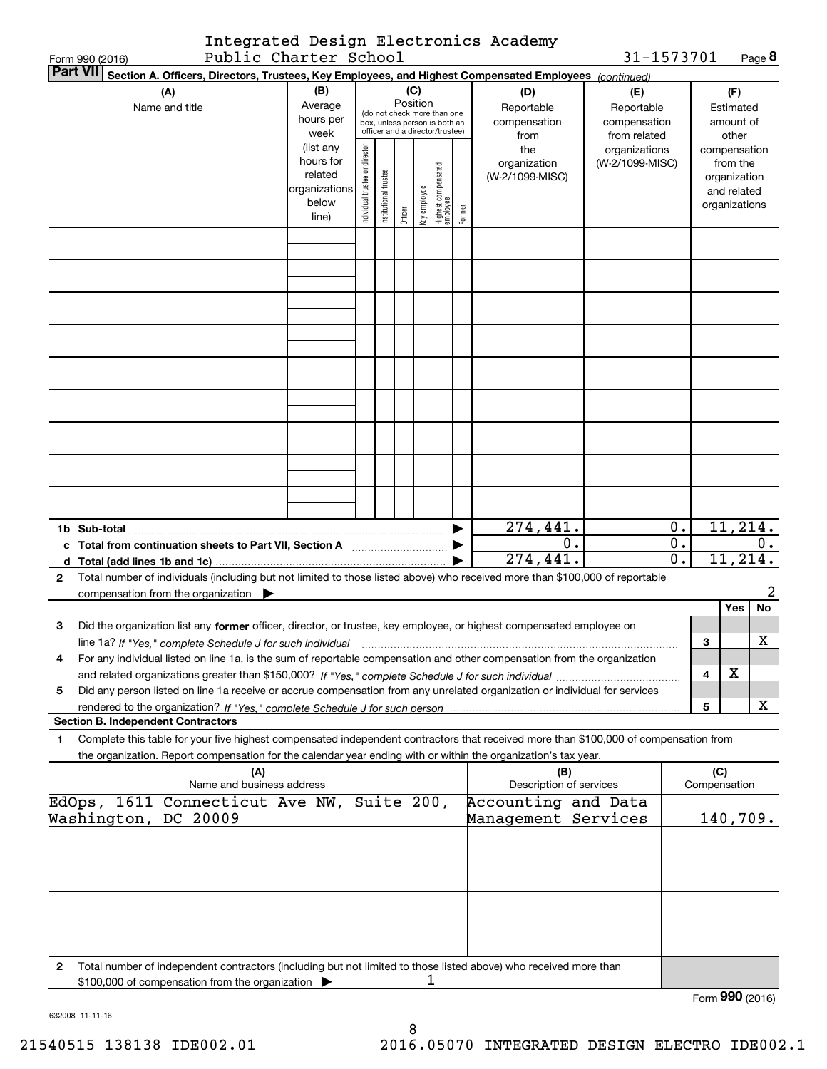|                       | Integrated Design Electronics Academy |  |
|-----------------------|---------------------------------------|--|
| Public Charter School |                                       |  |

| 31-1573701 | Page 8 |
|------------|--------|
|------------|--------|

|              | Form 990 (2016) | Public Charter School                                                                                                                                                                    |                        |                               |                                                              |         |              |                                  |        |                                | 31-1573701                 |       |                     | Page <b>ö</b>                |
|--------------|-----------------|------------------------------------------------------------------------------------------------------------------------------------------------------------------------------------------|------------------------|-------------------------------|--------------------------------------------------------------|---------|--------------|----------------------------------|--------|--------------------------------|----------------------------|-------|---------------------|------------------------------|
|              | <b>Part VII</b> | Section A. Officers, Directors, Trustees, Key Employees, and Highest Compensated Employees (continued)                                                                                   |                        |                               |                                                              |         |              |                                  |        |                                |                            |       |                     |                              |
|              |                 | (A)                                                                                                                                                                                      | (B)<br>Average         |                               |                                                              | (C)     | Position     |                                  |        | (D)                            | (E)                        |       |                     | (F)                          |
|              |                 | Name and title                                                                                                                                                                           | hours per              |                               | (do not check more than one<br>box, unless person is both an |         |              |                                  |        | Reportable<br>compensation     | Reportable<br>compensation |       |                     | Estimated<br>amount of       |
|              |                 |                                                                                                                                                                                          | week                   |                               | officer and a director/trustee)                              |         |              |                                  |        | from                           | from related               |       |                     | other                        |
|              |                 |                                                                                                                                                                                          | (list any              |                               |                                                              |         |              |                                  |        | the                            | organizations              |       |                     | compensation                 |
|              |                 |                                                                                                                                                                                          | hours for              | ndividual trustee or director |                                                              |         |              |                                  |        | organization                   | (W-2/1099-MISC)            |       |                     | from the                     |
|              |                 |                                                                                                                                                                                          | related                |                               |                                                              |         |              |                                  |        | (W-2/1099-MISC)                |                            |       |                     | organization                 |
|              |                 |                                                                                                                                                                                          | organizations<br>below |                               |                                                              |         |              |                                  |        |                                |                            |       |                     | and related<br>organizations |
|              |                 |                                                                                                                                                                                          | line)                  |                               | Institutional trustee                                        | Officer | Key employee | Highest compensated<br> employee | Former |                                |                            |       |                     |                              |
|              |                 |                                                                                                                                                                                          |                        |                               |                                                              |         |              |                                  |        |                                |                            |       |                     |                              |
|              |                 |                                                                                                                                                                                          |                        |                               |                                                              |         |              |                                  |        |                                |                            |       |                     |                              |
|              |                 |                                                                                                                                                                                          |                        |                               |                                                              |         |              |                                  |        |                                |                            |       |                     |                              |
|              |                 |                                                                                                                                                                                          |                        |                               |                                                              |         |              |                                  |        |                                |                            |       |                     |                              |
|              |                 |                                                                                                                                                                                          |                        |                               |                                                              |         |              |                                  |        |                                |                            |       |                     |                              |
|              |                 |                                                                                                                                                                                          |                        |                               |                                                              |         |              |                                  |        |                                |                            |       |                     |                              |
|              |                 |                                                                                                                                                                                          |                        |                               |                                                              |         |              |                                  |        |                                |                            |       |                     |                              |
|              |                 |                                                                                                                                                                                          |                        |                               |                                                              |         |              |                                  |        |                                |                            |       |                     |                              |
|              |                 |                                                                                                                                                                                          |                        |                               |                                                              |         |              |                                  |        |                                |                            |       |                     |                              |
|              |                 |                                                                                                                                                                                          |                        |                               |                                                              |         |              |                                  |        |                                |                            |       |                     |                              |
|              |                 |                                                                                                                                                                                          |                        |                               |                                                              |         |              |                                  |        |                                |                            |       |                     |                              |
|              |                 |                                                                                                                                                                                          |                        |                               |                                                              |         |              |                                  |        |                                |                            |       |                     |                              |
|              |                 |                                                                                                                                                                                          |                        |                               |                                                              |         |              |                                  |        |                                |                            |       |                     |                              |
|              |                 |                                                                                                                                                                                          |                        |                               |                                                              |         |              |                                  |        | 274,441.                       |                            | 0.    |                     | 11, 214.                     |
| c            |                 |                                                                                                                                                                                          |                        |                               |                                                              |         |              |                                  |        | 0.                             |                            | $0$ . |                     | 0.                           |
| d            |                 |                                                                                                                                                                                          |                        |                               |                                                              |         |              |                                  |        | 274,441.                       |                            | 0.    |                     | 11, 214.                     |
| $\mathbf{2}$ |                 | Total number of individuals (including but not limited to those listed above) who received more than \$100,000 of reportable<br>compensation from the organization $\blacktriangleright$ |                        |                               |                                                              |         |              |                                  |        |                                |                            |       |                     | 2                            |
|              |                 |                                                                                                                                                                                          |                        |                               |                                                              |         |              |                                  |        |                                |                            |       |                     | Yes<br>No                    |
| 3            |                 | Did the organization list any former officer, director, or trustee, key employee, or highest compensated employee on                                                                     |                        |                               |                                                              |         |              |                                  |        |                                |                            |       |                     |                              |
|              |                 | line 1a? If "Yes," complete Schedule J for such individual manufactured contained and the line 1a? If "Yes," complete Schedule J for such individual                                     |                        |                               |                                                              |         |              |                                  |        |                                |                            |       | 3                   | х                            |
|              |                 | For any individual listed on line 1a, is the sum of reportable compensation and other compensation from the organization                                                                 |                        |                               |                                                              |         |              |                                  |        |                                |                            |       |                     |                              |
|              |                 |                                                                                                                                                                                          |                        |                               |                                                              |         |              |                                  |        |                                |                            |       | 4                   | X                            |
| 5            |                 | Did any person listed on line 1a receive or accrue compensation from any unrelated organization or individual for services                                                               |                        |                               |                                                              |         |              |                                  |        |                                |                            |       |                     | х                            |
|              |                 | <b>Section B. Independent Contractors</b>                                                                                                                                                |                        |                               |                                                              |         |              |                                  |        |                                |                            |       | 5                   |                              |
| 1.           |                 | Complete this table for your five highest compensated independent contractors that received more than \$100,000 of compensation from                                                     |                        |                               |                                                              |         |              |                                  |        |                                |                            |       |                     |                              |
|              |                 | the organization. Report compensation for the calendar year ending with or within the organization's tax year.                                                                           |                        |                               |                                                              |         |              |                                  |        |                                |                            |       |                     |                              |
|              |                 | (A)<br>Name and business address                                                                                                                                                         |                        |                               |                                                              |         |              |                                  |        | (B)<br>Description of services |                            |       | (C)<br>Compensation |                              |
|              |                 | EdOps, 1611 Connecticut Ave NW, Suite 200,                                                                                                                                               |                        |                               |                                                              |         |              |                                  |        | Accounting and Data            |                            |       |                     |                              |
|              |                 | Washington, DC 20009                                                                                                                                                                     |                        |                               |                                                              |         |              |                                  |        | Management Services            |                            |       |                     | 140,709.                     |
|              |                 |                                                                                                                                                                                          |                        |                               |                                                              |         |              |                                  |        |                                |                            |       |                     |                              |
|              |                 |                                                                                                                                                                                          |                        |                               |                                                              |         |              |                                  |        |                                |                            |       |                     |                              |
|              |                 |                                                                                                                                                                                          |                        |                               |                                                              |         |              |                                  |        |                                |                            |       |                     |                              |
|              |                 |                                                                                                                                                                                          |                        |                               |                                                              |         |              |                                  |        |                                |                            |       |                     |                              |
|              |                 |                                                                                                                                                                                          |                        |                               |                                                              |         |              |                                  |        |                                |                            |       |                     |                              |
| 2            |                 | Total number of independent contractors (including but not limited to those listed above) who received more than                                                                         |                        |                               |                                                              |         |              |                                  |        |                                |                            |       |                     |                              |
|              |                 | \$100,000 of compensation from the organization                                                                                                                                          |                        |                               |                                                              |         | ı            |                                  |        |                                |                            |       |                     |                              |

Form (2016) **990**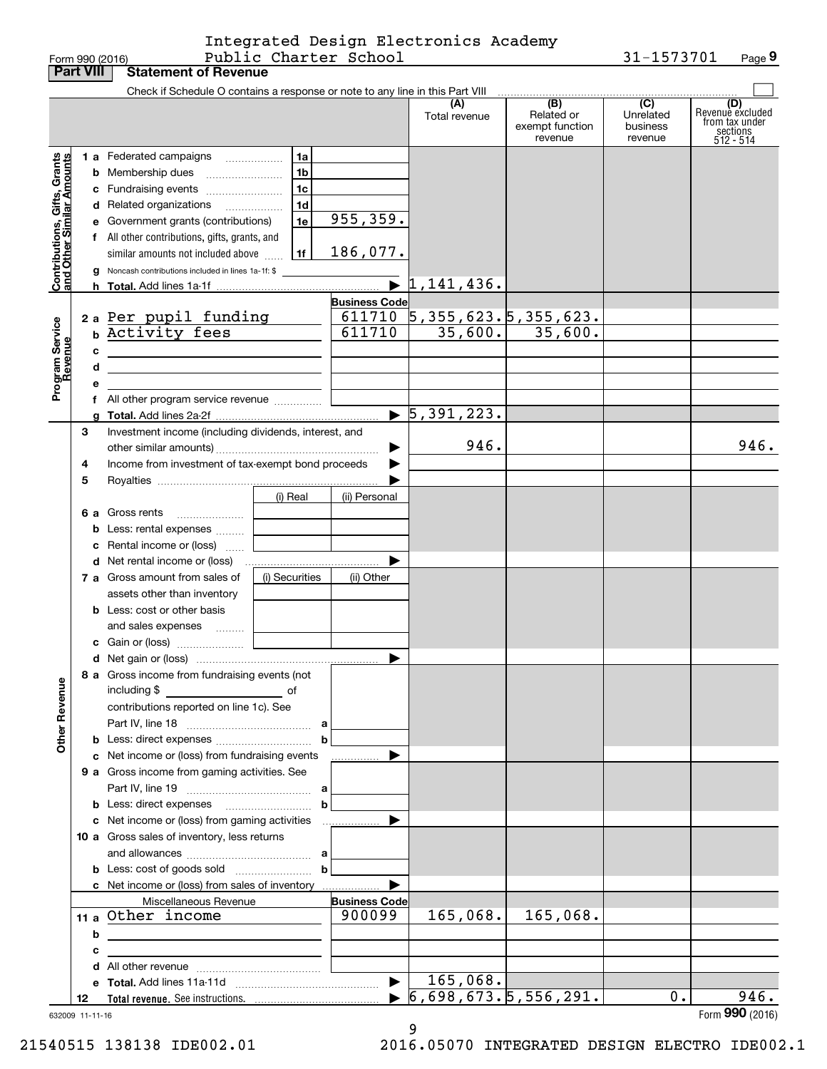Form 990 (2016) Page Public Charter School 31-1573701 Integrated Design Electronics Academy

**9**

|                                                           | <b>Part VIII</b> | <b>Statement of Revenue</b>                                                                                          |                |                       |                                                                   |                               |                       |                         |
|-----------------------------------------------------------|------------------|----------------------------------------------------------------------------------------------------------------------|----------------|-----------------------|-------------------------------------------------------------------|-------------------------------|-----------------------|-------------------------|
|                                                           |                  | Check if Schedule O contains a response or note to any line in this Part VIII                                        |                |                       |                                                                   |                               |                       |                         |
|                                                           |                  |                                                                                                                      |                |                       | (A)                                                               | (B)                           | $\overline{C}$        | (D)<br>Revenuè excluded |
|                                                           |                  |                                                                                                                      |                |                       | Total revenue                                                     | Related or<br>exempt function | Unrelated<br>business | from tax under          |
|                                                           |                  |                                                                                                                      |                |                       |                                                                   | revenue                       | revenue               | sections<br>$512 - 514$ |
|                                                           |                  | 1 a Federated campaigns                                                                                              | 1a             |                       |                                                                   |                               |                       |                         |
|                                                           |                  | <b>b</b> Membership dues                                                                                             | 1 <sub>b</sub> |                       |                                                                   |                               |                       |                         |
|                                                           |                  | c Fundraising events                                                                                                 | 1 <sub>c</sub> |                       |                                                                   |                               |                       |                         |
|                                                           |                  |                                                                                                                      | 1 <sub>d</sub> |                       |                                                                   |                               |                       |                         |
| Contributions, Gifts, Grants<br>and Other Similar Amounts |                  | d Related organizations                                                                                              |                | 955, 359.             |                                                                   |                               |                       |                         |
|                                                           |                  | e Government grants (contributions)                                                                                  | 1e             |                       |                                                                   |                               |                       |                         |
|                                                           |                  | f All other contributions, gifts, grants, and                                                                        |                |                       |                                                                   |                               |                       |                         |
|                                                           |                  | similar amounts not included above                                                                                   | 1f             | 186,077.              |                                                                   |                               |                       |                         |
|                                                           |                  | g Noncash contributions included in lines 1a-1f: \$                                                                  |                |                       |                                                                   |                               |                       |                         |
|                                                           |                  |                                                                                                                      |                |                       |                                                                   |                               |                       |                         |
|                                                           |                  |                                                                                                                      |                | <b>Business Code</b>  |                                                                   |                               |                       |                         |
|                                                           |                  | 2 a Per pupil funding                                                                                                |                |                       | $\frac{611710}{611710}$ 5, 355, 623, 5, 355, 623, 611710 35, 600, |                               |                       |                         |
| Program Service<br>Revenue                                |                  | b Activity fees                                                                                                      |                |                       |                                                                   |                               |                       |                         |
|                                                           | с                | <u>and the state of the state of the state of the state of the state</u>                                             |                |                       |                                                                   |                               |                       |                         |
|                                                           | d                | the contract of the contract of the contract of the contract of the contract of                                      |                |                       |                                                                   |                               |                       |                         |
|                                                           | е                |                                                                                                                      |                |                       |                                                                   |                               |                       |                         |
|                                                           |                  | f All other program service revenue                                                                                  |                |                       |                                                                   |                               |                       |                         |
|                                                           |                  |                                                                                                                      |                |                       | $\blacktriangleright$ 5,391,223.                                  |                               |                       |                         |
|                                                           | 3                | Investment income (including dividends, interest, and                                                                |                |                       |                                                                   |                               |                       |                         |
|                                                           |                  |                                                                                                                      |                |                       | 946.                                                              |                               |                       | 946.                    |
|                                                           | 4                | Income from investment of tax-exempt bond proceeds                                                                   |                |                       |                                                                   |                               |                       |                         |
|                                                           | 5                |                                                                                                                      |                |                       |                                                                   |                               |                       |                         |
|                                                           |                  |                                                                                                                      | (i) Real       | (ii) Personal         |                                                                   |                               |                       |                         |
|                                                           |                  | 6 a Gross rents                                                                                                      |                |                       |                                                                   |                               |                       |                         |
|                                                           |                  |                                                                                                                      |                |                       |                                                                   |                               |                       |                         |
|                                                           |                  | <b>b</b> Less: rental expenses                                                                                       |                |                       |                                                                   |                               |                       |                         |
|                                                           |                  | c Rental income or (loss)                                                                                            |                |                       |                                                                   |                               |                       |                         |
|                                                           |                  |                                                                                                                      |                |                       |                                                                   |                               |                       |                         |
|                                                           |                  | 7 a Gross amount from sales of                                                                                       | (i) Securities | (ii) Other            |                                                                   |                               |                       |                         |
|                                                           |                  | assets other than inventory                                                                                          |                |                       |                                                                   |                               |                       |                         |
|                                                           |                  | <b>b</b> Less: cost or other basis                                                                                   |                |                       |                                                                   |                               |                       |                         |
|                                                           |                  | and sales expenses                                                                                                   |                |                       |                                                                   |                               |                       |                         |
|                                                           |                  |                                                                                                                      |                |                       |                                                                   |                               |                       |                         |
|                                                           |                  |                                                                                                                      |                |                       |                                                                   |                               |                       |                         |
|                                                           |                  | 8 a Gross income from fundraising events (not                                                                        |                |                       |                                                                   |                               |                       |                         |
| <b>Other Revenue</b>                                      |                  | including \$                                                                                                         |                |                       |                                                                   |                               |                       |                         |
|                                                           |                  | contributions reported on line 1c). See                                                                              |                |                       |                                                                   |                               |                       |                         |
|                                                           |                  |                                                                                                                      |                |                       |                                                                   |                               |                       |                         |
|                                                           |                  |                                                                                                                      | b              |                       |                                                                   |                               |                       |                         |
|                                                           |                  | c Net income or (loss) from fundraising events                                                                       |                | .                     |                                                                   |                               |                       |                         |
|                                                           |                  | 9 a Gross income from gaming activities. See                                                                         |                |                       |                                                                   |                               |                       |                         |
|                                                           |                  |                                                                                                                      |                |                       |                                                                   |                               |                       |                         |
|                                                           |                  | <b>b</b> Less: direct expenses <b>manually contained</b>                                                             | b              |                       |                                                                   |                               |                       |                         |
|                                                           |                  | c Net income or (loss) from gaming activities                                                                        |                | .                     |                                                                   |                               |                       |                         |
|                                                           |                  | 10 a Gross sales of inventory, less returns                                                                          |                |                       |                                                                   |                               |                       |                         |
|                                                           |                  |                                                                                                                      |                |                       |                                                                   |                               |                       |                         |
|                                                           |                  |                                                                                                                      | b              |                       |                                                                   |                               |                       |                         |
|                                                           |                  |                                                                                                                      |                |                       |                                                                   |                               |                       |                         |
|                                                           |                  | Miscellaneous Revenue                                                                                                |                | <b>Business Code</b>  |                                                                   |                               |                       |                         |
|                                                           |                  | 11 a Other income                                                                                                    |                | 900099                | 165,068.                                                          | 165,068.                      |                       |                         |
|                                                           |                  |                                                                                                                      |                |                       |                                                                   |                               |                       |                         |
|                                                           | b                | <u> 1989 - Johann Stein, marwolaethau a bhann an t-Amhair an t-Amhair an t-Amhair an t-Amhair an t-Amhair an t-A</u> |                |                       |                                                                   |                               |                       |                         |
|                                                           | с                | the contract of the contract of the contract of the contract of the contract of                                      |                |                       |                                                                   |                               |                       |                         |
|                                                           |                  |                                                                                                                      |                |                       |                                                                   |                               |                       |                         |
|                                                           |                  |                                                                                                                      |                | $\blacktriangleright$ | 165,068.                                                          |                               |                       |                         |
|                                                           | 12               |                                                                                                                      |                |                       | 6,698,673.5,556,291.                                              |                               | 0.                    | 946.                    |
|                                                           | 632009 11-11-16  |                                                                                                                      |                |                       |                                                                   |                               |                       | Form 990 (2016)         |

9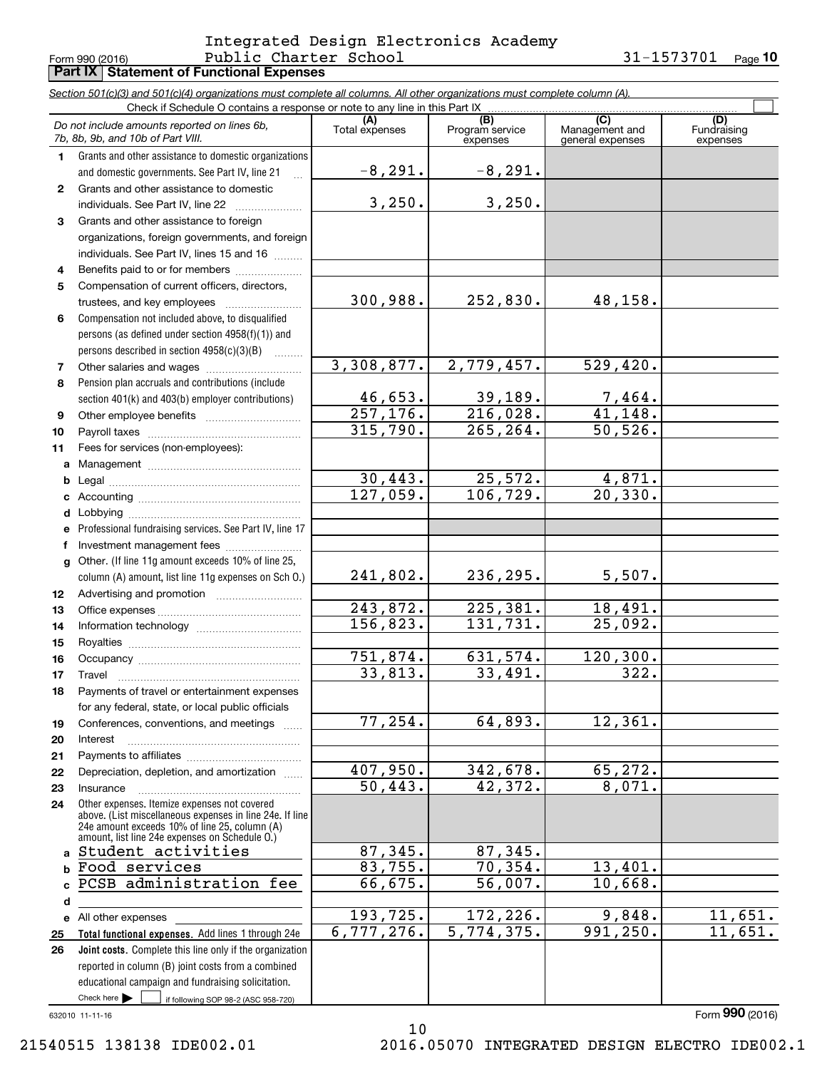#### Form 990 (2016) PUDIIC C**harter** S**chool 3l-l5737UI** Page **Part IX Statement of Functional Expenses** Public Charter School 31-1573701 Integrated Design Electronics Academy

**10**

|                 | Section 501(c)(3) and 501(c)(4) organizations must complete all columns. All other organizations must complete column (A).<br>Check if Schedule O contains a response or note to any line in this Part IX |                         |                             |                                    |                         |  |  |  |  |  |
|-----------------|-----------------------------------------------------------------------------------------------------------------------------------------------------------------------------------------------------------|-------------------------|-----------------------------|------------------------------------|-------------------------|--|--|--|--|--|
|                 | Do not include amounts reported on lines 6b,                                                                                                                                                              | (A)<br>Total expenses   | (B)                         | (C)                                | (D)                     |  |  |  |  |  |
|                 | 7b, 8b, 9b, and 10b of Part VIII.                                                                                                                                                                         |                         | Program service<br>expenses | Management and<br>general expenses | Fundraising<br>expenses |  |  |  |  |  |
| 1.              | Grants and other assistance to domestic organizations                                                                                                                                                     |                         |                             |                                    |                         |  |  |  |  |  |
|                 | and domestic governments. See Part IV, line 21<br>$\mathbb{R}$                                                                                                                                            | $-8, 291.$              | $-8, 291.$                  |                                    |                         |  |  |  |  |  |
| $\mathbf{2}$    | Grants and other assistance to domestic                                                                                                                                                                   |                         |                             |                                    |                         |  |  |  |  |  |
|                 | individuals. See Part IV, line 22                                                                                                                                                                         | 3,250.                  | 3,250.                      |                                    |                         |  |  |  |  |  |
| 3               | Grants and other assistance to foreign                                                                                                                                                                    |                         |                             |                                    |                         |  |  |  |  |  |
|                 | organizations, foreign governments, and foreign                                                                                                                                                           |                         |                             |                                    |                         |  |  |  |  |  |
|                 | individuals. See Part IV, lines 15 and 16                                                                                                                                                                 |                         |                             |                                    |                         |  |  |  |  |  |
| 4               | Benefits paid to or for members                                                                                                                                                                           |                         |                             |                                    |                         |  |  |  |  |  |
| 5               | Compensation of current officers, directors,                                                                                                                                                              |                         |                             |                                    |                         |  |  |  |  |  |
|                 | trustees, and key employees                                                                                                                                                                               | 300,988.                | 252,830.                    | 48,158.                            |                         |  |  |  |  |  |
| 6               | Compensation not included above, to disqualified                                                                                                                                                          |                         |                             |                                    |                         |  |  |  |  |  |
|                 | persons (as defined under section 4958(f)(1)) and                                                                                                                                                         |                         |                             |                                    |                         |  |  |  |  |  |
|                 | persons described in section 4958(c)(3)(B)                                                                                                                                                                | 3,308,877.              |                             |                                    |                         |  |  |  |  |  |
| 7               |                                                                                                                                                                                                           |                         | 2,779,457.                  | 529,420.                           |                         |  |  |  |  |  |
| 8               | Pension plan accruals and contributions (include                                                                                                                                                          | 46,653.                 | 39,189.                     |                                    |                         |  |  |  |  |  |
| 9               | section 401(k) and 403(b) employer contributions)                                                                                                                                                         | 257, 176.               | 216,028.                    | $\frac{7,464}{41,148}$ .           |                         |  |  |  |  |  |
| 10              |                                                                                                                                                                                                           | 315,790.                | 265,264.                    | 50, 526.                           |                         |  |  |  |  |  |
| 11              | Fees for services (non-employees):                                                                                                                                                                        |                         |                             |                                    |                         |  |  |  |  |  |
| a               |                                                                                                                                                                                                           |                         |                             |                                    |                         |  |  |  |  |  |
| b               |                                                                                                                                                                                                           | 30,443.                 | 25,572.                     | 4,871.                             |                         |  |  |  |  |  |
| c               |                                                                                                                                                                                                           | 127,059.                | 106,729.                    | 20, 330.                           |                         |  |  |  |  |  |
| d               |                                                                                                                                                                                                           |                         |                             |                                    |                         |  |  |  |  |  |
| e               | Professional fundraising services. See Part IV, line 17                                                                                                                                                   |                         |                             |                                    |                         |  |  |  |  |  |
| f               | Investment management fees                                                                                                                                                                                |                         |                             |                                    |                         |  |  |  |  |  |
| g               | Other. (If line 11g amount exceeds 10% of line 25,                                                                                                                                                        |                         |                             |                                    |                         |  |  |  |  |  |
|                 | column (A) amount, list line 11g expenses on Sch O.)                                                                                                                                                      | 241,802.                | 236,295.                    | 5,507.                             |                         |  |  |  |  |  |
| 12 <sub>2</sub> |                                                                                                                                                                                                           |                         |                             |                                    |                         |  |  |  |  |  |
| 13              |                                                                                                                                                                                                           | $\overline{243}$ , 872. | 225,381.                    | 18,491.                            |                         |  |  |  |  |  |
| 14              |                                                                                                                                                                                                           | 156,823.                | 131,731.                    | 25,092.                            |                         |  |  |  |  |  |
| 15              |                                                                                                                                                                                                           |                         |                             |                                    |                         |  |  |  |  |  |
| 16              |                                                                                                                                                                                                           | 751,874.                | 631,574.                    | 120, 300.                          |                         |  |  |  |  |  |
| 17              |                                                                                                                                                                                                           | 33,813.                 | 33,491.                     | 322.                               |                         |  |  |  |  |  |
| 18              | Payments of travel or entertainment expenses                                                                                                                                                              |                         |                             |                                    |                         |  |  |  |  |  |
|                 | for any federal, state, or local public officials                                                                                                                                                         |                         |                             |                                    |                         |  |  |  |  |  |
| 19              | Conferences, conventions, and meetings                                                                                                                                                                    | 77,254.                 | 64,893.                     | 12,361.                            |                         |  |  |  |  |  |
| 20              | Interest                                                                                                                                                                                                  |                         |                             |                                    |                         |  |  |  |  |  |
| 21              |                                                                                                                                                                                                           | 407,950.                | 342,678.                    | 65,272.                            |                         |  |  |  |  |  |
| 22<br>23        | Depreciation, depletion, and amortization<br>Insurance                                                                                                                                                    | 50, 443.                | 42,372.                     | 8,071.                             |                         |  |  |  |  |  |
| 24              | Other expenses. Itemize expenses not covered                                                                                                                                                              |                         |                             |                                    |                         |  |  |  |  |  |
|                 | above. (List miscellaneous expenses in line 24e. If line                                                                                                                                                  |                         |                             |                                    |                         |  |  |  |  |  |
|                 | 24e amount exceeds 10% of line 25, column (A)<br>amount, list line 24e expenses on Schedule O.)                                                                                                           |                         |                             |                                    |                         |  |  |  |  |  |
| a               | Student activities                                                                                                                                                                                        | 87,345.                 | 87,345.                     |                                    |                         |  |  |  |  |  |
| b               | Food services                                                                                                                                                                                             | 83,755.                 | 70,354.                     | 13,401.                            |                         |  |  |  |  |  |
| C               | PCSB administration fee                                                                                                                                                                                   | 66,675.                 | 56,007.                     | 10,668.                            |                         |  |  |  |  |  |
| d               |                                                                                                                                                                                                           |                         |                             |                                    |                         |  |  |  |  |  |
|                 | e All other expenses                                                                                                                                                                                      | 193,725.                | 172,226.                    | 9,848.                             | 11,651.                 |  |  |  |  |  |
| 25              | Total functional expenses. Add lines 1 through 24e                                                                                                                                                        | 6,777,276.              | 5,774,375.                  | 991,250.                           | 11,651.                 |  |  |  |  |  |
| 26              | Joint costs. Complete this line only if the organization                                                                                                                                                  |                         |                             |                                    |                         |  |  |  |  |  |
|                 | reported in column (B) joint costs from a combined                                                                                                                                                        |                         |                             |                                    |                         |  |  |  |  |  |
|                 | educational campaign and fundraising solicitation.                                                                                                                                                        |                         |                             |                                    |                         |  |  |  |  |  |
|                 | Check here $\blacktriangleright$<br>if following SOP 98-2 (ASC 958-720)                                                                                                                                   |                         |                             |                                    |                         |  |  |  |  |  |

10

632010 11-11-16

Form (2016) **990**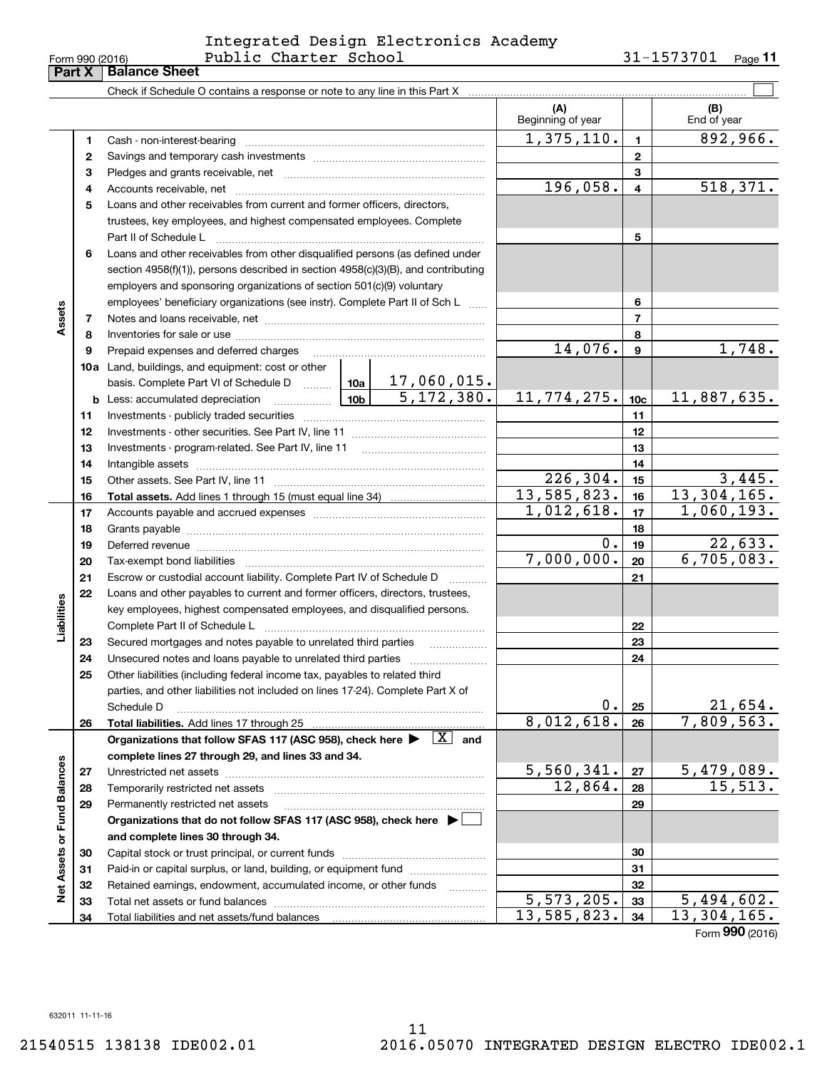# Form 990 (2016) Page Public Charter School 31-1573701 Integrated Design Electronics Academy

**11**

|                             |    |                                                                                                                                                                                                                                |  |                          | (A)<br>Beginning of year |                 | (B)<br>End of year           |
|-----------------------------|----|--------------------------------------------------------------------------------------------------------------------------------------------------------------------------------------------------------------------------------|--|--------------------------|--------------------------|-----------------|------------------------------|
|                             | 1. | Cash - non-interest-bearing                                                                                                                                                                                                    |  |                          | 1,375,110.               | $\blacksquare$  | 892,966.                     |
|                             | 2  |                                                                                                                                                                                                                                |  |                          |                          | $\mathbf{2}$    |                              |
|                             | з  |                                                                                                                                                                                                                                |  |                          |                          | 3               |                              |
|                             | 4  |                                                                                                                                                                                                                                |  |                          | 196,058.                 | $\overline{4}$  | 518, 371.                    |
|                             | 5  | Loans and other receivables from current and former officers, directors,                                                                                                                                                       |  |                          |                          |                 |                              |
|                             |    | trustees, key employees, and highest compensated employees. Complete                                                                                                                                                           |  |                          |                          |                 |                              |
|                             |    | Part II of Schedule L                                                                                                                                                                                                          |  |                          |                          | 5               |                              |
|                             | 6  | Loans and other receivables from other disqualified persons (as defined under                                                                                                                                                  |  |                          |                          |                 |                              |
|                             |    | section 4958(f)(1)), persons described in section 4958(c)(3)(B), and contributing                                                                                                                                              |  |                          |                          |                 |                              |
|                             |    |                                                                                                                                                                                                                                |  |                          |                          |                 |                              |
|                             |    | employers and sponsoring organizations of section 501(c)(9) voluntary                                                                                                                                                          |  |                          |                          |                 |                              |
| Assets                      |    | employees' beneficiary organizations (see instr). Complete Part II of Sch L                                                                                                                                                    |  |                          |                          | 6               |                              |
|                             | 7  |                                                                                                                                                                                                                                |  |                          |                          | $\overline{7}$  |                              |
|                             | 8  |                                                                                                                                                                                                                                |  |                          | 14,076.                  | 8               | 1,748.                       |
|                             | 9  | Prepaid expenses and deferred charges                                                                                                                                                                                          |  |                          |                          | 9               |                              |
|                             |    | <b>10a</b> Land, buildings, and equipment: cost or other                                                                                                                                                                       |  |                          |                          |                 |                              |
|                             |    |                                                                                                                                                                                                                                |  |                          |                          |                 |                              |
|                             |    | <b>b</b> Less: accumulated depreciation                                                                                                                                                                                        |  |                          | 11,774,275.              | 10 <sub>c</sub> | 11,887,635.                  |
|                             | 11 | Investments - publicly traded securities                                                                                                                                                                                       |  |                          |                          | 11              |                              |
|                             | 12 |                                                                                                                                                                                                                                |  |                          |                          | 12              |                              |
|                             | 13 |                                                                                                                                                                                                                                |  |                          | 13                       |                 |                              |
|                             | 14 |                                                                                                                                                                                                                                |  |                          | 14                       |                 |                              |
|                             | 15 |                                                                                                                                                                                                                                |  |                          | $\overline{226,304}$ .   | 15              | 3,445.                       |
|                             | 16 |                                                                                                                                                                                                                                |  |                          | 13,585,823.              | 16              | 13,304,165.                  |
|                             | 17 |                                                                                                                                                                                                                                |  | 1,012,618.               | 17                       | 1,060,193.      |                              |
|                             | 18 |                                                                                                                                                                                                                                |  | 18                       |                          |                 |                              |
|                             | 19 | Deferred revenue manual contracts and contracts are all the manual contracts and contracts are contracted and contracts are contracted and contract are contracted and contract are contracted and contract are contracted and |  | 0.                       | 19                       | 22,633.         |                              |
|                             | 20 | Tax-exempt bond liabilities                                                                                                                                                                                                    |  |                          | 7,000,000.               | 20              | 6,705,083.                   |
|                             | 21 | Escrow or custodial account liability. Complete Part IV of Schedule D                                                                                                                                                          |  | $\overline{\phantom{a}}$ |                          | 21              |                              |
|                             | 22 | Loans and other payables to current and former officers, directors, trustees,                                                                                                                                                  |  |                          |                          |                 |                              |
|                             |    | key employees, highest compensated employees, and disqualified persons.                                                                                                                                                        |  |                          |                          |                 |                              |
| Liabilities                 |    | Complete Part II of Schedule L                                                                                                                                                                                                 |  |                          |                          | 22              |                              |
|                             | 23 | Secured mortgages and notes payable to unrelated third parties                                                                                                                                                                 |  |                          |                          | 23              |                              |
|                             | 24 | Unsecured notes and loans payable to unrelated third parties                                                                                                                                                                   |  |                          |                          | 24              |                              |
|                             | 25 | Other liabilities (including federal income tax, payables to related third                                                                                                                                                     |  |                          |                          |                 |                              |
|                             |    | parties, and other liabilities not included on lines 17-24). Complete Part X of                                                                                                                                                |  |                          |                          |                 |                              |
|                             |    | Schedule D                                                                                                                                                                                                                     |  |                          | О.                       | 25              | $\frac{21,654}{7,809,563.}$  |
|                             | 26 |                                                                                                                                                                                                                                |  |                          | 8,012,618.               | 26              |                              |
|                             |    | Organizations that follow SFAS 117 (ASC 958), check here $\blacktriangleright \begin{array}{c} \boxed{X} \\ \end{array}$ and                                                                                                   |  |                          |                          |                 |                              |
|                             |    | complete lines 27 through 29, and lines 33 and 34.                                                                                                                                                                             |  |                          |                          |                 |                              |
|                             | 27 |                                                                                                                                                                                                                                |  |                          | 5,560,341.               | 27              | $\frac{5,479,089.}{15,513.}$ |
|                             | 28 | Temporarily restricted net assets                                                                                                                                                                                              |  |                          | 12,864.                  | 28              |                              |
|                             | 29 | Permanently restricted net assets                                                                                                                                                                                              |  |                          |                          | 29              |                              |
|                             |    | Organizations that do not follow SFAS 117 (ASC 958), check here ▶ □                                                                                                                                                            |  |                          |                          |                 |                              |
| Net Assets or Fund Balances |    | and complete lines 30 through 34.                                                                                                                                                                                              |  |                          |                          |                 |                              |
|                             | 30 |                                                                                                                                                                                                                                |  |                          |                          | 30              |                              |
|                             | 31 | Paid-in or capital surplus, or land, building, or equipment fund                                                                                                                                                               |  |                          |                          | 31              |                              |
|                             | 32 | Retained earnings, endowment, accumulated income, or other funds                                                                                                                                                               |  |                          |                          | 32              |                              |
|                             | 33 |                                                                                                                                                                                                                                |  |                          | 5,573,205.               | 33              | <u>5,494,602.</u>            |
|                             | 34 |                                                                                                                                                                                                                                |  |                          | 13,585,823.              | 34              | 13,304,165.                  |
|                             |    |                                                                                                                                                                                                                                |  |                          |                          |                 | Form 990 (2016)              |

 $\overline{\phantom{0}}$ 

| n 990 (2016) |              |  |  |  |
|--------------|--------------|--|--|--|
|              | <b>MID-1</b> |  |  |  |

**Part X Balance Sheet**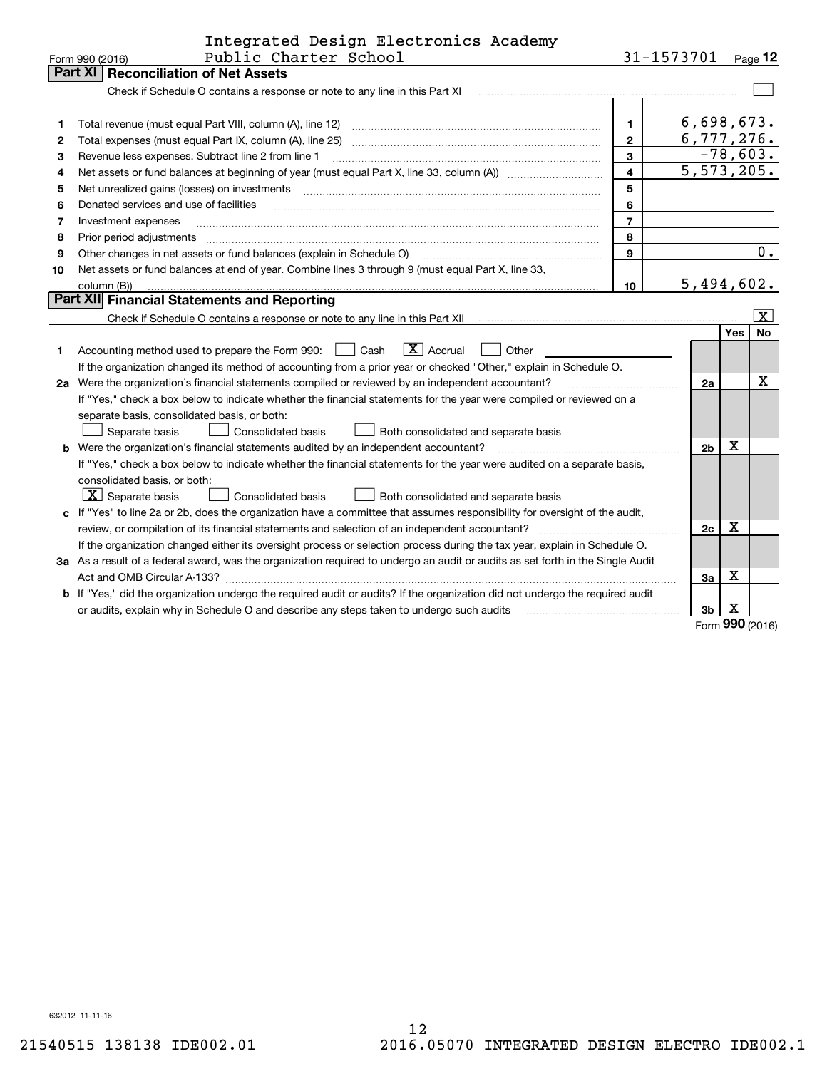|    | Integrated Design Electronics Academy                                                                                           |                |                |          |                  |
|----|---------------------------------------------------------------------------------------------------------------------------------|----------------|----------------|----------|------------------|
|    | Public Charter School<br>Form 990 (2016)                                                                                        |                | 31-1573701     |          | Page 12          |
|    | Part XI<br><b>Reconciliation of Net Assets</b>                                                                                  |                |                |          |                  |
|    | Check if Schedule O contains a response or note to any line in this Part XI                                                     |                |                |          |                  |
|    |                                                                                                                                 |                |                |          |                  |
| 1  | Total revenue (must equal Part VIII, column (A), line 12)                                                                       | $\mathbf{1}$   | 6,698,673.     |          |                  |
| 2  | Total expenses (must equal Part IX, column (A), line 25)                                                                        | $\mathbf{2}$   | 6,777,276.     |          |                  |
| З  | Revenue less expenses. Subtract line 2 from line 1                                                                              | 3              |                |          | $-78,603.$       |
| 4  |                                                                                                                                 | 4              | 5, 573, 205.   |          |                  |
| 5  | Net unrealized gains (losses) on investments                                                                                    | 5              |                |          |                  |
| 6  | Donated services and use of facilities                                                                                          | 6              |                |          |                  |
| 7  | Investment expenses                                                                                                             | $\overline{7}$ |                |          |                  |
| 8  | Prior period adjustments                                                                                                        | 8              |                |          |                  |
| 9  | Other changes in net assets or fund balances (explain in Schedule O)                                                            | 9              |                |          | $\overline{0}$ . |
| 10 | Net assets or fund balances at end of year. Combine lines 3 through 9 (must equal Part X, line 33,                              |                |                |          |                  |
|    | column (B))                                                                                                                     | 10             | 5,494,602.     |          |                  |
|    | Part XII Financial Statements and Reporting                                                                                     |                |                |          |                  |
|    |                                                                                                                                 |                |                |          | X                |
|    |                                                                                                                                 |                |                | Yes      | <b>No</b>        |
| 1  | $\boxed{\mathbf{X}}$ Accrual<br>Accounting method used to prepare the Form 990: <u>I</u> Cash<br>Other                          |                |                |          |                  |
|    | If the organization changed its method of accounting from a prior year or checked "Other," explain in Schedule O.               |                |                |          |                  |
|    | 2a Were the organization's financial statements compiled or reviewed by an independent accountant?                              |                | 2a             |          | х                |
|    | If "Yes," check a box below to indicate whether the financial statements for the year were compiled or reviewed on a            |                |                |          |                  |
|    | separate basis, consolidated basis, or both:                                                                                    |                |                |          |                  |
|    | Separate basis<br>Consolidated basis<br>Both consolidated and separate basis                                                    |                |                |          |                  |
|    | <b>b</b> Were the organization's financial statements audited by an independent accountant?                                     |                | 2 <sub>b</sub> | х        |                  |
|    | If "Yes," check a box below to indicate whether the financial statements for the year were audited on a separate basis,         |                |                |          |                  |
|    | consolidated basis, or both:                                                                                                    |                |                |          |                  |
|    | $\lfloor x \rfloor$ Separate basis<br><b>Consolidated basis</b><br>Both consolidated and separate basis                         |                |                |          |                  |
|    | c If "Yes" to line 2a or 2b, does the organization have a committee that assumes responsibility for oversight of the audit,     |                |                |          |                  |
|    |                                                                                                                                 |                | 2c             | X        |                  |
|    | If the organization changed either its oversight process or selection process during the tax year, explain in Schedule O.       |                |                |          |                  |
|    | 3a As a result of a federal award, was the organization required to undergo an audit or audits as set forth in the Single Audit |                |                |          |                  |
|    |                                                                                                                                 |                | 3a             | x        |                  |
|    | b If "Yes," did the organization undergo the required audit or audits? If the organization did not undergo the required audit   |                |                |          |                  |
|    | or audits, explain why in Schedule O and describe any steps taken to undergo such audits                                        |                | 3b             | х<br>nnr |                  |

Form (2016) **990**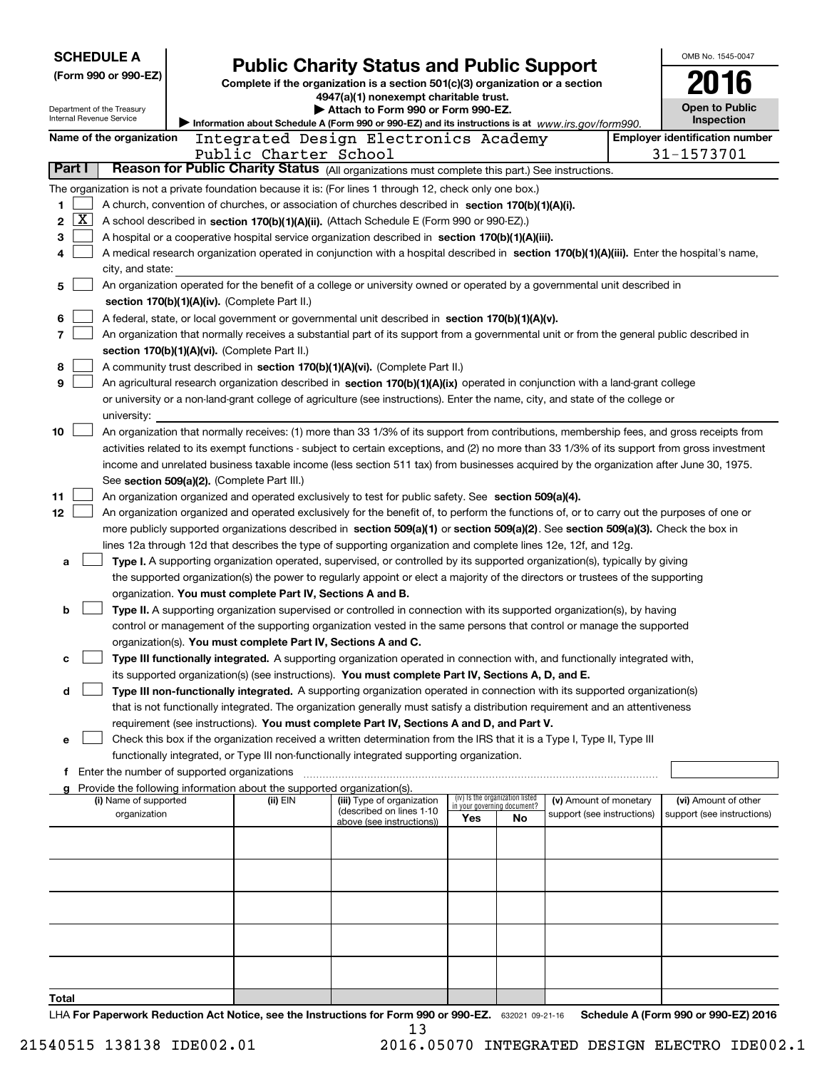| <b>SCHEDULE A</b><br><b>Public Charity Status and Public Support</b> |                                                                                                                                               |                       |                                                                                                                                                                                                                                                                                  |                                    |    | OMB No. 1545-0047          |  |                                                     |
|----------------------------------------------------------------------|-----------------------------------------------------------------------------------------------------------------------------------------------|-----------------------|----------------------------------------------------------------------------------------------------------------------------------------------------------------------------------------------------------------------------------------------------------------------------------|------------------------------------|----|----------------------------|--|-----------------------------------------------------|
| (Form 990 or 990-EZ)                                                 |                                                                                                                                               |                       | Complete if the organization is a section 501(c)(3) organization or a section                                                                                                                                                                                                    |                                    |    |                            |  |                                                     |
|                                                                      |                                                                                                                                               |                       | 4947(a)(1) nonexempt charitable trust.                                                                                                                                                                                                                                           |                                    |    |                            |  |                                                     |
| Department of the Treasury<br>Internal Revenue Service               |                                                                                                                                               |                       | ▶ Attach to Form 990 or Form 990-EZ.                                                                                                                                                                                                                                             |                                    |    |                            |  | Open to Public<br>Inspection                        |
|                                                                      |                                                                                                                                               |                       | Information about Schedule A (Form 990 or 990-EZ) and its instructions is at www.irs.gov/form990.                                                                                                                                                                                |                                    |    |                            |  |                                                     |
| Name of the organization                                             |                                                                                                                                               | Public Charter School | Integrated Design Electronics Academy                                                                                                                                                                                                                                            |                                    |    |                            |  | <b>Employer identification number</b><br>31-1573701 |
| Part I                                                               |                                                                                                                                               |                       | Reason for Public Charity Status (All organizations must complete this part.) See instructions.                                                                                                                                                                                  |                                    |    |                            |  |                                                     |
|                                                                      |                                                                                                                                               |                       | The organization is not a private foundation because it is: (For lines 1 through 12, check only one box.)                                                                                                                                                                        |                                    |    |                            |  |                                                     |
| 1                                                                    |                                                                                                                                               |                       | A church, convention of churches, or association of churches described in section 170(b)(1)(A)(i).                                                                                                                                                                               |                                    |    |                            |  |                                                     |
| x<br>2                                                               |                                                                                                                                               |                       | A school described in section 170(b)(1)(A)(ii). (Attach Schedule E (Form 990 or 990-EZ).)                                                                                                                                                                                        |                                    |    |                            |  |                                                     |
| 3                                                                    |                                                                                                                                               |                       | A hospital or a cooperative hospital service organization described in section 170(b)(1)(A)(iii).                                                                                                                                                                                |                                    |    |                            |  |                                                     |
| 4                                                                    |                                                                                                                                               |                       | A medical research organization operated in conjunction with a hospital described in section 170(b)(1)(A)(iii). Enter the hospital's name,                                                                                                                                       |                                    |    |                            |  |                                                     |
| city, and state:                                                     |                                                                                                                                               |                       |                                                                                                                                                                                                                                                                                  |                                    |    |                            |  |                                                     |
| 5                                                                    |                                                                                                                                               |                       | An organization operated for the benefit of a college or university owned or operated by a governmental unit described in                                                                                                                                                        |                                    |    |                            |  |                                                     |
|                                                                      | section 170(b)(1)(A)(iv). (Complete Part II.)                                                                                                 |                       |                                                                                                                                                                                                                                                                                  |                                    |    |                            |  |                                                     |
| 6                                                                    |                                                                                                                                               |                       | A federal, state, or local government or governmental unit described in section 170(b)(1)(A)(v).                                                                                                                                                                                 |                                    |    |                            |  |                                                     |
| 7                                                                    |                                                                                                                                               |                       | An organization that normally receives a substantial part of its support from a governmental unit or from the general public described in                                                                                                                                        |                                    |    |                            |  |                                                     |
| 8                                                                    | section 170(b)(1)(A)(vi). (Complete Part II.)                                                                                                 |                       | A community trust described in section 170(b)(1)(A)(vi). (Complete Part II.)                                                                                                                                                                                                     |                                    |    |                            |  |                                                     |
| 9                                                                    |                                                                                                                                               |                       | An agricultural research organization described in section 170(b)(1)(A)(ix) operated in conjunction with a land-grant college                                                                                                                                                    |                                    |    |                            |  |                                                     |
|                                                                      |                                                                                                                                               |                       | or university or a non-land-grant college of agriculture (see instructions). Enter the name, city, and state of the college or                                                                                                                                                   |                                    |    |                            |  |                                                     |
| university:                                                          |                                                                                                                                               |                       |                                                                                                                                                                                                                                                                                  |                                    |    |                            |  |                                                     |
| 10                                                                   |                                                                                                                                               |                       | An organization that normally receives: (1) more than 33 1/3% of its support from contributions, membership fees, and gross receipts from                                                                                                                                        |                                    |    |                            |  |                                                     |
|                                                                      | activities related to its exempt functions - subject to certain exceptions, and (2) no more than 33 1/3% of its support from gross investment |                       |                                                                                                                                                                                                                                                                                  |                                    |    |                            |  |                                                     |
|                                                                      | income and unrelated business taxable income (less section 511 tax) from businesses acquired by the organization after June 30, 1975.         |                       |                                                                                                                                                                                                                                                                                  |                                    |    |                            |  |                                                     |
|                                                                      | See section 509(a)(2). (Complete Part III.)                                                                                                   |                       |                                                                                                                                                                                                                                                                                  |                                    |    |                            |  |                                                     |
| 11<br>12                                                             |                                                                                                                                               |                       | An organization organized and operated exclusively to test for public safety. See section 509(a)(4).                                                                                                                                                                             |                                    |    |                            |  |                                                     |
|                                                                      |                                                                                                                                               |                       | An organization organized and operated exclusively for the benefit of, to perform the functions of, or to carry out the purposes of one or<br>more publicly supported organizations described in section 509(a)(1) or section 509(a)(2). See section 509(a)(3). Check the box in |                                    |    |                            |  |                                                     |
|                                                                      |                                                                                                                                               |                       | lines 12a through 12d that describes the type of supporting organization and complete lines 12e, 12f, and 12g.                                                                                                                                                                   |                                    |    |                            |  |                                                     |
| a                                                                    |                                                                                                                                               |                       | Type I. A supporting organization operated, supervised, or controlled by its supported organization(s), typically by giving                                                                                                                                                      |                                    |    |                            |  |                                                     |
|                                                                      |                                                                                                                                               |                       | the supported organization(s) the power to regularly appoint or elect a majority of the directors or trustees of the supporting                                                                                                                                                  |                                    |    |                            |  |                                                     |
|                                                                      | organization. You must complete Part IV, Sections A and B.                                                                                    |                       |                                                                                                                                                                                                                                                                                  |                                    |    |                            |  |                                                     |
| b                                                                    |                                                                                                                                               |                       | Type II. A supporting organization supervised or controlled in connection with its supported organization(s), by having                                                                                                                                                          |                                    |    |                            |  |                                                     |
|                                                                      |                                                                                                                                               |                       | control or management of the supporting organization vested in the same persons that control or manage the supported                                                                                                                                                             |                                    |    |                            |  |                                                     |
|                                                                      | organization(s). You must complete Part IV, Sections A and C.                                                                                 |                       |                                                                                                                                                                                                                                                                                  |                                    |    |                            |  |                                                     |
| c                                                                    |                                                                                                                                               |                       | Type III functionally integrated. A supporting organization operated in connection with, and functionally integrated with,<br>its supported organization(s) (see instructions). You must complete Part IV, Sections A, D, and E.                                                 |                                    |    |                            |  |                                                     |
| d                                                                    |                                                                                                                                               |                       | Type III non-functionally integrated. A supporting organization operated in connection with its supported organization(s)                                                                                                                                                        |                                    |    |                            |  |                                                     |
|                                                                      |                                                                                                                                               |                       | that is not functionally integrated. The organization generally must satisfy a distribution requirement and an attentiveness                                                                                                                                                     |                                    |    |                            |  |                                                     |
|                                                                      |                                                                                                                                               |                       | requirement (see instructions). You must complete Part IV, Sections A and D, and Part V.                                                                                                                                                                                         |                                    |    |                            |  |                                                     |
| e                                                                    |                                                                                                                                               |                       | Check this box if the organization received a written determination from the IRS that it is a Type I, Type II, Type III                                                                                                                                                          |                                    |    |                            |  |                                                     |
|                                                                      |                                                                                                                                               |                       | functionally integrated, or Type III non-functionally integrated supporting organization.                                                                                                                                                                                        |                                    |    |                            |  |                                                     |
| f Enter the number of supported organizations                        |                                                                                                                                               |                       |                                                                                                                                                                                                                                                                                  |                                    |    |                            |  |                                                     |
| (i) Name of supported                                                | Provide the following information about the supported organization(s).                                                                        | (ii) EIN              | (iii) Type of organization                                                                                                                                                                                                                                                       | (iv) Is the organization listed    |    | (v) Amount of monetary     |  | (vi) Amount of other                                |
| organization                                                         |                                                                                                                                               |                       | (described on lines 1-10                                                                                                                                                                                                                                                         | in your governing document?<br>Yes | No | support (see instructions) |  | support (see instructions)                          |
|                                                                      |                                                                                                                                               |                       | above (see instructions))                                                                                                                                                                                                                                                        |                                    |    |                            |  |                                                     |
|                                                                      |                                                                                                                                               |                       |                                                                                                                                                                                                                                                                                  |                                    |    |                            |  |                                                     |
|                                                                      |                                                                                                                                               |                       |                                                                                                                                                                                                                                                                                  |                                    |    |                            |  |                                                     |
|                                                                      |                                                                                                                                               |                       |                                                                                                                                                                                                                                                                                  |                                    |    |                            |  |                                                     |
|                                                                      |                                                                                                                                               |                       |                                                                                                                                                                                                                                                                                  |                                    |    |                            |  |                                                     |
|                                                                      |                                                                                                                                               |                       |                                                                                                                                                                                                                                                                                  |                                    |    |                            |  |                                                     |
|                                                                      |                                                                                                                                               |                       |                                                                                                                                                                                                                                                                                  |                                    |    |                            |  |                                                     |
|                                                                      |                                                                                                                                               |                       |                                                                                                                                                                                                                                                                                  |                                    |    |                            |  |                                                     |
|                                                                      |                                                                                                                                               |                       |                                                                                                                                                                                                                                                                                  |                                    |    |                            |  |                                                     |
| Total                                                                |                                                                                                                                               |                       |                                                                                                                                                                                                                                                                                  |                                    |    |                            |  |                                                     |
| منافس والممتاح الممرورة                                              |                                                                                                                                               | ويستمعوا لمعالج متمام | Atiana fau Faum 000 au 000 EZ                                                                                                                                                                                                                                                    |                                    |    |                            |  | Cabadula A (Faum 000 au 000 EZ) 0016                |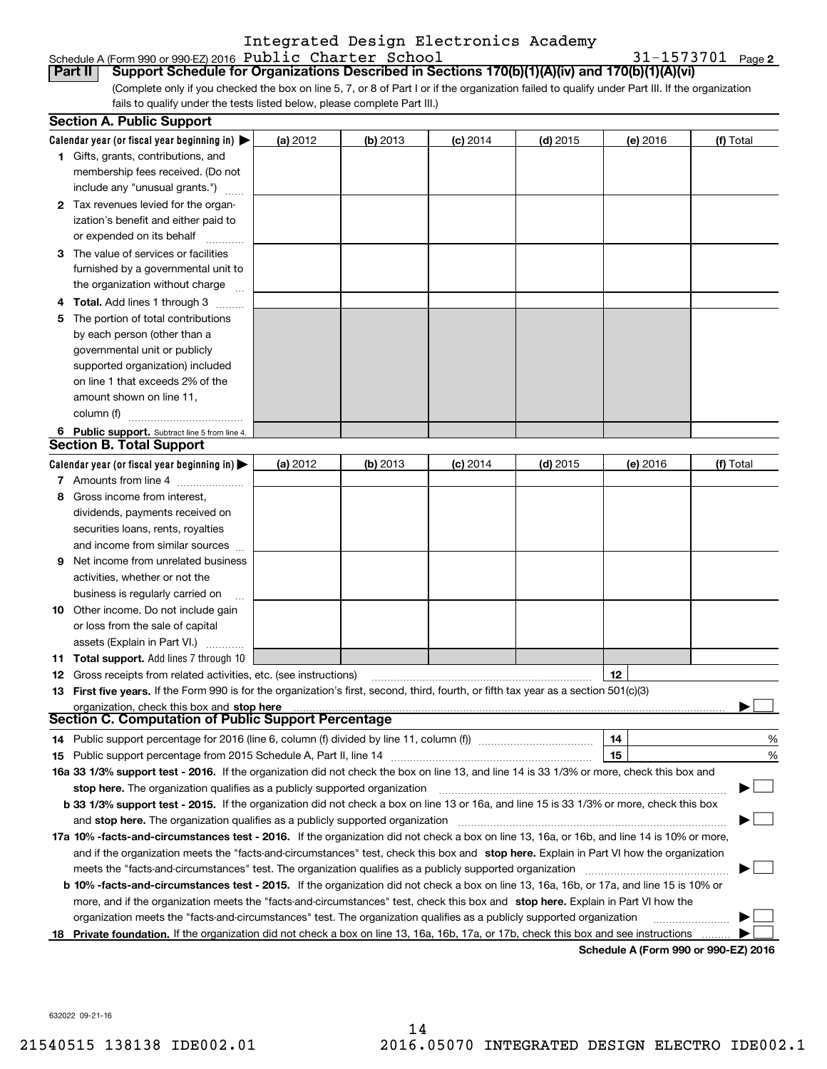### Schedule A (Form 990 or 990-EZ) 2016 Page Public Charter School 31-1573701 Integrated Design Electronics Academy

**2**

(Complete only if you checked the box on line 5, 7, or 8 of Part I or if the organization failed to qualify under Part III. If the organization **Part II Support Schedule for Organizations Described in Sections 170(b)(1)(A)(iv) and 170(b)(1)(A)(vi)**

fails to qualify under the tests listed below, please complete Part III.)

|    | <b>Section A. Public Support</b>                                                                                                                                                                                               |          |            |            |            |          |                                      |
|----|--------------------------------------------------------------------------------------------------------------------------------------------------------------------------------------------------------------------------------|----------|------------|------------|------------|----------|--------------------------------------|
|    | Calendar year (or fiscal year beginning in) $\blacktriangleright$                                                                                                                                                              | (a) 2012 | $(b)$ 2013 | $(c)$ 2014 | $(d)$ 2015 | (e) 2016 | (f) Total                            |
|    | 1 Gifts, grants, contributions, and                                                                                                                                                                                            |          |            |            |            |          |                                      |
|    | membership fees received. (Do not                                                                                                                                                                                              |          |            |            |            |          |                                      |
|    | include any "unusual grants.")                                                                                                                                                                                                 |          |            |            |            |          |                                      |
|    | 2 Tax revenues levied for the organ-                                                                                                                                                                                           |          |            |            |            |          |                                      |
|    | ization's benefit and either paid to                                                                                                                                                                                           |          |            |            |            |          |                                      |
|    | or expended on its behalf                                                                                                                                                                                                      |          |            |            |            |          |                                      |
|    | 3 The value of services or facilities                                                                                                                                                                                          |          |            |            |            |          |                                      |
|    | furnished by a governmental unit to                                                                                                                                                                                            |          |            |            |            |          |                                      |
|    | the organization without charge                                                                                                                                                                                                |          |            |            |            |          |                                      |
|    | <b>Total.</b> Add lines 1 through 3                                                                                                                                                                                            |          |            |            |            |          |                                      |
|    | The portion of total contributions                                                                                                                                                                                             |          |            |            |            |          |                                      |
|    | by each person (other than a                                                                                                                                                                                                   |          |            |            |            |          |                                      |
|    | governmental unit or publicly                                                                                                                                                                                                  |          |            |            |            |          |                                      |
|    | supported organization) included                                                                                                                                                                                               |          |            |            |            |          |                                      |
|    | on line 1 that exceeds 2% of the                                                                                                                                                                                               |          |            |            |            |          |                                      |
|    | amount shown on line 11.                                                                                                                                                                                                       |          |            |            |            |          |                                      |
|    | column (f)                                                                                                                                                                                                                     |          |            |            |            |          |                                      |
|    | 6 Public support. Subtract line 5 from line 4.                                                                                                                                                                                 |          |            |            |            |          |                                      |
|    | <b>Section B. Total Support</b>                                                                                                                                                                                                |          |            |            |            |          |                                      |
|    | Calendar year (or fiscal year beginning in)                                                                                                                                                                                    | (a) 2012 | $(b)$ 2013 | $(c)$ 2014 | $(d)$ 2015 | (e) 2016 | (f) Total                            |
|    | 7 Amounts from line 4                                                                                                                                                                                                          |          |            |            |            |          |                                      |
| 8  | Gross income from interest,                                                                                                                                                                                                    |          |            |            |            |          |                                      |
|    | dividends, payments received on                                                                                                                                                                                                |          |            |            |            |          |                                      |
|    | securities loans, rents, royalties                                                                                                                                                                                             |          |            |            |            |          |                                      |
|    | and income from similar sources                                                                                                                                                                                                |          |            |            |            |          |                                      |
| 9  | Net income from unrelated business                                                                                                                                                                                             |          |            |            |            |          |                                      |
|    | activities, whether or not the                                                                                                                                                                                                 |          |            |            |            |          |                                      |
|    | business is regularly carried on                                                                                                                                                                                               |          |            |            |            |          |                                      |
| 10 | Other income. Do not include gain                                                                                                                                                                                              |          |            |            |            |          |                                      |
|    | or loss from the sale of capital                                                                                                                                                                                               |          |            |            |            |          |                                      |
|    | assets (Explain in Part VI.)                                                                                                                                                                                                   |          |            |            |            |          |                                      |
|    | 11 Total support. Add lines 7 through 10                                                                                                                                                                                       |          |            |            |            |          |                                      |
| 12 | Gross receipts from related activities, etc. (see instructions)                                                                                                                                                                |          |            |            |            | 12       |                                      |
|    | 13 First five years. If the Form 990 is for the organization's first, second, third, fourth, or fifth tax year as a section 501(c)(3)                                                                                          |          |            |            |            |          |                                      |
|    | organization, check this box and stop here manufactured and according to the state of the state of the state of the state of the state of the state of the state of the state of the state of the state of the state of the st |          |            |            |            |          |                                      |
|    | <b>Section C. Computation of Public Support Percentage</b>                                                                                                                                                                     |          |            |            |            |          |                                      |
|    | 14 Public support percentage for 2016 (line 6, column (f) divided by line 11, column (f) <i>manumeronominimi</i> ng                                                                                                            |          |            |            |            | 14       | %                                    |
|    |                                                                                                                                                                                                                                |          |            |            |            | 15       | %                                    |
|    | 16a 33 1/3% support test - 2016. If the organization did not check the box on line 13, and line 14 is 33 1/3% or more, check this box and                                                                                      |          |            |            |            |          |                                      |
|    | stop here. The organization qualifies as a publicly supported organization                                                                                                                                                     |          |            |            |            |          |                                      |
|    | b 33 1/3% support test - 2015. If the organization did not check a box on line 13 or 16a, and line 15 is 33 1/3% or more, check this box                                                                                       |          |            |            |            |          |                                      |
|    | and stop here. The organization qualifies as a publicly supported organization                                                                                                                                                 |          |            |            |            |          |                                      |
|    | 17a 10% -facts-and-circumstances test - 2016. If the organization did not check a box on line 13, 16a, or 16b, and line 14 is 10% or more,                                                                                     |          |            |            |            |          |                                      |
|    | and if the organization meets the "facts-and-circumstances" test, check this box and stop here. Explain in Part VI how the organization                                                                                        |          |            |            |            |          |                                      |
|    | meets the "facts-and-circumstances" test. The organization qualifies as a publicly supported organization                                                                                                                      |          |            |            |            |          |                                      |
|    | <b>b 10% -facts-and-circumstances test - 2015.</b> If the organization did not check a box on line 13, 16a, 16b, or 17a, and line 15 is 10% or                                                                                 |          |            |            |            |          |                                      |
|    | more, and if the organization meets the "facts-and-circumstances" test, check this box and stop here. Explain in Part VI how the                                                                                               |          |            |            |            |          |                                      |
|    | organization meets the "facts-and-circumstances" test. The organization qualifies as a publicly supported organization                                                                                                         |          |            |            |            |          |                                      |
|    | Private foundation. If the organization did not check a box on line 13, 16a, 16b, 17a, or 17b, check this box and see instructions                                                                                             |          |            |            |            |          |                                      |
|    |                                                                                                                                                                                                                                |          |            |            |            |          | Schedule A (Form 990 or 990-F7) 2016 |

**Schedule A (Form 990 or 990-EZ) 2016**

632022 09-21-16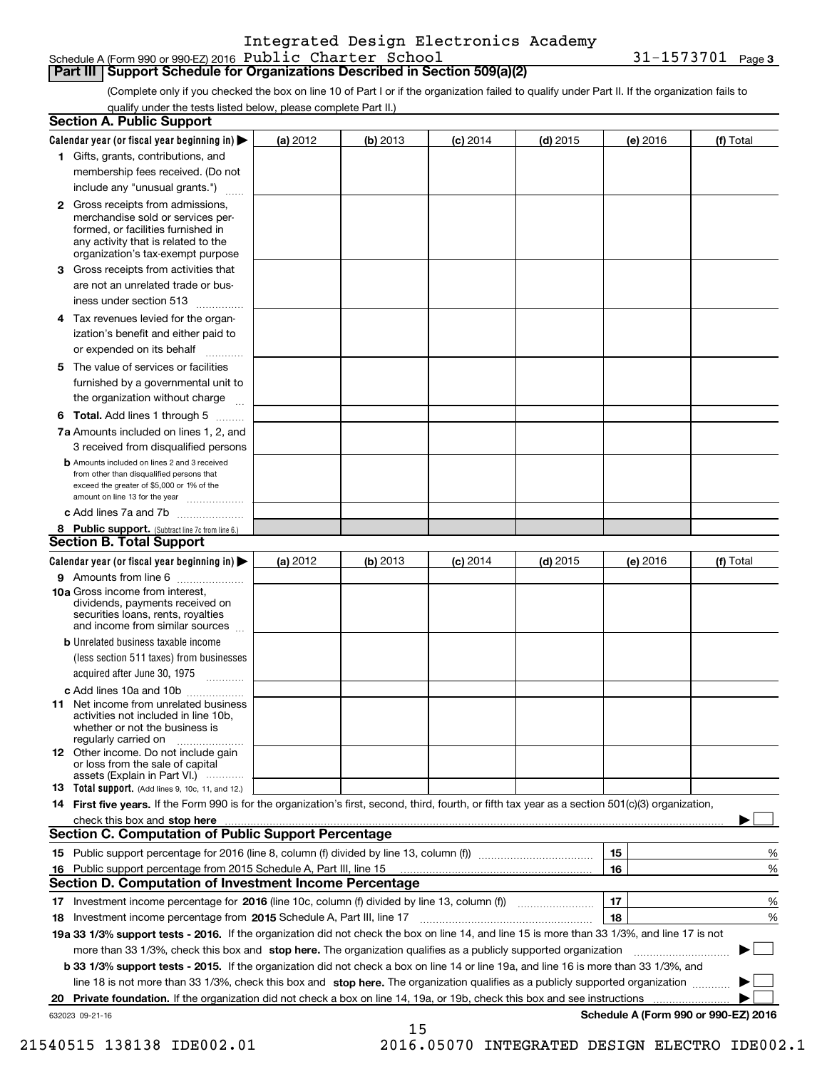**3** Schedule A (Form 990 or 990-EZ) 2016 Page Public Charter School 31-1573701

## **Part III Support Schedule for Organizations Described in Section 509(a)(2)**

(Complete only if you checked the box on line 10 of Part I or if the organization failed to qualify under Part II. If the organization fails to qualify under the tests listed below, please complete Part II.)

|     | <b>Section A. Public Support</b>                                                                                                                                                                |            |          |            |            |          |                                      |
|-----|-------------------------------------------------------------------------------------------------------------------------------------------------------------------------------------------------|------------|----------|------------|------------|----------|--------------------------------------|
|     | Calendar year (or fiscal year beginning in) $\blacktriangleright$                                                                                                                               | (a) 2012   | (b) 2013 | $(c)$ 2014 | $(d)$ 2015 | (e) 2016 | (f) Total                            |
|     | 1 Gifts, grants, contributions, and                                                                                                                                                             |            |          |            |            |          |                                      |
|     | membership fees received. (Do not                                                                                                                                                               |            |          |            |            |          |                                      |
|     | include any "unusual grants.")                                                                                                                                                                  |            |          |            |            |          |                                      |
|     | <b>2</b> Gross receipts from admissions,<br>merchandise sold or services per-<br>formed, or facilities furnished in<br>any activity that is related to the<br>organization's tax-exempt purpose |            |          |            |            |          |                                      |
|     | 3 Gross receipts from activities that<br>are not an unrelated trade or bus-                                                                                                                     |            |          |            |            |          |                                      |
|     | iness under section 513                                                                                                                                                                         |            |          |            |            |          |                                      |
|     | 4 Tax revenues levied for the organ-<br>ization's benefit and either paid to                                                                                                                    |            |          |            |            |          |                                      |
|     | or expended on its behalf<br>.                                                                                                                                                                  |            |          |            |            |          |                                      |
|     | 5 The value of services or facilities<br>furnished by a governmental unit to                                                                                                                    |            |          |            |            |          |                                      |
|     | the organization without charge                                                                                                                                                                 |            |          |            |            |          |                                      |
|     | <b>6 Total.</b> Add lines 1 through 5<br>7a Amounts included on lines 1, 2, and                                                                                                                 |            |          |            |            |          |                                      |
|     | 3 received from disqualified persons                                                                                                                                                            |            |          |            |            |          |                                      |
|     | <b>b</b> Amounts included on lines 2 and 3 received<br>from other than disqualified persons that<br>exceed the greater of \$5,000 or 1% of the<br>amount on line 13 for the year                |            |          |            |            |          |                                      |
|     | c Add lines 7a and 7b                                                                                                                                                                           |            |          |            |            |          |                                      |
|     | 8 Public support. (Subtract line 7c from line 6.)<br><b>Section B. Total Support</b>                                                                                                            |            |          |            |            |          |                                      |
|     | Calendar year (or fiscal year beginning in)                                                                                                                                                     | (a) $2012$ | (b) 2013 | $(c)$ 2014 | $(d)$ 2015 | (e) 2016 | (f) Total                            |
|     | 9 Amounts from line 6                                                                                                                                                                           |            |          |            |            |          |                                      |
|     | 10a Gross income from interest,<br>dividends, payments received on<br>securities loans, rents, royalties<br>and income from similar sources                                                     |            |          |            |            |          |                                      |
|     | <b>b</b> Unrelated business taxable income<br>(less section 511 taxes) from businesses                                                                                                          |            |          |            |            |          |                                      |
|     | acquired after June 30, 1975                                                                                                                                                                    |            |          |            |            |          |                                      |
|     | c Add lines 10a and 10b<br>11 Net income from unrelated business<br>activities not included in line 10b,<br>whether or not the business is<br>regularly carried on                              |            |          |            |            |          |                                      |
|     | 12 Other income. Do not include gain<br>or loss from the sale of capital<br>assets (Explain in Part VI.)                                                                                        |            |          |            |            |          |                                      |
|     | 13 Total support. (Add lines 9, 10c, 11, and 12.)                                                                                                                                               |            |          |            |            |          |                                      |
|     | 14 First five years. If the Form 990 is for the organization's first, second, third, fourth, or fifth tax year as a section 501(c)(3) organization,                                             |            |          |            |            |          |                                      |
|     | check this box and stop here with the continuum control to the state of the state of the state of the state of                                                                                  |            |          |            |            |          |                                      |
|     | <b>Section C. Computation of Public Support Percentage</b>                                                                                                                                      |            |          |            |            |          |                                      |
|     |                                                                                                                                                                                                 |            |          |            |            | 15       | %                                    |
| 16. | Public support percentage from 2015 Schedule A, Part III, line 15                                                                                                                               |            |          |            |            | 16       | %                                    |
|     | <b>Section D. Computation of Investment Income Percentage</b>                                                                                                                                   |            |          |            |            |          |                                      |
|     | 17 Investment income percentage for 2016 (line 10c, column (f) divided by line 13, column (f))<br>18 Investment income percentage from 2015 Schedule A, Part III, line 17                       |            |          |            |            | 17<br>18 | %<br>%                               |
|     | 19a 33 1/3% support tests - 2016. If the organization did not check the box on line 14, and line 15 is more than 33 1/3%, and line 17 is not                                                    |            |          |            |            |          |                                      |
|     | more than 33 1/3%, check this box and stop here. The organization qualifies as a publicly supported organization                                                                                |            |          |            |            |          |                                      |
|     | b 33 1/3% support tests - 2015. If the organization did not check a box on line 14 or line 19a, and line 16 is more than 33 1/3%, and                                                           |            |          |            |            |          |                                      |
|     | line 18 is not more than 33 1/3%, check this box and stop here. The organization qualifies as a publicly supported organization                                                                 |            |          |            |            |          |                                      |
|     | 20 Private foundation. If the organization did not check a box on line 14, 19a, or 19b, check this box and see instructions                                                                     |            |          |            |            |          | .                                    |
|     | 632023 09-21-16                                                                                                                                                                                 |            |          |            |            |          | Schedule A (Form 990 or 990-EZ) 2016 |
|     |                                                                                                                                                                                                 |            | 15       |            |            |          |                                      |

 <sup>21540515 138138</sup> IDE002.01 2016.05070 INTEGRATED DESIGN ELECTRO IDE002.1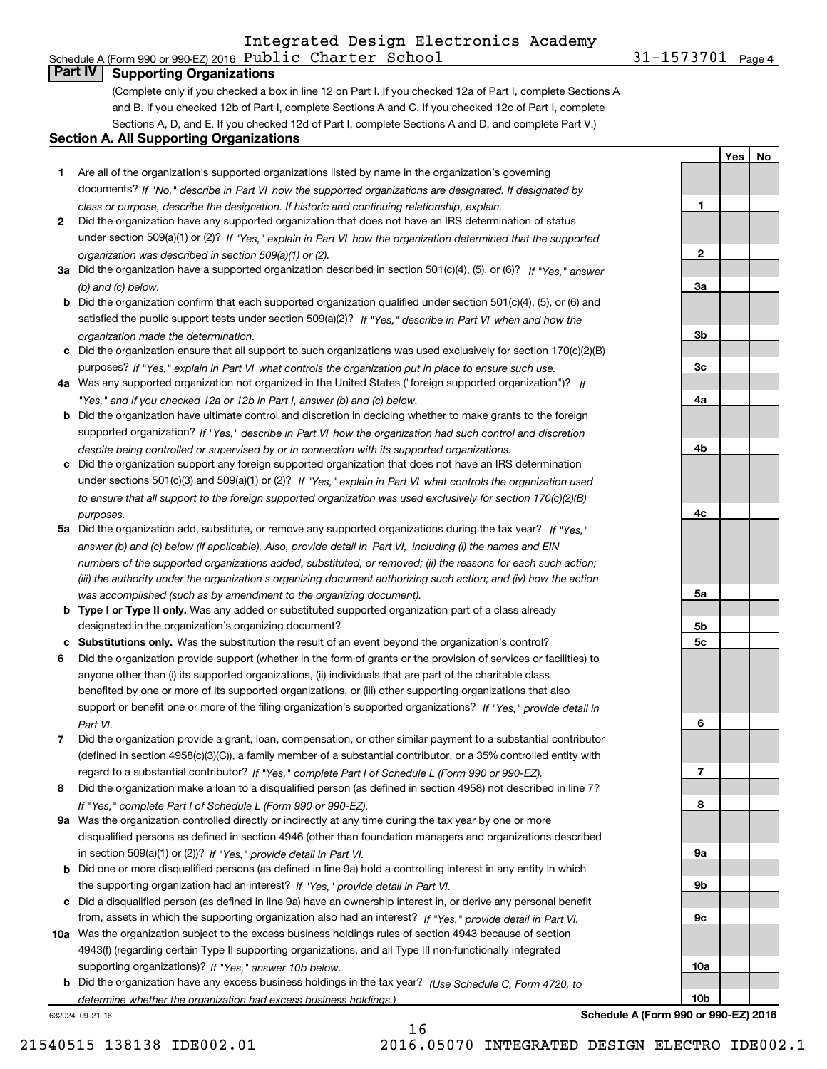### Schedule A (Form 990 or 990-EZ) 2016 Page Public Charter School 31-1573701 Integrated Design Electronics Academy

31-1573701 Page 4

**1**

**2**

**3a**

**3b**

**3c**

**4a**

**4b**

**4c**

**5a**

**5b5c**

**6**

**7**

**8**

**9a**

**9b**

**9c**

**10a**

**10b**

**YesNo**

# **Part IV Supporting Organizations**

(Complete only if you checked a box in line 12 on Part I. If you checked 12a of Part I, complete Sections A and B. If you checked 12b of Part I, complete Sections A and C. If you checked 12c of Part I, complete Sections A, D, and E. If you checked 12d of Part I, complete Sections A and D, and complete Part V.)

### **Section A. All Supporting Organizations**

- **1** Are all of the organization's supported organizations listed by name in the organization's governing documents? If "No," describe in Part VI how the supported organizations are designated. If designated by *class or purpose, describe the designation. If historic and continuing relationship, explain.*
- **2** Did the organization have any supported organization that does not have an IRS determination of status under section 509(a)(1) or (2)? If "Yes," explain in Part VI how the organization determined that the supported *organization was described in section 509(a)(1) or (2).*
- **3a** Did the organization have a supported organization described in section 501(c)(4), (5), or (6)? If "Yes," answer *(b) and (c) below.*
- **b** Did the organization confirm that each supported organization qualified under section 501(c)(4), (5), or (6) and satisfied the public support tests under section 509(a)(2)? If "Yes," describe in Part VI when and how the *organization made the determination.*
- **c**Did the organization ensure that all support to such organizations was used exclusively for section 170(c)(2)(B) purposes? If "Yes," explain in Part VI what controls the organization put in place to ensure such use.
- **4a***If* Was any supported organization not organized in the United States ("foreign supported organization")? *"Yes," and if you checked 12a or 12b in Part I, answer (b) and (c) below.*
- **b** Did the organization have ultimate control and discretion in deciding whether to make grants to the foreign supported organization? If "Yes," describe in Part VI how the organization had such control and discretion *despite being controlled or supervised by or in connection with its supported organizations.*
- **c** Did the organization support any foreign supported organization that does not have an IRS determination under sections 501(c)(3) and 509(a)(1) or (2)? If "Yes," explain in Part VI what controls the organization used *to ensure that all support to the foreign supported organization was used exclusively for section 170(c)(2)(B) purposes.*
- **5a** Did the organization add, substitute, or remove any supported organizations during the tax year? If "Yes," answer (b) and (c) below (if applicable). Also, provide detail in Part VI, including (i) the names and EIN *numbers of the supported organizations added, substituted, or removed; (ii) the reasons for each such action; (iii) the authority under the organization's organizing document authorizing such action; and (iv) how the action was accomplished (such as by amendment to the organizing document).*
- **b** Type I or Type II only. Was any added or substituted supported organization part of a class already designated in the organization's organizing document?
- **cSubstitutions only.**  Was the substitution the result of an event beyond the organization's control?
- **6** Did the organization provide support (whether in the form of grants or the provision of services or facilities) to *If "Yes," provide detail in* support or benefit one or more of the filing organization's supported organizations? anyone other than (i) its supported organizations, (ii) individuals that are part of the charitable class benefited by one or more of its supported organizations, or (iii) other supporting organizations that also *Part VI.*
- **7**Did the organization provide a grant, loan, compensation, or other similar payment to a substantial contributor *If "Yes," complete Part I of Schedule L (Form 990 or 990-EZ).* regard to a substantial contributor? (defined in section 4958(c)(3)(C)), a family member of a substantial contributor, or a 35% controlled entity with
- **8** Did the organization make a loan to a disqualified person (as defined in section 4958) not described in line 7? *If "Yes," complete Part I of Schedule L (Form 990 or 990-EZ).*
- **9a** Was the organization controlled directly or indirectly at any time during the tax year by one or more in section 509(a)(1) or (2))? If "Yes," *provide detail in Part VI.* disqualified persons as defined in section 4946 (other than foundation managers and organizations described
- **b**the supporting organization had an interest? If "Yes," provide detail in Part VI. Did one or more disqualified persons (as defined in line 9a) hold a controlling interest in any entity in which
- **c**Did a disqualified person (as defined in line 9a) have an ownership interest in, or derive any personal benefit from, assets in which the supporting organization also had an interest? If "Yes," provide detail in Part VI.
- **10a** Was the organization subject to the excess business holdings rules of section 4943 because of section supporting organizations)? If "Yes," answer 10b below. 4943(f) (regarding certain Type II supporting organizations, and all Type III non-functionally integrated
- **b** Did the organization have any excess business holdings in the tax year? (Use Schedule C, Form 4720, to *determine whether the organization had excess business holdings.)*

16

632024 09-21-16

**Schedule A (Form 990 or 990-EZ) 2016**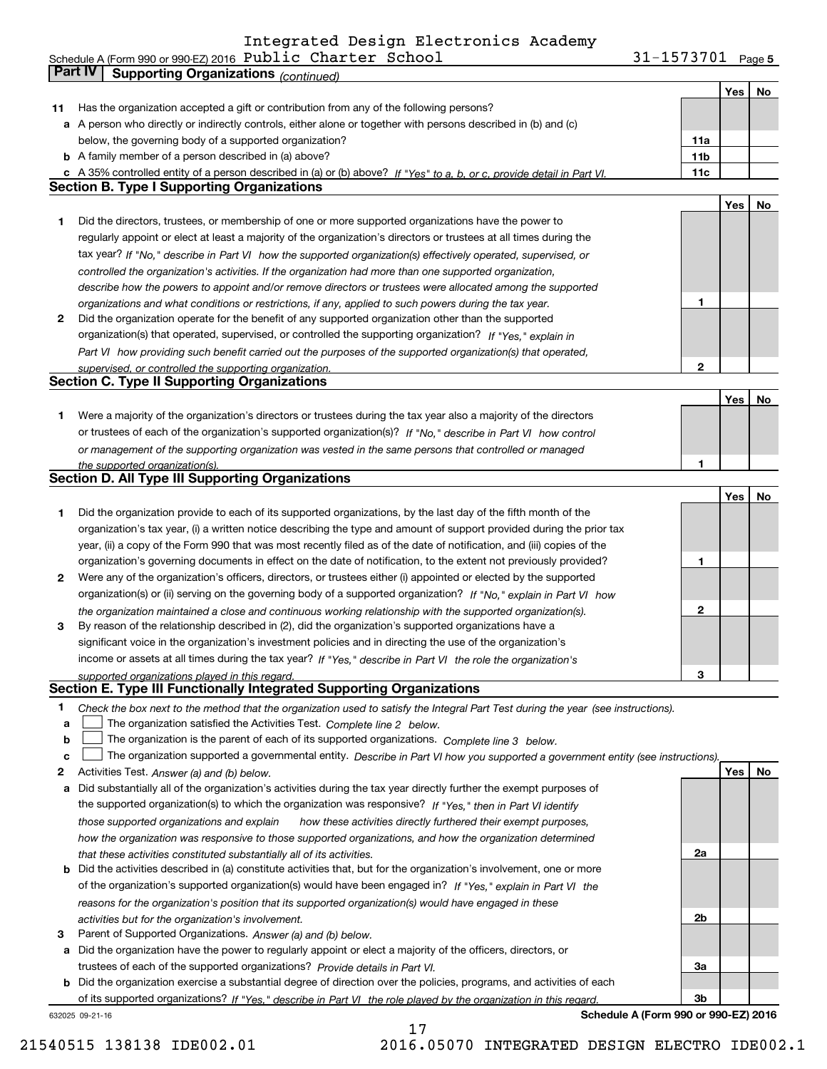#### Public Charter School 31-1573701 Integrated Design Electronics Academy

**5** Schedule A (Form 990 or 990-EZ) 2016 PUDIIC(Charter(School)(Marchaeldule A Marchaeldule A J1-1573701(Page)

|    | Part IV<br><b>Supporting Organizations (continued)</b>                                                                            |                 |     |    |
|----|-----------------------------------------------------------------------------------------------------------------------------------|-----------------|-----|----|
|    |                                                                                                                                   |                 | Yes | No |
| 11 | Has the organization accepted a gift or contribution from any of the following persons?                                           |                 |     |    |
|    | a A person who directly or indirectly controls, either alone or together with persons described in (b) and (c)                    |                 |     |    |
|    | below, the governing body of a supported organization?                                                                            | 11a             |     |    |
|    | <b>b</b> A family member of a person described in (a) above?                                                                      | 11 <sub>b</sub> |     |    |
|    | c A 35% controlled entity of a person described in (a) or (b) above? If "Yes" to a, b, or c, provide detail in Part VI.           | 11c             |     |    |
|    | <b>Section B. Type I Supporting Organizations</b>                                                                                 |                 |     |    |
|    |                                                                                                                                   |                 |     |    |
|    |                                                                                                                                   |                 | Yes | No |
| 1  | Did the directors, trustees, or membership of one or more supported organizations have the power to                               |                 |     |    |
|    | regularly appoint or elect at least a majority of the organization's directors or trustees at all times during the                |                 |     |    |
|    | tax year? If "No," describe in Part VI how the supported organization(s) effectively operated, supervised, or                     |                 |     |    |
|    | controlled the organization's activities. If the organization had more than one supported organization,                           |                 |     |    |
|    | describe how the powers to appoint and/or remove directors or trustees were allocated among the supported                         |                 |     |    |
|    | organizations and what conditions or restrictions, if any, applied to such powers during the tax year.                            | 1               |     |    |
| 2  | Did the organization operate for the benefit of any supported organization other than the supported                               |                 |     |    |
|    | organization(s) that operated, supervised, or controlled the supporting organization? If "Yes," explain in                        |                 |     |    |
|    | Part VI how providing such benefit carried out the purposes of the supported organization(s) that operated,                       |                 |     |    |
|    | supervised, or controlled the supporting organization.                                                                            | 2               |     |    |
|    | <b>Section C. Type II Supporting Organizations</b>                                                                                |                 |     |    |
|    |                                                                                                                                   |                 | Yes | No |
| 1  | Were a majority of the organization's directors or trustees during the tax year also a majority of the directors                  |                 |     |    |
|    | or trustees of each of the organization's supported organization(s)? If "No," describe in Part VI how control                     |                 |     |    |
|    | or management of the supporting organization was vested in the same persons that controlled or managed                            |                 |     |    |
|    | the supported organization(s).                                                                                                    | 1               |     |    |
|    | <b>Section D. All Type III Supporting Organizations</b>                                                                           |                 |     |    |
|    |                                                                                                                                   |                 | Yes | No |
| 1  | Did the organization provide to each of its supported organizations, by the last day of the fifth month of the                    |                 |     |    |
|    | organization's tax year, (i) a written notice describing the type and amount of support provided during the prior tax             |                 |     |    |
|    | year, (ii) a copy of the Form 990 that was most recently filed as of the date of notification, and (iii) copies of the            |                 |     |    |
|    |                                                                                                                                   |                 |     |    |
|    | organization's governing documents in effect on the date of notification, to the extent not previously provided?                  | 1               |     |    |
| 2  | Were any of the organization's officers, directors, or trustees either (i) appointed or elected by the supported                  |                 |     |    |
|    | organization(s) or (ii) serving on the governing body of a supported organization? If "No," explain in Part VI how                |                 |     |    |
|    | the organization maintained a close and continuous working relationship with the supported organization(s).                       | $\mathbf{2}$    |     |    |
| 3  | By reason of the relationship described in (2), did the organization's supported organizations have a                             |                 |     |    |
|    | significant voice in the organization's investment policies and in directing the use of the organization's                        |                 |     |    |
|    | income or assets at all times during the tax year? If "Yes," describe in Part VI the role the organization's                      |                 |     |    |
|    | supported organizations played in this regard.                                                                                    | 3               |     |    |
|    | Section E. Type III Functionally Integrated Supporting Organizations                                                              |                 |     |    |
| 1  | Check the box next to the method that the organization used to satisfy the Integral Part Test during the year (see instructions). |                 |     |    |
| a  | The organization satisfied the Activities Test. Complete line 2 below.                                                            |                 |     |    |
| b  | The organization is the parent of each of its supported organizations. Complete line 3 below.                                     |                 |     |    |
| c  | The organization supported a governmental entity. Describe in Part VI how you supported a government entity (see instructions).   |                 |     |    |
| 2  | Activities Test. Answer (a) and (b) below.                                                                                        |                 | Yes | No |
| a  | Did substantially all of the organization's activities during the tax year directly further the exempt purposes of                |                 |     |    |
|    | the supported organization(s) to which the organization was responsive? If "Yes," then in Part VI identify                        |                 |     |    |
|    | those supported organizations and explain<br>how these activities directly furthered their exempt purposes,                       |                 |     |    |
|    | how the organization was responsive to those supported organizations, and how the organization determined                         |                 |     |    |
|    | that these activities constituted substantially all of its activities.                                                            | 2a              |     |    |
|    | <b>b</b> Did the activities described in (a) constitute activities that, but for the organization's involvement, one or more      |                 |     |    |
|    | of the organization's supported organization(s) would have been engaged in? If "Yes," explain in Part VI the                      |                 |     |    |
|    |                                                                                                                                   |                 |     |    |
|    | reasons for the organization's position that its supported organization(s) would have engaged in these                            | 2b              |     |    |
|    | activities but for the organization's involvement.                                                                                |                 |     |    |
| з  | Parent of Supported Organizations. Answer (a) and (b) below.                                                                      |                 |     |    |
| a  | Did the organization have the power to regularly appoint or elect a majority of the officers, directors, or                       |                 |     |    |
|    | trustees of each of the supported organizations? Provide details in Part VI.                                                      | За              |     |    |
|    | <b>b</b> Did the organization exercise a substantial degree of direction over the policies, programs, and activities of each      |                 |     |    |
|    | of its supported organizations? If "Yes." describe in Part VI the role played by the organization in this regard                  | 3b              |     |    |
|    | Schedule A (Form 990 or 990-EZ) 2016<br>632025 09-21-16                                                                           |                 |     |    |

17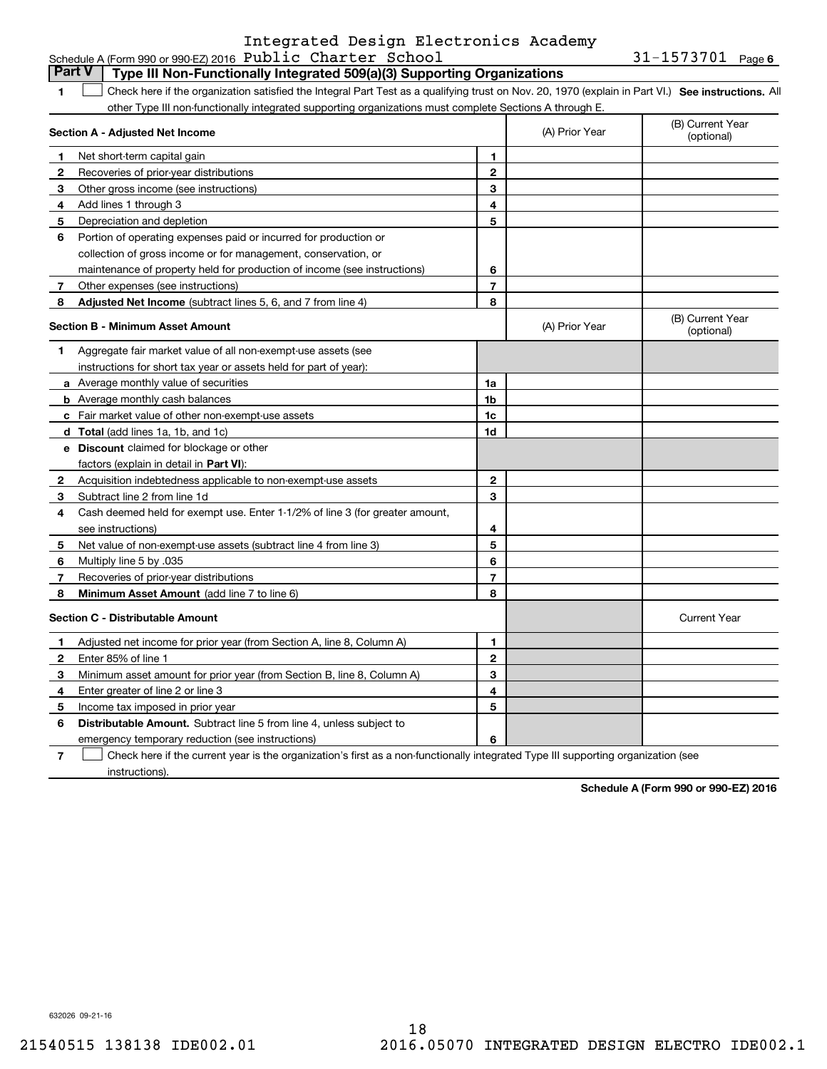## Schedule A (Form 990 or 990-EZ) 2016 Page Public Charter School 31-1573701 Integrated Design Electronics Academy

**6**

|              | <b>Part V</b><br>Type III Non-Functionally Integrated 509(a)(3) Supporting Organizations                                                          |                |                |                                |
|--------------|---------------------------------------------------------------------------------------------------------------------------------------------------|----------------|----------------|--------------------------------|
| 1.           | Check here if the organization satisfied the Integral Part Test as a qualifying trust on Nov. 20, 1970 (explain in Part VI.) See instructions. Al |                |                |                                |
|              | other Type III non-functionally integrated supporting organizations must complete Sections A through E.                                           |                |                |                                |
|              | Section A - Adjusted Net Income                                                                                                                   |                | (A) Prior Year | (B) Current Year<br>(optional) |
| 1            | Net short-term capital gain                                                                                                                       | 1              |                |                                |
| $\mathbf{2}$ | Recoveries of prior-year distributions                                                                                                            | $\mathbf{2}$   |                |                                |
| 3            | Other gross income (see instructions)                                                                                                             | 3              |                |                                |
| 4            | Add lines 1 through 3                                                                                                                             | 4              |                |                                |
| 5            | Depreciation and depletion                                                                                                                        | 5              |                |                                |
| 6            | Portion of operating expenses paid or incurred for production or                                                                                  |                |                |                                |
|              | collection of gross income or for management, conservation, or                                                                                    |                |                |                                |
|              | maintenance of property held for production of income (see instructions)                                                                          | 6              |                |                                |
| 7            | Other expenses (see instructions)                                                                                                                 | $\overline{7}$ |                |                                |
| 8            | Adjusted Net Income (subtract lines 5, 6, and 7 from line 4)                                                                                      | 8              |                |                                |
|              | <b>Section B - Minimum Asset Amount</b>                                                                                                           |                | (A) Prior Year | (B) Current Year<br>(optional) |
| 1.           | Aggregate fair market value of all non-exempt-use assets (see                                                                                     |                |                |                                |
|              | instructions for short tax year or assets held for part of year):                                                                                 |                |                |                                |
|              | a Average monthly value of securities                                                                                                             | 1a             |                |                                |
|              | <b>b</b> Average monthly cash balances                                                                                                            | 1 <sub>b</sub> |                |                                |
|              | c Fair market value of other non-exempt-use assets                                                                                                | 1c             |                |                                |
|              | <b>d</b> Total (add lines 1a, 1b, and 1c)                                                                                                         | 1d             |                |                                |
|              | e Discount claimed for blockage or other                                                                                                          |                |                |                                |
|              | factors (explain in detail in Part VI):                                                                                                           |                |                |                                |
| $\mathbf{2}$ | Acquisition indebtedness applicable to non-exempt-use assets                                                                                      | $\mathbf{2}$   |                |                                |
| З            | Subtract line 2 from line 1d                                                                                                                      | 3              |                |                                |
| 4            | Cash deemed held for exempt use. Enter 1-1/2% of line 3 (for greater amount,                                                                      |                |                |                                |
|              | see instructions)                                                                                                                                 | 4              |                |                                |
| 5            | Net value of non-exempt-use assets (subtract line 4 from line 3)                                                                                  | 5              |                |                                |
| 6            | Multiply line 5 by .035                                                                                                                           | 6              |                |                                |
| 7            | Recoveries of prior-year distributions                                                                                                            | $\overline{7}$ |                |                                |
| 8            | Minimum Asset Amount (add line 7 to line 6)                                                                                                       | 8              |                |                                |
|              | <b>Section C - Distributable Amount</b>                                                                                                           |                |                | <b>Current Year</b>            |
| 1            | Adjusted net income for prior year (from Section A, line 8, Column A)                                                                             | 1              |                |                                |
| $\mathbf{2}$ | Enter 85% of line 1                                                                                                                               | $\mathbf{2}$   |                |                                |
| 3            | Minimum asset amount for prior year (from Section B, line 8, Column A)                                                                            | 3              |                |                                |
| 4            | Enter greater of line 2 or line 3                                                                                                                 | 4              |                |                                |
| 5            | Income tax imposed in prior year                                                                                                                  | 5              |                |                                |
| 6            | <b>Distributable Amount.</b> Subtract line 5 from line 4, unless subject to                                                                       |                |                |                                |
|              | emergency temporary reduction (see instructions)                                                                                                  | 6              |                |                                |
|              |                                                                                                                                                   |                |                |                                |

**7**Check here if the current year is the organization's first as a non-functionally integrated Type III supporting organization (see instructions).

**Schedule A (Form 990 or 990-EZ) 2016**

632026 09-21-16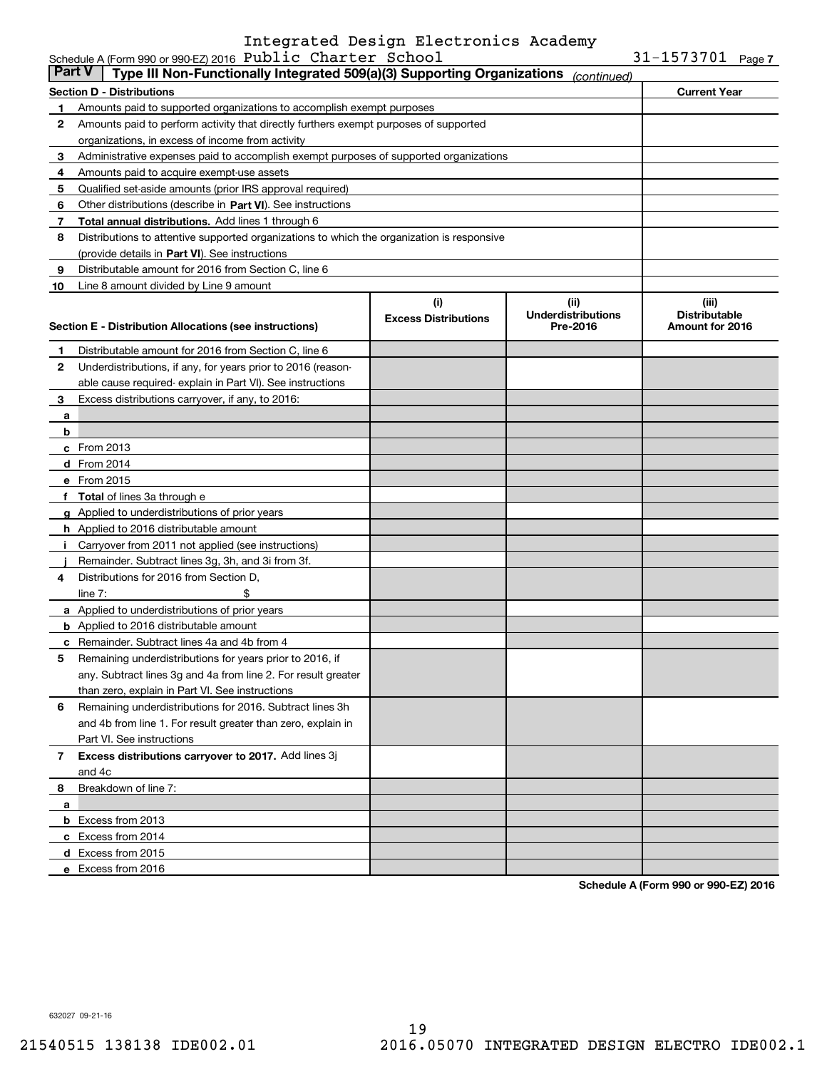## Schedule A (Form 990 or 990-EZ) 2016 Page Public Charter School 31-1573701 Integrated Design Electronics Academy

| <b>Part V</b> | Type III Non-Functionally Integrated 509(a)(3) Supporting Organizations                    |                             | (continued)                           |                                         |  |  |
|---------------|--------------------------------------------------------------------------------------------|-----------------------------|---------------------------------------|-----------------------------------------|--|--|
|               | <b>Section D - Distributions</b>                                                           |                             |                                       | <b>Current Year</b>                     |  |  |
| 1             | Amounts paid to supported organizations to accomplish exempt purposes                      |                             |                                       |                                         |  |  |
| 2             | Amounts paid to perform activity that directly furthers exempt purposes of supported       |                             |                                       |                                         |  |  |
|               | organizations, in excess of income from activity                                           |                             |                                       |                                         |  |  |
| 3             | Administrative expenses paid to accomplish exempt purposes of supported organizations      |                             |                                       |                                         |  |  |
| 4             | Amounts paid to acquire exempt-use assets                                                  |                             |                                       |                                         |  |  |
| 5             | Qualified set-aside amounts (prior IRS approval required)                                  |                             |                                       |                                         |  |  |
| 6             | Other distributions (describe in Part VI). See instructions                                |                             |                                       |                                         |  |  |
| 7             | Total annual distributions. Add lines 1 through 6                                          |                             |                                       |                                         |  |  |
| 8             | Distributions to attentive supported organizations to which the organization is responsive |                             |                                       |                                         |  |  |
|               | (provide details in Part VI). See instructions                                             |                             |                                       |                                         |  |  |
| 9             | Distributable amount for 2016 from Section C, line 6                                       |                             |                                       |                                         |  |  |
| 10            | Line 8 amount divided by Line 9 amount                                                     |                             |                                       |                                         |  |  |
|               |                                                                                            | (i)                         | (ii)                                  | (iii)                                   |  |  |
|               | Section E - Distribution Allocations (see instructions)                                    | <b>Excess Distributions</b> | <b>Underdistributions</b><br>Pre-2016 | <b>Distributable</b><br>Amount for 2016 |  |  |
|               |                                                                                            |                             |                                       |                                         |  |  |
| 1             | Distributable amount for 2016 from Section C, line 6                                       |                             |                                       |                                         |  |  |
| 2             | Underdistributions, if any, for years prior to 2016 (reason-                               |                             |                                       |                                         |  |  |
|               | able cause required-explain in Part VI). See instructions                                  |                             |                                       |                                         |  |  |
| 3             | Excess distributions carryover, if any, to 2016:                                           |                             |                                       |                                         |  |  |
| a             |                                                                                            |                             |                                       |                                         |  |  |
|               | b                                                                                          |                             |                                       |                                         |  |  |
|               | c From 2013                                                                                |                             |                                       |                                         |  |  |
|               | <b>d</b> From 2014                                                                         |                             |                                       |                                         |  |  |
|               | e From 2015                                                                                |                             |                                       |                                         |  |  |
|               | f Total of lines 3a through e                                                              |                             |                                       |                                         |  |  |
|               | g Applied to underdistributions of prior years                                             |                             |                                       |                                         |  |  |
|               | <b>h</b> Applied to 2016 distributable amount                                              |                             |                                       |                                         |  |  |
| j.            | Carryover from 2011 not applied (see instructions)                                         |                             |                                       |                                         |  |  |
|               | Remainder. Subtract lines 3g, 3h, and 3i from 3f.                                          |                             |                                       |                                         |  |  |
| 4             | Distributions for 2016 from Section D,<br>\$<br>line 7:                                    |                             |                                       |                                         |  |  |
|               | <b>a</b> Applied to underdistributions of prior years                                      |                             |                                       |                                         |  |  |
|               | <b>b</b> Applied to 2016 distributable amount                                              |                             |                                       |                                         |  |  |
|               | <b>c</b> Remainder. Subtract lines 4a and 4b from 4                                        |                             |                                       |                                         |  |  |
| 5             | Remaining underdistributions for years prior to 2016, if                                   |                             |                                       |                                         |  |  |
|               | any. Subtract lines 3g and 4a from line 2. For result greater                              |                             |                                       |                                         |  |  |
|               | than zero, explain in Part VI. See instructions                                            |                             |                                       |                                         |  |  |
| 6             | Remaining underdistributions for 2016. Subtract lines 3h                                   |                             |                                       |                                         |  |  |
|               | and 4b from line 1. For result greater than zero, explain in                               |                             |                                       |                                         |  |  |
|               | Part VI. See instructions                                                                  |                             |                                       |                                         |  |  |
| 7             | Excess distributions carryover to 2017. Add lines 3j                                       |                             |                                       |                                         |  |  |
|               | and 4c                                                                                     |                             |                                       |                                         |  |  |
| 8             | Breakdown of line 7:                                                                       |                             |                                       |                                         |  |  |
| а             |                                                                                            |                             |                                       |                                         |  |  |
|               | <b>b</b> Excess from 2013                                                                  |                             |                                       |                                         |  |  |
|               | c Excess from 2014                                                                         |                             |                                       |                                         |  |  |
|               | d Excess from 2015                                                                         |                             |                                       |                                         |  |  |
|               | e Excess from 2016                                                                         |                             |                                       |                                         |  |  |

**Schedule A (Form 990 or 990-EZ) 2016**

632027 09-21-16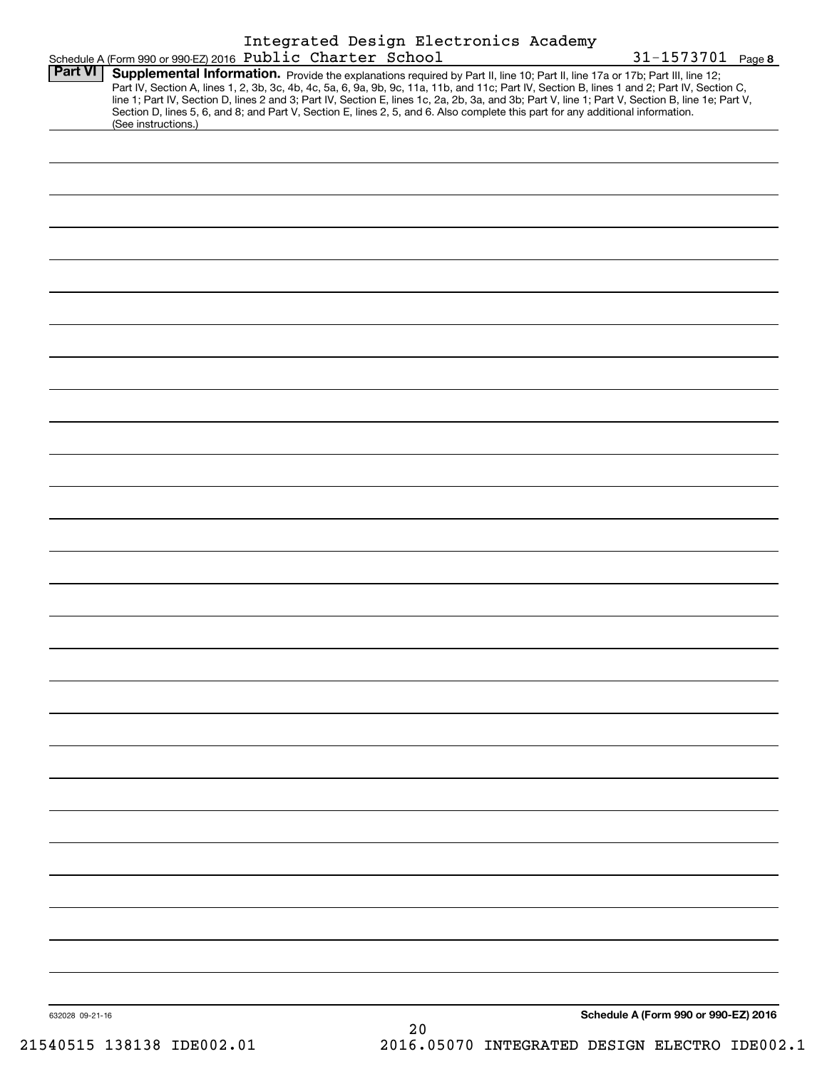|                 |                                                            |  | Integrated Design Electronics Academy                                                                                           |                                                                                                                                                                                                                                                                                                                           |
|-----------------|------------------------------------------------------------|--|---------------------------------------------------------------------------------------------------------------------------------|---------------------------------------------------------------------------------------------------------------------------------------------------------------------------------------------------------------------------------------------------------------------------------------------------------------------------|
| <b>Part VI</b>  | Schedule A (Form 990 or 990-EZ) 2016 Public Charter School |  | Supplemental Information. Provide the explanations required by Part II, line 10; Part II, line 17a or 17b; Part III, line 12;   | $31 - 1573701$ Page 8<br>Part IV, Section A, lines 1, 2, 3b, 3c, 4b, 4c, 5a, 6, 9a, 9b, 9c, 11a, 11b, and 11c; Part IV, Section B, lines 1 and 2; Part IV, Section C,<br>line 1; Part IV, Section D, lines 2 and 3; Part IV, Section E, lines 1c, 2a, 2b, 3a, and 3b; Part V, line 1; Part V, Section B, line 1e; Part V, |
|                 | (See instructions.)                                        |  | Section D, lines 5, 6, and 8; and Part V, Section E, lines 2, 5, and 6. Also complete this part for any additional information. |                                                                                                                                                                                                                                                                                                                           |
|                 |                                                            |  |                                                                                                                                 |                                                                                                                                                                                                                                                                                                                           |
|                 |                                                            |  |                                                                                                                                 |                                                                                                                                                                                                                                                                                                                           |
|                 |                                                            |  |                                                                                                                                 |                                                                                                                                                                                                                                                                                                                           |
|                 |                                                            |  |                                                                                                                                 |                                                                                                                                                                                                                                                                                                                           |
|                 |                                                            |  |                                                                                                                                 |                                                                                                                                                                                                                                                                                                                           |
|                 |                                                            |  |                                                                                                                                 |                                                                                                                                                                                                                                                                                                                           |
|                 |                                                            |  |                                                                                                                                 |                                                                                                                                                                                                                                                                                                                           |
|                 |                                                            |  |                                                                                                                                 |                                                                                                                                                                                                                                                                                                                           |
|                 |                                                            |  |                                                                                                                                 |                                                                                                                                                                                                                                                                                                                           |
|                 |                                                            |  |                                                                                                                                 |                                                                                                                                                                                                                                                                                                                           |
|                 |                                                            |  |                                                                                                                                 |                                                                                                                                                                                                                                                                                                                           |
|                 |                                                            |  |                                                                                                                                 |                                                                                                                                                                                                                                                                                                                           |
|                 |                                                            |  |                                                                                                                                 |                                                                                                                                                                                                                                                                                                                           |
|                 |                                                            |  |                                                                                                                                 |                                                                                                                                                                                                                                                                                                                           |
|                 |                                                            |  |                                                                                                                                 |                                                                                                                                                                                                                                                                                                                           |
|                 |                                                            |  |                                                                                                                                 |                                                                                                                                                                                                                                                                                                                           |
|                 |                                                            |  |                                                                                                                                 |                                                                                                                                                                                                                                                                                                                           |
|                 |                                                            |  |                                                                                                                                 |                                                                                                                                                                                                                                                                                                                           |
|                 |                                                            |  |                                                                                                                                 |                                                                                                                                                                                                                                                                                                                           |
|                 |                                                            |  |                                                                                                                                 |                                                                                                                                                                                                                                                                                                                           |
|                 |                                                            |  |                                                                                                                                 |                                                                                                                                                                                                                                                                                                                           |
|                 |                                                            |  |                                                                                                                                 |                                                                                                                                                                                                                                                                                                                           |
|                 |                                                            |  |                                                                                                                                 |                                                                                                                                                                                                                                                                                                                           |
|                 |                                                            |  |                                                                                                                                 |                                                                                                                                                                                                                                                                                                                           |
| 632028 09-21-16 |                                                            |  | 20                                                                                                                              | Schedule A (Form 990 or 990-EZ) 2016                                                                                                                                                                                                                                                                                      |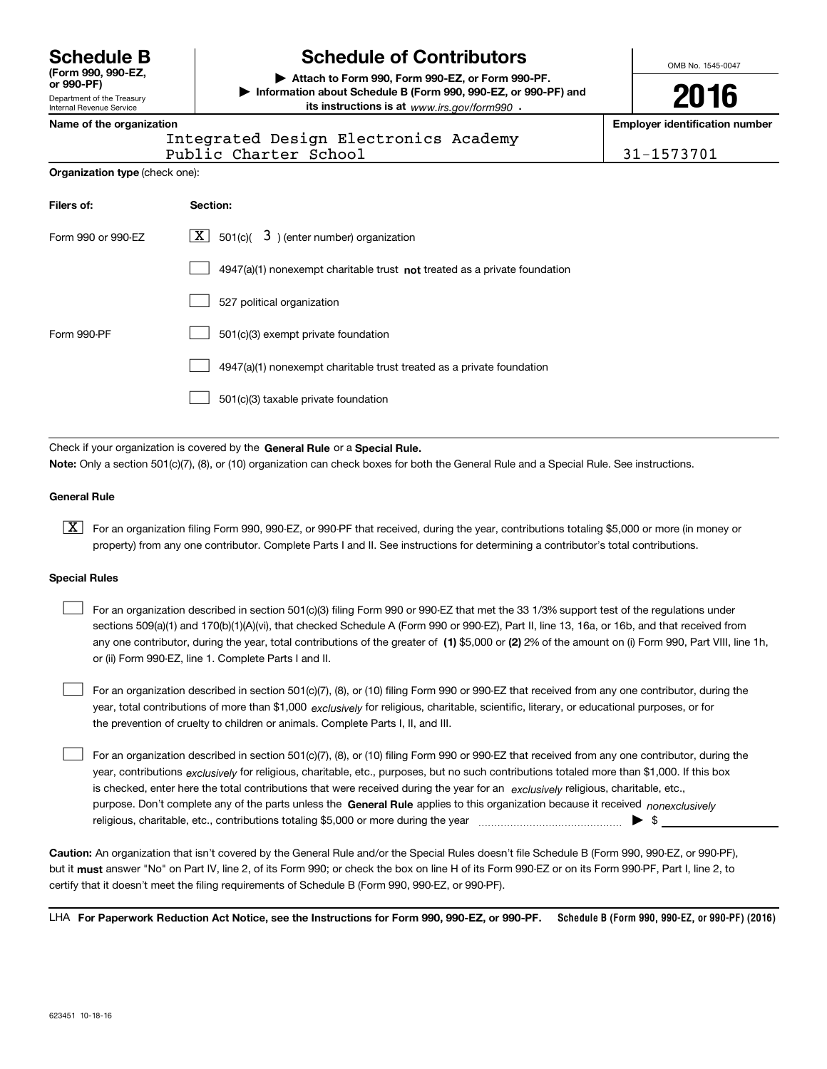**(Form 990, 990-EZ, or 990-PF)**

Department of the Treasury Internal Revenue Service

# **Schedule B Schedule of Contributors**

**| Attach to Form 990, Form 990-EZ, or Form 990-PF. | Information about Schedule B (Form 990, 990-EZ, or 990-PF) and its instructions is at** www.irs.gov/form990  $\cdot$ 

OMB No. 1545-0047

**2016**

**Name of the organization Employer identification number**

| ומוווכ טו נווכ טו שמווובמנוטוו |  |  |  |  |                                |  |
|--------------------------------|--|--|--|--|--------------------------------|--|
|                                |  |  |  |  | $Tn \vdash \triangle \wedge r$ |  |

Public Charter School 31-1573701 Integrated Design Electronics Academy

| Organization type (check one): |  |  |  |
|--------------------------------|--|--|--|
|--------------------------------|--|--|--|

| Filers of:         | Section:                                                                    |
|--------------------|-----------------------------------------------------------------------------|
| Form 990 or 990-EZ | $\lfloor x \rfloor$ 501(c)( 3) (enter number) organization                  |
|                    | $4947(a)(1)$ nonexempt charitable trust not treated as a private foundation |
|                    | 527 political organization                                                  |
| Form 990-PF        | 501(c)(3) exempt private foundation                                         |
|                    | 4947(a)(1) nonexempt charitable trust treated as a private foundation       |
|                    | 501(c)(3) taxable private foundation                                        |

Check if your organization is covered by the **General Rule** or a **Special Rule. Note:**  Only a section 501(c)(7), (8), or (10) organization can check boxes for both the General Rule and a Special Rule. See instructions.

#### **General Rule**

 $\boxed{\textbf{X}}$  For an organization filing Form 990, 990-EZ, or 990-PF that received, during the year, contributions totaling \$5,000 or more (in money or property) from any one contributor. Complete Parts I and II. See instructions for determining a contributor's total contributions.

#### **Special Rules**

 $\mathcal{L}^{\text{max}}$ 

any one contributor, during the year, total contributions of the greater of  $\,$  (1) \$5,000 or (2) 2% of the amount on (i) Form 990, Part VIII, line 1h, For an organization described in section 501(c)(3) filing Form 990 or 990-EZ that met the 33 1/3% support test of the regulations under sections 509(a)(1) and 170(b)(1)(A)(vi), that checked Schedule A (Form 990 or 990-EZ), Part II, line 13, 16a, or 16b, and that received from or (ii) Form 990-EZ, line 1. Complete Parts I and II.  $\mathcal{L}^{\text{max}}$ 

year, total contributions of more than \$1,000 *exclusively* for religious, charitable, scientific, literary, or educational purposes, or for For an organization described in section 501(c)(7), (8), or (10) filing Form 990 or 990-EZ that received from any one contributor, during the the prevention of cruelty to children or animals. Complete Parts I, II, and III.  $\mathcal{L}^{\text{max}}$ 

purpose. Don't complete any of the parts unless the **General Rule** applies to this organization because it received *nonexclusively* year, contributions <sub>exclusively</sub> for religious, charitable, etc., purposes, but no such contributions totaled more than \$1,000. If this box is checked, enter here the total contributions that were received during the year for an  $\;$ exclusively religious, charitable, etc., For an organization described in section 501(c)(7), (8), or (10) filing Form 990 or 990-EZ that received from any one contributor, during the religious, charitable, etc., contributions totaling \$5,000 or more during the year  $\ldots$  $\ldots$  $\ldots$  $\ldots$  $\ldots$  $\ldots$ 

**Caution:**  An organization that isn't covered by the General Rule and/or the Special Rules doesn't file Schedule B (Form 990, 990-EZ, or 990-PF),  **must** but it answer "No" on Part IV, line 2, of its Form 990; or check the box on line H of its Form 990-EZ or on its Form 990-PF, Part I, line 2, to certify that it doesn't meet the filing requirements of Schedule B (Form 990, 990-EZ, or 990-PF).

**Schedule B (Form 990, 990-EZ, or 990-PF) (2016) For Paperwork Reduction Act Notice, see the Instructions for Form 990, 990-EZ, or 990-PF.** LHA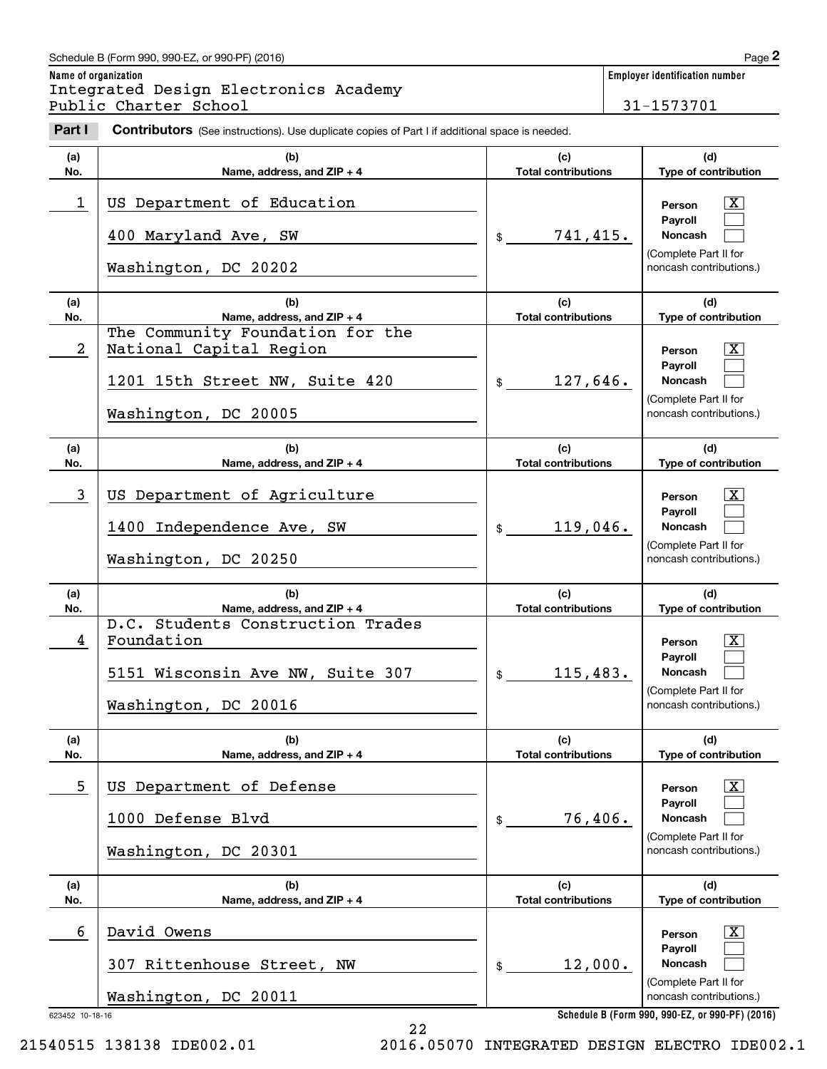# Schedule B (Form 990, 990-EZ, or 990-PF) (2016) **Page 2** Page 2

**Name of organization Employer identification number** Employer identification<br> **2** ame of organization<br> **2Part I 2Part I Charter School**<br> **Part I Contributors** (See instructions). Use duplicate copies of Part I if additional space is needed.<br> **Part I Contributors** (Se Integrated Design Electronics Academy Public Charter School 31-1573701

| Part I          | <b>Contributors</b> (See instructions). Use duplicate copies of Part I if additional space is needed.                 |                                   |                                                                                                                           |
|-----------------|-----------------------------------------------------------------------------------------------------------------------|-----------------------------------|---------------------------------------------------------------------------------------------------------------------------|
| (a)<br>No.      | (b)<br>Name, address, and ZIP + 4                                                                                     | (c)<br><b>Total contributions</b> | (d)<br>Type of contribution                                                                                               |
| 1               | US Department of Education<br>400 Maryland Ave, SW<br>Washington, DC 20202                                            | 741,415.<br>$\frac{1}{2}$         | X<br>Person<br>Payroll<br><b>Noncash</b><br>(Complete Part II for<br>noncash contributions.)                              |
| (a)<br>No.      | (b)<br>Name, address, and ZIP + 4                                                                                     | (c)<br><b>Total contributions</b> | (d)<br>Type of contribution                                                                                               |
| $\overline{a}$  | The Community Foundation for the<br>National Capital Region<br>1201 15th Street NW, Suite 420<br>Washington, DC 20005 | 127,646.<br>$\frac{1}{2}$         | $\overline{\mathbf{X}}$<br>Person<br>Payroll<br><b>Noncash</b><br>(Complete Part II for<br>noncash contributions.)        |
| (a)<br>No.      | (b)<br>Name, address, and ZIP + 4                                                                                     | (c)<br><b>Total contributions</b> | (d)<br>Type of contribution                                                                                               |
| 3               | US Department of Agriculture<br>1400 Independence Ave, SW<br>Washington, DC 20250                                     | 119,046.<br>$$\mathbb{S}$$        | $\overline{\mathbf{X}}$<br>Person<br>Payroll<br><b>Noncash</b><br>(Complete Part II for<br>noncash contributions.)        |
| (a)<br>No.      | (b)<br>Name, address, and ZIP + 4                                                                                     | (c)<br><b>Total contributions</b> | (d)<br>Type of contribution                                                                                               |
| 4               | D.C. Students Construction Trades<br>Foundation<br>5151 Wisconsin Ave NW, Suite 307<br>Washington, DC 20016           | 115,483.<br>\$                    | $\overline{\mathbf{X}}$<br>Person<br><b>Payroll</b><br><b>Noncash</b><br>(Complete Part II for<br>noncash contributions.) |
| (a)<br>No.      | (b)<br>Name, address, and ZIP + 4                                                                                     | (c)<br><b>Total contributions</b> | (d)<br>Type of contribution                                                                                               |
| 5               | US Department of Defense<br>1000 Defense Blvd<br>Washington, DC 20301                                                 | 76,406.<br>\$                     | X<br>Person<br>Payroll<br>Noncash<br>(Complete Part II for<br>noncash contributions.)                                     |
| (a)<br>No.      | (b)<br>Name, address, and ZIP + 4                                                                                     | (c)<br><b>Total contributions</b> | (d)<br>Type of contribution                                                                                               |
| 6               | David Owens<br>307 Rittenhouse Street, NW<br>Washington, DC 20011                                                     | 12,000.<br>\$                     | X<br>Person<br>Payroll<br>Noncash<br>(Complete Part II for<br>noncash contributions.)                                     |
| 623452 10-18-16 |                                                                                                                       |                                   | Schedule B (Form 990, 990-EZ, or 990-PF) (2016)                                                                           |

**Schedule B (Form 990, 990-EZ, or 990-PF) (2016)**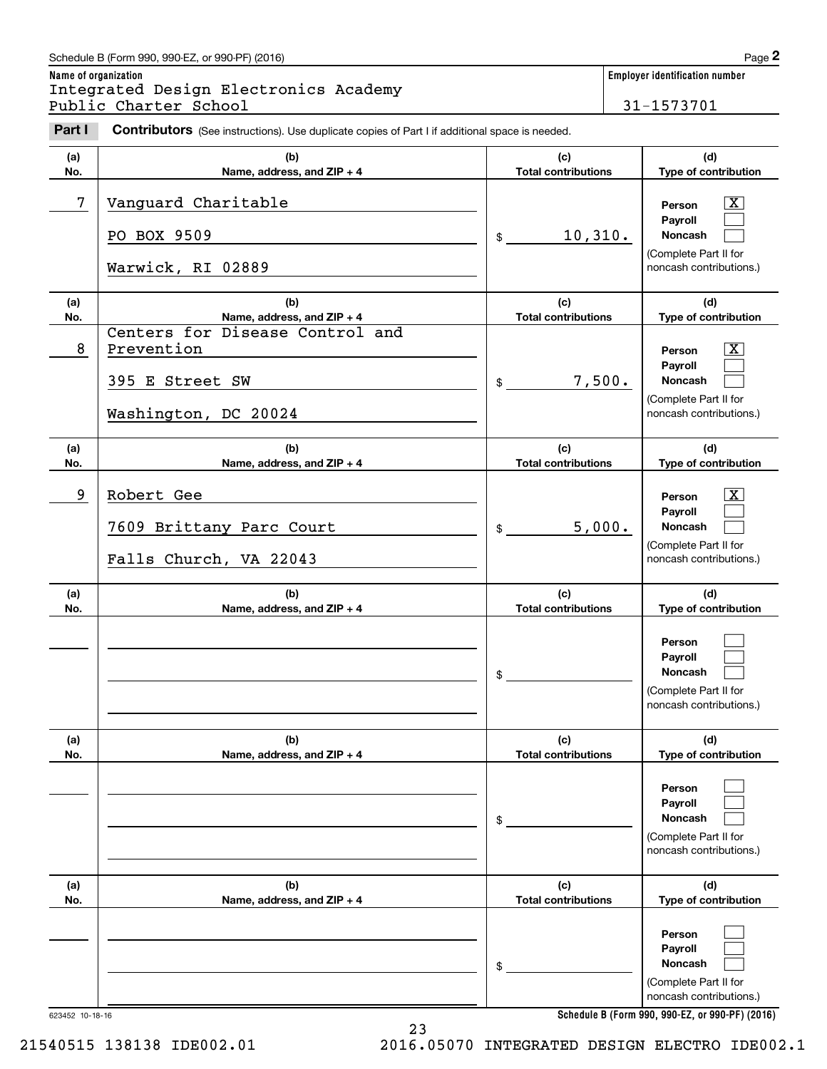# Schedule B (Form 990, 990-EZ, or 990-PF) (2016) Page 2

| Schedule B (Form 990, 990-EZ, or 990-PF) (2016)                                                                 | Page 2                         |
|-----------------------------------------------------------------------------------------------------------------|--------------------------------|
| Name of organization                                                                                            | Emplover identification number |
| Integrated Design Electronics Academy                                                                           |                                |
| Public Charter School                                                                                           | 31-1573701                     |
| Part I<br><b>Contributors</b> (See instructions). Use duplicate copies of Part I if additional space is needed. |                                |

| Part I     | Contributors (See instructions). Use duplicate copies of Part I if additional space is needed. |                                   |                                                                                        |
|------------|------------------------------------------------------------------------------------------------|-----------------------------------|----------------------------------------------------------------------------------------|
| (a)<br>No. | (b)<br>Name, address, and ZIP + 4                                                              | (c)<br><b>Total contributions</b> | (d)<br>Type of contribution                                                            |
| 7          | Vanguard Charitable<br>PO BOX 9509<br>Warwick, RI 02889                                        | 10,310.<br>$\mathsf{\$}$          | X<br>Person<br>Payroll<br>Noncash<br>(Complete Part II for<br>noncash contributions.)  |
| (a)<br>No. | (b)<br>Name, address, and ZIP + 4                                                              | (c)<br><b>Total contributions</b> | (d)<br>Type of contribution                                                            |
| 8          | Centers for Disease Control and<br>Prevention<br>395 E Street SW<br>Washington, DC 20024       | 7,500.<br>\$                      | X<br>Person<br>Payroll<br>Noncash<br>(Complete Part II for<br>noncash contributions.)  |
| (a)<br>No. | (b)<br>Name, address, and ZIP + 4                                                              | (c)<br><b>Total contributions</b> | (d)<br>Type of contribution                                                            |
| 9          | Robert Gee<br>7609 Brittany Parc Court<br>Falls Church, VA 22043                               | 5,000.<br>\$                      | X,<br>Person<br>Payroll<br>Noncash<br>(Complete Part II for<br>noncash contributions.) |
| (a)<br>No. | (b)<br>Name, address, and ZIP + 4                                                              | (c)<br><b>Total contributions</b> | (d)<br>Type of contribution                                                            |
|            |                                                                                                | \$                                | Person<br>Payroll<br>Noncash<br>(Complete Part II for<br>noncash contributions.)       |
| (a)<br>No. | (b)<br>Name, address, and ZIP + 4                                                              | (c)<br><b>Total contributions</b> | (d)<br>Type of contribution                                                            |
|            |                                                                                                | \$                                | Person<br>Payroll<br>Noncash<br>(Complete Part II for<br>noncash contributions.)       |
| (a)<br>No. | (b)<br>Name, address, and ZIP + 4                                                              | (c)<br><b>Total contributions</b> | (d)<br>Type of contribution                                                            |
|            |                                                                                                | \$                                | Person<br>Payroll<br>Noncash<br>(Complete Part II for<br>noncash contributions.)       |

**Schedule B (Form 990, 990-EZ, or 990-PF) (2016)**

623452 10-18-16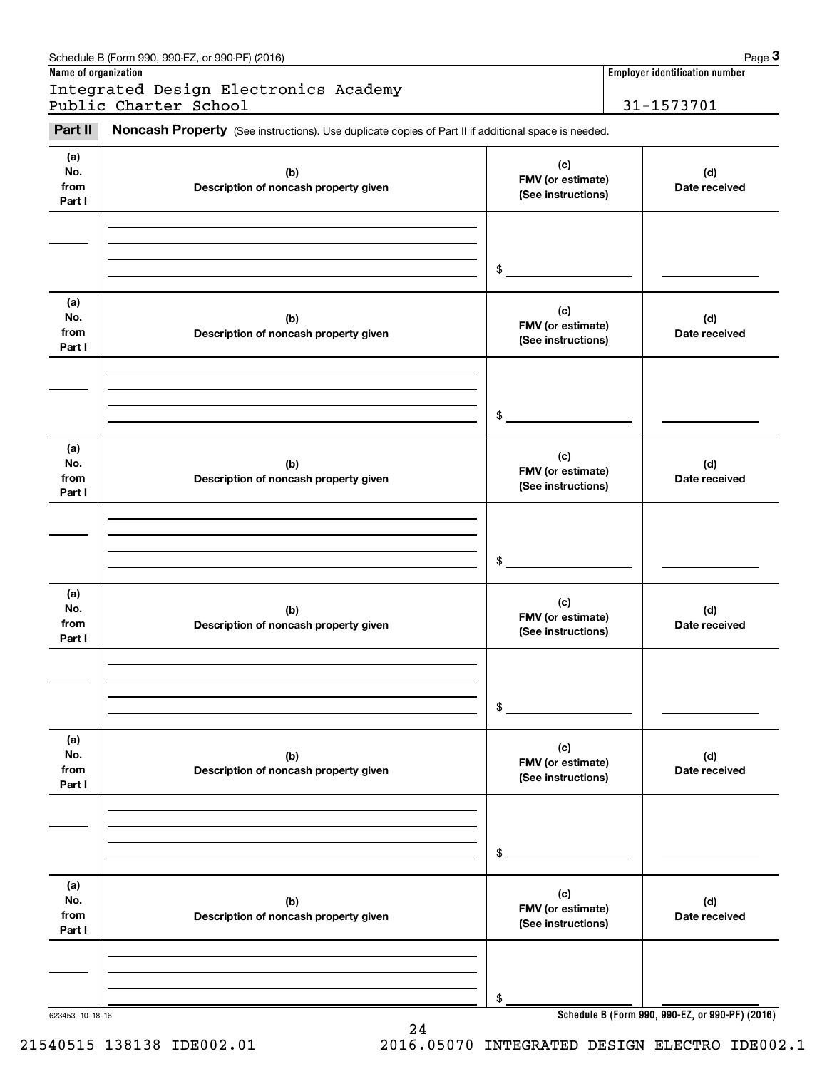| Name of organization         | Schedule B (Form 990, 990-EZ, or 990-PF) (2016)                                                     |                                                | Page 3<br>Employer identification number |
|------------------------------|-----------------------------------------------------------------------------------------------------|------------------------------------------------|------------------------------------------|
|                              | Integrated Design Electronics Academy                                                               |                                                |                                          |
|                              | Public Charter School                                                                               |                                                | 31-1573701                               |
| Part II                      | Noncash Property (See instructions). Use duplicate copies of Part II if additional space is needed. |                                                |                                          |
| (a)<br>No.<br>from<br>Part I | (b)<br>Description of noncash property given                                                        | (c)<br>FMV (or estimate)<br>(See instructions) | (d)<br>Date received                     |
|                              |                                                                                                     | \$                                             |                                          |
| (a)<br>No.<br>from<br>Part I | (b)<br>Description of noncash property given                                                        | (c)<br>FMV (or estimate)<br>(See instructions) | (d)<br>Date received                     |
|                              |                                                                                                     | \$                                             |                                          |
| (a)<br>No.<br>from<br>Part I | (b)<br>Description of noncash property given                                                        | (c)<br>FMV (or estimate)<br>(See instructions) | (d)<br>Date received                     |
|                              |                                                                                                     | \$                                             |                                          |
| (a)<br>No.<br>from<br>Part I | (b)<br>Description of noncash property given                                                        | (c)<br>FMV (or estimate)<br>(See instructions) | (d)<br>Date received                     |
|                              |                                                                                                     | \$                                             |                                          |
| (a)<br>No.<br>from<br>Part I | (b)<br>Description of noncash property given                                                        | (c)<br>FMV (or estimate)<br>(See instructions) | (d)<br>Date received                     |
|                              |                                                                                                     | \$                                             |                                          |
| (a)<br>No.<br>from<br>Part I | (b)<br>Description of noncash property given                                                        | (c)<br>FMV (or estimate)<br>(See instructions) | (d)<br>Date received                     |
|                              |                                                                                                     | \$                                             |                                          |
|                              |                                                                                                     |                                                |                                          |

24

Schedule B (Form 990, 990-EZ, or 990-PF) (2016) Page 3

623453 10-18-16

**Schedule B (Form 990, 990-EZ, or 990-PF) (2016)**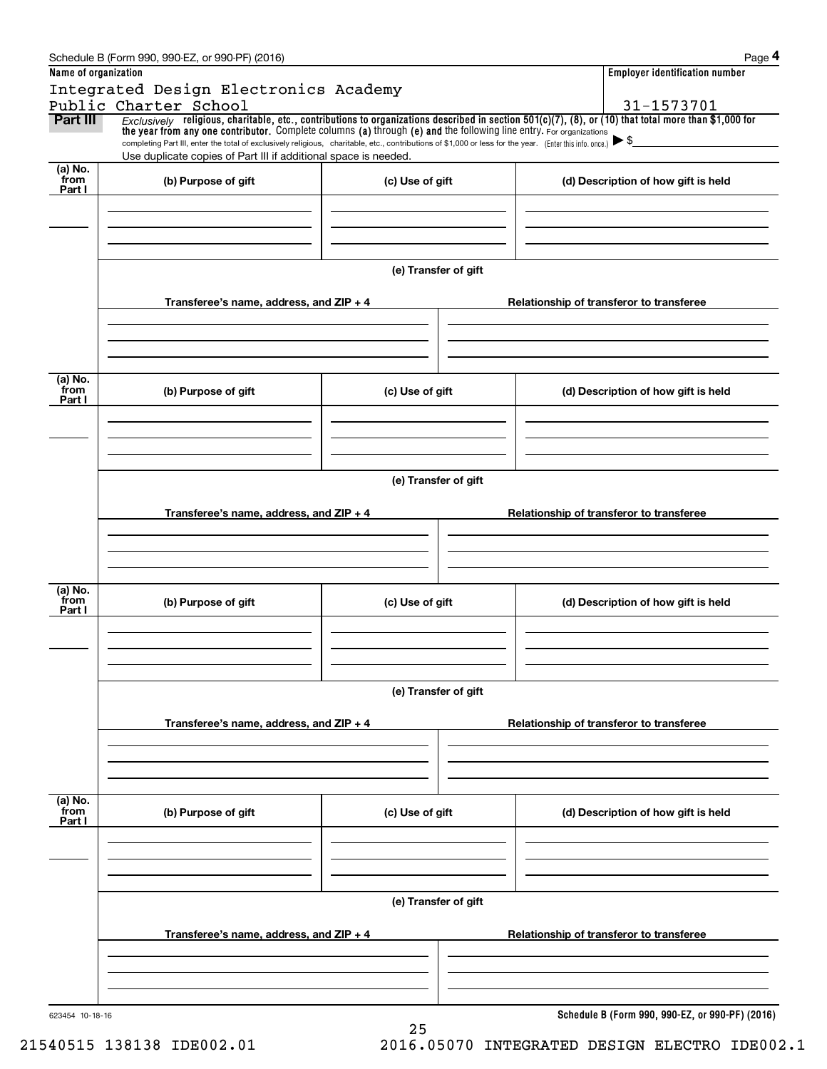|                           | Schedule B (Form 990, 990-EZ, or 990-PF) (2016)                                                                                                                                                                                                                                                                                                                                                                                            |                      |                                          | Page 4                                          |  |  |
|---------------------------|--------------------------------------------------------------------------------------------------------------------------------------------------------------------------------------------------------------------------------------------------------------------------------------------------------------------------------------------------------------------------------------------------------------------------------------------|----------------------|------------------------------------------|-------------------------------------------------|--|--|
| Name of organization      |                                                                                                                                                                                                                                                                                                                                                                                                                                            |                      |                                          | <b>Employer identification number</b>           |  |  |
|                           | Integrated Design Electronics Academy                                                                                                                                                                                                                                                                                                                                                                                                      |                      |                                          |                                                 |  |  |
|                           | Public Charter School                                                                                                                                                                                                                                                                                                                                                                                                                      |                      |                                          | 31-1573701                                      |  |  |
| Part III                  | $Exclusively$ religious, charitable, etc., contributions to organizations described in section 501(c)(7), (8), or (10) that total more than \$1,000 for<br>the year from any one contributor. Complete columns (a) through (e) and the following line entry. For organizations<br>completing Part III, enter the total of exclusively religious, charitable, etc., contributions of \$1,000 or less for the year. (Enter this info. once.) |                      |                                          |                                                 |  |  |
|                           | Use duplicate copies of Part III if additional space is needed.                                                                                                                                                                                                                                                                                                                                                                            |                      |                                          |                                                 |  |  |
| (a) No.<br>from<br>Part I | (b) Purpose of gift                                                                                                                                                                                                                                                                                                                                                                                                                        | (c) Use of gift      |                                          | (d) Description of how gift is held             |  |  |
|                           |                                                                                                                                                                                                                                                                                                                                                                                                                                            |                      |                                          |                                                 |  |  |
|                           |                                                                                                                                                                                                                                                                                                                                                                                                                                            | (e) Transfer of gift |                                          |                                                 |  |  |
|                           | Transferee's name, address, and ZIP + 4                                                                                                                                                                                                                                                                                                                                                                                                    |                      |                                          | Relationship of transferor to transferee        |  |  |
|                           |                                                                                                                                                                                                                                                                                                                                                                                                                                            |                      |                                          |                                                 |  |  |
| (a) No.<br>from<br>Part I | (b) Purpose of gift                                                                                                                                                                                                                                                                                                                                                                                                                        | (c) Use of gift      |                                          | (d) Description of how gift is held             |  |  |
|                           |                                                                                                                                                                                                                                                                                                                                                                                                                                            |                      |                                          |                                                 |  |  |
|                           | (e) Transfer of gift                                                                                                                                                                                                                                                                                                                                                                                                                       |                      |                                          |                                                 |  |  |
|                           | Transferee's name, address, and ZIP + 4                                                                                                                                                                                                                                                                                                                                                                                                    |                      | Relationship of transferor to transferee |                                                 |  |  |
|                           |                                                                                                                                                                                                                                                                                                                                                                                                                                            |                      |                                          |                                                 |  |  |
| (a) No.<br>from<br>Part I | (b) Purpose of gift                                                                                                                                                                                                                                                                                                                                                                                                                        | (c) Use of gift      |                                          | (d) Description of how gift is held             |  |  |
|                           |                                                                                                                                                                                                                                                                                                                                                                                                                                            |                      |                                          |                                                 |  |  |
|                           |                                                                                                                                                                                                                                                                                                                                                                                                                                            | (e) Transfer of gift |                                          |                                                 |  |  |
|                           | Transferee's name, address, and ZIP + 4                                                                                                                                                                                                                                                                                                                                                                                                    |                      |                                          | Relationship of transferor to transferee        |  |  |
|                           |                                                                                                                                                                                                                                                                                                                                                                                                                                            |                      |                                          |                                                 |  |  |
| (a) No.<br>from<br>Part I | (b) Purpose of gift                                                                                                                                                                                                                                                                                                                                                                                                                        | (c) Use of gift      |                                          | (d) Description of how gift is held             |  |  |
|                           |                                                                                                                                                                                                                                                                                                                                                                                                                                            |                      |                                          |                                                 |  |  |
|                           | (e) Transfer of gift                                                                                                                                                                                                                                                                                                                                                                                                                       |                      |                                          |                                                 |  |  |
|                           | Transferee's name, address, and $ZIP + 4$                                                                                                                                                                                                                                                                                                                                                                                                  |                      |                                          | Relationship of transferor to transferee        |  |  |
|                           |                                                                                                                                                                                                                                                                                                                                                                                                                                            |                      |                                          |                                                 |  |  |
| 623454 10-18-16           |                                                                                                                                                                                                                                                                                                                                                                                                                                            | 25                   |                                          | Schedule B (Form 990, 990-EZ, or 990-PF) (2016) |  |  |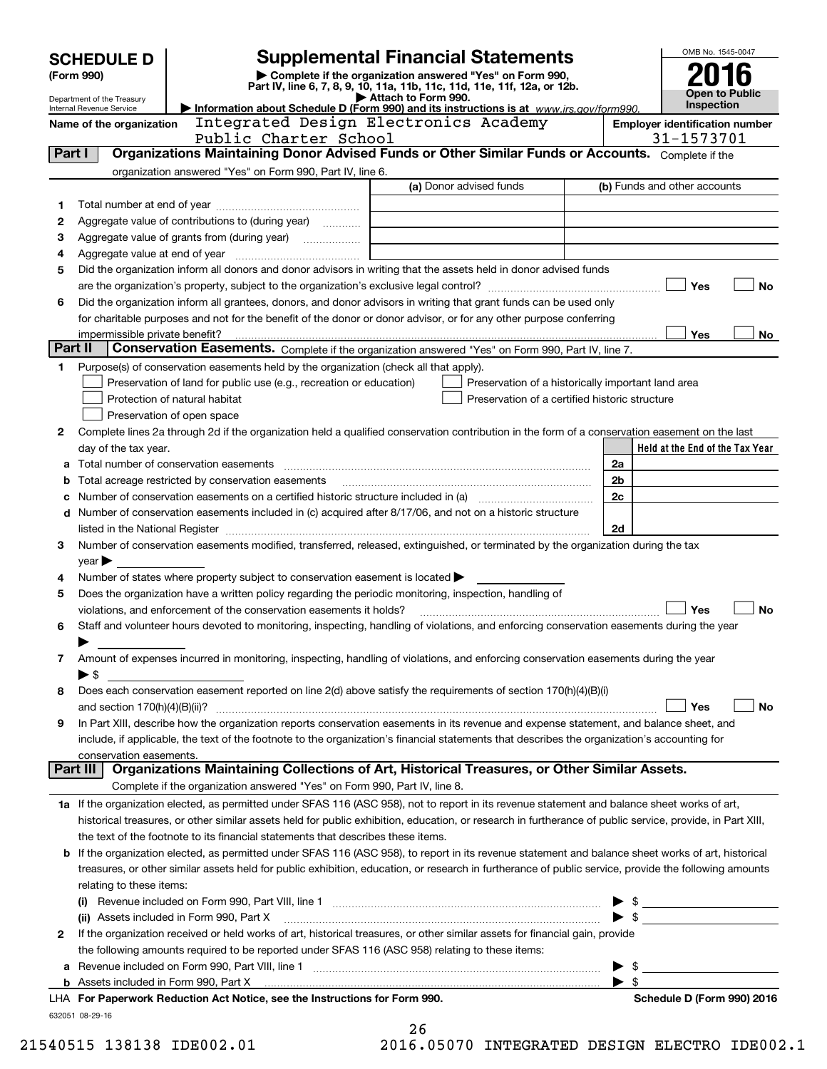|         | <b>Supplemental Financial Statements</b><br><b>SCHEDULE D</b>                                              |                                                                                                        |                                                                                                                                                                                                                                |                          | OMB No. 1545-0047               |  |
|---------|------------------------------------------------------------------------------------------------------------|--------------------------------------------------------------------------------------------------------|--------------------------------------------------------------------------------------------------------------------------------------------------------------------------------------------------------------------------------|--------------------------|---------------------------------|--|
|         | Complete if the organization answered "Yes" on Form 990,<br>(Form 990)                                     |                                                                                                        |                                                                                                                                                                                                                                |                          |                                 |  |
|         | Department of the Treasury                                                                                 |                                                                                                        | Part IV, line 6, 7, 8, 9, 10, 11a, 11b, 11c, 11d, 11e, 11f, 12a, or 12b.<br>Attach to Form 990.                                                                                                                                |                          | <b>Open to Public</b>           |  |
|         | Internal Revenue Service                                                                                   |                                                                                                        | Information about Schedule D (Form 990) and its instructions is at $www.irs. aov/form990.$                                                                                                                                     |                          | Inspection                      |  |
|         | Integrated Design Electronics Academy<br>Name of the organization<br><b>Employer identification number</b> |                                                                                                        |                                                                                                                                                                                                                                |                          |                                 |  |
|         |                                                                                                            | Public Charter School                                                                                  | Organizations Maintaining Donor Advised Funds or Other Similar Funds or Accounts. Complete if the                                                                                                                              |                          | 31-1573701                      |  |
| Part I  |                                                                                                            |                                                                                                        |                                                                                                                                                                                                                                |                          |                                 |  |
|         |                                                                                                            | organization answered "Yes" on Form 990, Part IV, line 6.                                              | (a) Donor advised funds                                                                                                                                                                                                        |                          | (b) Funds and other accounts    |  |
|         |                                                                                                            |                                                                                                        |                                                                                                                                                                                                                                |                          |                                 |  |
| 1<br>2  |                                                                                                            | Aggregate value of contributions to (during year)                                                      |                                                                                                                                                                                                                                |                          |                                 |  |
| з       |                                                                                                            |                                                                                                        |                                                                                                                                                                                                                                |                          |                                 |  |
| 4       |                                                                                                            |                                                                                                        |                                                                                                                                                                                                                                |                          |                                 |  |
| 5       |                                                                                                            |                                                                                                        | Did the organization inform all donors and donor advisors in writing that the assets held in donor advised funds                                                                                                               |                          |                                 |  |
|         |                                                                                                            |                                                                                                        |                                                                                                                                                                                                                                |                          | Yes<br>No                       |  |
| 6       |                                                                                                            |                                                                                                        | Did the organization inform all grantees, donors, and donor advisors in writing that grant funds can be used only                                                                                                              |                          |                                 |  |
|         |                                                                                                            |                                                                                                        | for charitable purposes and not for the benefit of the donor or donor advisor, or for any other purpose conferring                                                                                                             |                          |                                 |  |
|         | impermissible private benefit?                                                                             |                                                                                                        |                                                                                                                                                                                                                                |                          | Yes<br>No                       |  |
| Part II |                                                                                                            |                                                                                                        | Conservation Easements. Complete if the organization answered "Yes" on Form 990, Part IV, line 7.                                                                                                                              |                          |                                 |  |
| 1       |                                                                                                            | Purpose(s) of conservation easements held by the organization (check all that apply).                  |                                                                                                                                                                                                                                |                          |                                 |  |
|         |                                                                                                            | Preservation of land for public use (e.g., recreation or education)                                    | Preservation of a historically important land area                                                                                                                                                                             |                          |                                 |  |
|         |                                                                                                            | Protection of natural habitat                                                                          | Preservation of a certified historic structure                                                                                                                                                                                 |                          |                                 |  |
|         |                                                                                                            | Preservation of open space                                                                             |                                                                                                                                                                                                                                |                          |                                 |  |
| 2       |                                                                                                            |                                                                                                        | Complete lines 2a through 2d if the organization held a qualified conservation contribution in the form of a conservation easement on the last                                                                                 |                          |                                 |  |
|         | day of the tax year.                                                                                       |                                                                                                        |                                                                                                                                                                                                                                |                          | Held at the End of the Tax Year |  |
|         |                                                                                                            |                                                                                                        | Total number of conservation easements [111] matter conservation conservation of conservation easements [11] matter conservation easements [11] matter conservation easements [11] matter conservation entries in the conserva | 2a                       |                                 |  |
| b       |                                                                                                            | Total acreage restricted by conservation easements                                                     |                                                                                                                                                                                                                                | 2b                       |                                 |  |
|         |                                                                                                            |                                                                                                        | Number of conservation easements on a certified historic structure included in (a) manufacture included in (a)                                                                                                                 | 2c                       |                                 |  |
| d       |                                                                                                            |                                                                                                        | Number of conservation easements included in (c) acquired after 8/17/06, and not on a historic structure                                                                                                                       |                          |                                 |  |
|         |                                                                                                            |                                                                                                        |                                                                                                                                                                                                                                | 2d                       |                                 |  |
| з       |                                                                                                            |                                                                                                        | Number of conservation easements modified, transferred, released, extinguished, or terminated by the organization during the tax                                                                                               |                          |                                 |  |
|         | year                                                                                                       |                                                                                                        |                                                                                                                                                                                                                                |                          |                                 |  |
| 4       |                                                                                                            | Number of states where property subject to conservation easement is located $\blacktriangleright$      |                                                                                                                                                                                                                                |                          |                                 |  |
| 5       |                                                                                                            | Does the organization have a written policy regarding the periodic monitoring, inspection, handling of |                                                                                                                                                                                                                                |                          |                                 |  |
|         |                                                                                                            | violations, and enforcement of the conservation easements it holds?                                    |                                                                                                                                                                                                                                |                          | Yes<br><b>No</b>                |  |
| 6       |                                                                                                            |                                                                                                        | Staff and volunteer hours devoted to monitoring, inspecting, handling of violations, and enforcing conservation easements during the year                                                                                      |                          |                                 |  |
|         |                                                                                                            |                                                                                                        |                                                                                                                                                                                                                                |                          |                                 |  |
| 7       |                                                                                                            |                                                                                                        | Amount of expenses incurred in monitoring, inspecting, handling of violations, and enforcing conservation easements during the year                                                                                            |                          |                                 |  |
| 8       | ▶ \$                                                                                                       |                                                                                                        | Does each conservation easement reported on line 2(d) above satisfy the requirements of section 170(h)(4)(B)(i)                                                                                                                |                          |                                 |  |
|         |                                                                                                            |                                                                                                        |                                                                                                                                                                                                                                |                          | Yes<br>No                       |  |
| 9       |                                                                                                            |                                                                                                        | In Part XIII, describe how the organization reports conservation easements in its revenue and expense statement, and balance sheet, and                                                                                        |                          |                                 |  |
|         |                                                                                                            |                                                                                                        | include, if applicable, the text of the footnote to the organization's financial statements that describes the organization's accounting for                                                                                   |                          |                                 |  |
|         | conservation easements.                                                                                    |                                                                                                        |                                                                                                                                                                                                                                |                          |                                 |  |
|         | Part III I                                                                                                 |                                                                                                        | Organizations Maintaining Collections of Art, Historical Treasures, or Other Similar Assets.                                                                                                                                   |                          |                                 |  |
|         |                                                                                                            | Complete if the organization answered "Yes" on Form 990, Part IV, line 8.                              |                                                                                                                                                                                                                                |                          |                                 |  |
|         |                                                                                                            |                                                                                                        | 1a If the organization elected, as permitted under SFAS 116 (ASC 958), not to report in its revenue statement and balance sheet works of art,                                                                                  |                          |                                 |  |
|         |                                                                                                            |                                                                                                        | historical treasures, or other similar assets held for public exhibition, education, or research in furtherance of public service, provide, in Part XIII,                                                                      |                          |                                 |  |
|         |                                                                                                            | the text of the footnote to its financial statements that describes these items.                       |                                                                                                                                                                                                                                |                          |                                 |  |
| b       |                                                                                                            |                                                                                                        | If the organization elected, as permitted under SFAS 116 (ASC 958), to report in its revenue statement and balance sheet works of art, historical                                                                              |                          |                                 |  |
|         |                                                                                                            |                                                                                                        | treasures, or other similar assets held for public exhibition, education, or research in furtherance of public service, provide the following amounts                                                                          |                          |                                 |  |
|         | relating to these items:                                                                                   |                                                                                                        |                                                                                                                                                                                                                                |                          |                                 |  |
|         |                                                                                                            |                                                                                                        |                                                                                                                                                                                                                                |                          | $\triangleright$ \$             |  |
|         |                                                                                                            | (ii) Assets included in Form 990, Part X                                                               |                                                                                                                                                                                                                                |                          | $\bullet$ \$                    |  |
| 2       |                                                                                                            |                                                                                                        | If the organization received or held works of art, historical treasures, or other similar assets for financial gain, provide                                                                                                   |                          |                                 |  |
|         | the following amounts required to be reported under SFAS 116 (ASC 958) relating to these items:            |                                                                                                        |                                                                                                                                                                                                                                |                          |                                 |  |
| а       |                                                                                                            |                                                                                                        |                                                                                                                                                                                                                                | $\blacktriangleright$ s  |                                 |  |
|         |                                                                                                            |                                                                                                        |                                                                                                                                                                                                                                | $\blacktriangleright$ \$ |                                 |  |
|         |                                                                                                            | LHA For Paperwork Reduction Act Notice, see the Instructions for Form 990.                             |                                                                                                                                                                                                                                |                          | Schedule D (Form 990) 2016      |  |
|         | 632051 08-29-16                                                                                            |                                                                                                        |                                                                                                                                                                                                                                |                          |                                 |  |
|         |                                                                                                            |                                                                                                        | 26                                                                                                                                                                                                                             |                          |                                 |  |

| -- |         |       |
|----|---------|-------|
|    | 6.05070 | ויזור |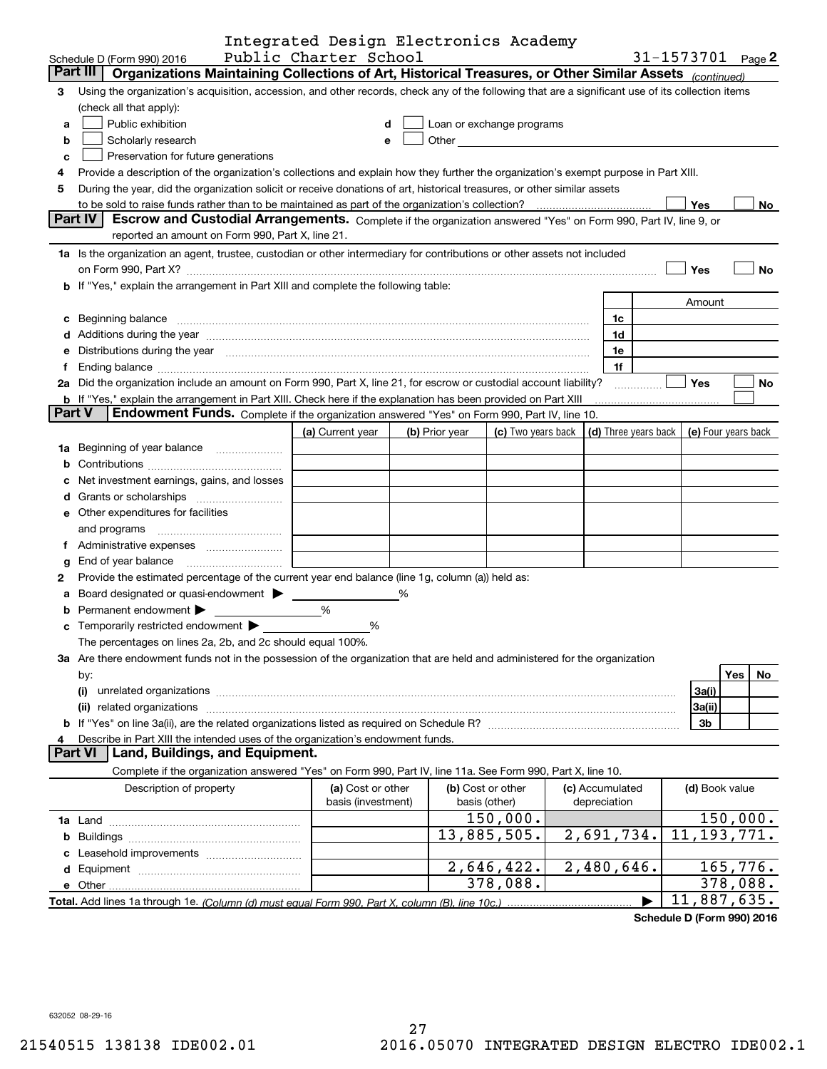|               |                                                                                                                                                                                                                                | Integrated Design Electronics Academy        |   |                |                           |                      |                   |                |                          |
|---------------|--------------------------------------------------------------------------------------------------------------------------------------------------------------------------------------------------------------------------------|----------------------------------------------|---|----------------|---------------------------|----------------------|-------------------|----------------|--------------------------|
|               | Schedule D (Form 990) 2016                                                                                                                                                                                                     | Public Charter School                        |   |                |                           |                      | 31-1573701 Page 2 |                |                          |
|               | Part III<br>Organizations Maintaining Collections of Art, Historical Treasures, or Other Similar Assets (continued)                                                                                                            |                                              |   |                |                           |                      |                   |                |                          |
| 3             | Using the organization's acquisition, accession, and other records, check any of the following that are a significant use of its collection items                                                                              |                                              |   |                |                           |                      |                   |                |                          |
|               | (check all that apply):                                                                                                                                                                                                        |                                              |   |                |                           |                      |                   |                |                          |
| a             | Public exhibition                                                                                                                                                                                                              | d                                            |   |                | Loan or exchange programs |                      |                   |                |                          |
| b             | Scholarly research                                                                                                                                                                                                             | е                                            |   |                |                           |                      |                   |                |                          |
| c             | Preservation for future generations                                                                                                                                                                                            |                                              |   |                |                           |                      |                   |                |                          |
| 4             | Provide a description of the organization's collections and explain how they further the organization's exempt purpose in Part XIII.                                                                                           |                                              |   |                |                           |                      |                   |                |                          |
| 5             | During the year, did the organization solicit or receive donations of art, historical treasures, or other similar assets                                                                                                       |                                              |   |                |                           |                      |                   |                |                          |
|               |                                                                                                                                                                                                                                |                                              |   |                |                           |                      | <b>Yes</b>        |                | No                       |
|               | Part IV<br>Escrow and Custodial Arrangements. Complete if the organization answered "Yes" on Form 990, Part IV, line 9, or                                                                                                     |                                              |   |                |                           |                      |                   |                |                          |
|               | reported an amount on Form 990, Part X, line 21.                                                                                                                                                                               |                                              |   |                |                           |                      |                   |                |                          |
|               | 1a Is the organization an agent, trustee, custodian or other intermediary for contributions or other assets not included                                                                                                       |                                              |   |                |                           |                      |                   |                |                          |
|               | on Form 990, Part X? [11] The Content of The Content of The Content of The Content of The Content of The Content of The Content of The Content of The Content of The Content of The Content of The Content of The Content of T |                                              |   |                |                           |                      | Yes               |                | No                       |
|               | <b>b</b> If "Yes," explain the arrangement in Part XIII and complete the following table:                                                                                                                                      |                                              |   |                |                           |                      |                   |                |                          |
|               |                                                                                                                                                                                                                                |                                              |   |                |                           |                      |                   | Amount         |                          |
|               | c Beginning balance measurements and the contract of the contract of the contract of the contract of the contract of the contract of the contract of the contract of the contract of the contract of the contract of the contr |                                              |   |                |                           | 1c                   |                   |                |                          |
|               | d Additions during the year measurements are also contained a state of the year measurement of the year measurement of the state of the state of the state of the state of the state of the state of the state of the state of |                                              |   |                |                           | 1d                   |                   |                |                          |
|               | e Distributions during the year manufactured and contain an account of the state of the state of the state of the state of the state of the state of the state of the state of the state of the state of the state of the stat |                                              |   |                |                           | 1e                   |                   |                |                          |
| f             |                                                                                                                                                                                                                                |                                              |   |                |                           | 1f                   |                   |                |                          |
|               | 2a Did the organization include an amount on Form 990, Part X, line 21, for escrow or custodial account liability?                                                                                                             |                                              |   |                |                           |                      | <b>Yes</b>        |                | No                       |
|               | <b>b</b> If "Yes," explain the arrangement in Part XIII. Check here if the explanation has been provided on Part XIII                                                                                                          |                                              |   |                |                           |                      |                   |                |                          |
| <b>Part V</b> | Endowment Funds. Complete if the organization answered "Yes" on Form 990, Part IV, line 10.                                                                                                                                    |                                              |   |                |                           |                      |                   |                |                          |
|               |                                                                                                                                                                                                                                | (a) Current year                             |   | (b) Prior year | (c) Two years back        | (d) Three years back |                   |                | (e) Four years back      |
|               | 1a Beginning of year balance                                                                                                                                                                                                   | <u> 1999 - Jan James Barnett, p</u>          |   |                |                           |                      |                   |                |                          |
|               |                                                                                                                                                                                                                                |                                              |   |                |                           |                      |                   |                |                          |
|               | c Net investment earnings, gains, and losses                                                                                                                                                                                   |                                              |   |                |                           |                      |                   |                |                          |
|               |                                                                                                                                                                                                                                |                                              |   |                |                           |                      |                   |                |                          |
|               | <b>e</b> Other expenditures for facilities                                                                                                                                                                                     |                                              |   |                |                           |                      |                   |                |                          |
|               | and programs                                                                                                                                                                                                                   | the control of the control of the control of |   |                |                           |                      |                   |                |                          |
|               |                                                                                                                                                                                                                                |                                              |   |                |                           |                      |                   |                |                          |
| g             | End of year balance                                                                                                                                                                                                            |                                              |   |                |                           |                      |                   |                |                          |
| 2             | Provide the estimated percentage of the current year end balance (line 1g, column (a)) held as:                                                                                                                                |                                              |   |                |                           |                      |                   |                |                          |
|               | a Board designated or quasi-endowment > _____                                                                                                                                                                                  |                                              | % |                |                           |                      |                   |                |                          |
| b             | Permanent endowment >                                                                                                                                                                                                          | %                                            |   |                |                           |                      |                   |                |                          |
|               |                                                                                                                                                                                                                                | %                                            |   |                |                           |                      |                   |                |                          |
|               | The percentages on lines 2a, 2b, and 2c should equal 100%.                                                                                                                                                                     |                                              |   |                |                           |                      |                   |                |                          |
|               | 3a Are there endowment funds not in the possession of the organization that are held and administered for the organization                                                                                                     |                                              |   |                |                           |                      |                   |                |                          |
|               | by:                                                                                                                                                                                                                            |                                              |   |                |                           |                      |                   | Yes            | No                       |
|               | (i)                                                                                                                                                                                                                            |                                              |   |                |                           |                      | 3a(i)             |                |                          |
|               | (ii)                                                                                                                                                                                                                           |                                              |   |                |                           |                      | 3a(ii)            |                |                          |
|               |                                                                                                                                                                                                                                |                                              |   |                |                           |                      |                   | 3b             |                          |
| 4             | Describe in Part XIII the intended uses of the organization's endowment funds.                                                                                                                                                 |                                              |   |                |                           |                      |                   |                |                          |
|               | <b>Part VI</b><br>Land, Buildings, and Equipment.                                                                                                                                                                              |                                              |   |                |                           |                      |                   |                |                          |
|               | Complete if the organization answered "Yes" on Form 990, Part IV, line 11a. See Form 990, Part X, line 10.                                                                                                                     |                                              |   |                |                           |                      |                   |                |                          |
|               | Description of property                                                                                                                                                                                                        | (a) Cost or other                            |   |                | (b) Cost or other         | (c) Accumulated      |                   | (d) Book value |                          |
|               |                                                                                                                                                                                                                                | basis (investment)                           |   |                | basis (other)             | depreciation         |                   |                |                          |
|               |                                                                                                                                                                                                                                |                                              |   |                | 150,000.                  |                      |                   |                | 150,000.                 |
|               |                                                                                                                                                                                                                                |                                              |   |                | 13,885,505.               | 2,691,734.           |                   |                | $\overline{11,193,771.}$ |
|               |                                                                                                                                                                                                                                |                                              |   |                |                           |                      |                   |                |                          |
|               |                                                                                                                                                                                                                                |                                              |   |                | 2,646,422.                | 2,480,646.           |                   |                | 165, 776.                |
|               |                                                                                                                                                                                                                                |                                              |   |                | 378,088.                  |                      |                   |                | 378,088.                 |
|               |                                                                                                                                                                                                                                |                                              |   |                |                           |                      |                   |                | 11,887,635.              |

**Schedule D (Form 990) 2016**

632052 08-29-16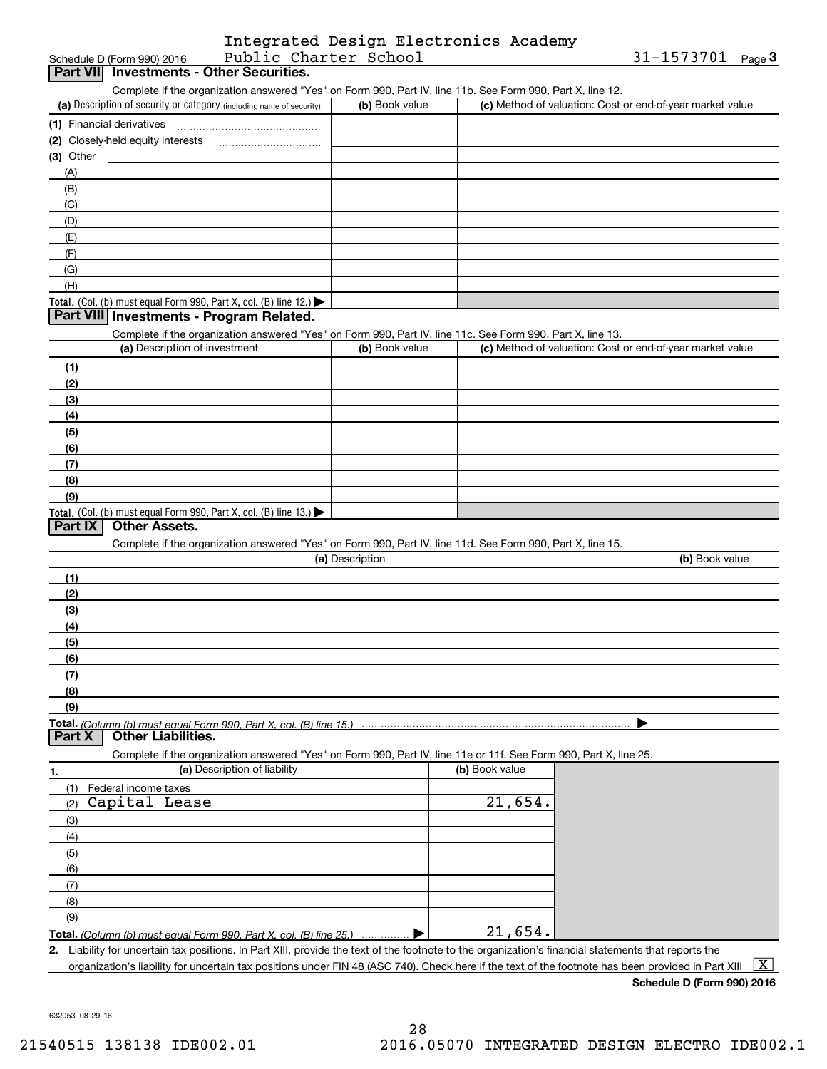|                       | Integrated Design Electronics Academy |  |
|-----------------------|---------------------------------------|--|
| Public Charter School |                                       |  |

| (1) Financial derivatives         | Part VII Investments - Other Securities.<br>Complete if the organization answered "Yes" on Form 990, Part IV, line 11b. See Form 990, Part X, line 12.<br>(a) Description of security or category (including name of security) | (b) Book value  |                |                                                           |  |
|-----------------------------------|--------------------------------------------------------------------------------------------------------------------------------------------------------------------------------------------------------------------------------|-----------------|----------------|-----------------------------------------------------------|--|
|                                   |                                                                                                                                                                                                                                |                 |                |                                                           |  |
|                                   |                                                                                                                                                                                                                                |                 |                |                                                           |  |
|                                   |                                                                                                                                                                                                                                |                 |                | (c) Method of valuation: Cost or end-of-year market value |  |
|                                   |                                                                                                                                                                                                                                |                 |                |                                                           |  |
|                                   |                                                                                                                                                                                                                                |                 |                |                                                           |  |
| $(3)$ Other                       |                                                                                                                                                                                                                                |                 |                |                                                           |  |
| (A)                               |                                                                                                                                                                                                                                |                 |                |                                                           |  |
| (B)                               |                                                                                                                                                                                                                                |                 |                |                                                           |  |
| (C)                               |                                                                                                                                                                                                                                |                 |                |                                                           |  |
| (D)                               |                                                                                                                                                                                                                                |                 |                |                                                           |  |
| (E)                               |                                                                                                                                                                                                                                |                 |                |                                                           |  |
| (F)                               |                                                                                                                                                                                                                                |                 |                |                                                           |  |
| (G)                               |                                                                                                                                                                                                                                |                 |                |                                                           |  |
| (H)                               |                                                                                                                                                                                                                                |                 |                |                                                           |  |
|                                   | Total. (Col. (b) must equal Form 990, Part X, col. (B) line 12.)                                                                                                                                                               |                 |                |                                                           |  |
|                                   | Part VIII Investments - Program Related.                                                                                                                                                                                       |                 |                |                                                           |  |
|                                   | Complete if the organization answered "Yes" on Form 990, Part IV, line 11c. See Form 990, Part X, line 13.                                                                                                                     |                 |                |                                                           |  |
|                                   | (a) Description of investment                                                                                                                                                                                                  | (b) Book value  |                | (c) Method of valuation: Cost or end-of-year market value |  |
| (1)                               |                                                                                                                                                                                                                                |                 |                |                                                           |  |
| (2)                               |                                                                                                                                                                                                                                |                 |                |                                                           |  |
| (3)                               |                                                                                                                                                                                                                                |                 |                |                                                           |  |
| (4)                               |                                                                                                                                                                                                                                |                 |                |                                                           |  |
| (5)                               |                                                                                                                                                                                                                                |                 |                |                                                           |  |
| (6)                               |                                                                                                                                                                                                                                |                 |                |                                                           |  |
| (7)                               |                                                                                                                                                                                                                                |                 |                |                                                           |  |
| (8)                               |                                                                                                                                                                                                                                |                 |                |                                                           |  |
| (9)                               |                                                                                                                                                                                                                                |                 |                |                                                           |  |
| Part IX<br><b>Other Assets.</b>   | Total. (Col. (b) must equal Form 990, Part X, col. (B) line 13.)                                                                                                                                                               |                 |                |                                                           |  |
|                                   |                                                                                                                                                                                                                                |                 |                |                                                           |  |
|                                   | Complete if the organization answered "Yes" on Form 990, Part IV, line 11d. See Form 990, Part X, line 15.                                                                                                                     |                 |                |                                                           |  |
|                                   |                                                                                                                                                                                                                                | (a) Description |                | (b) Book value                                            |  |
| (1)                               |                                                                                                                                                                                                                                |                 |                |                                                           |  |
| (2)                               |                                                                                                                                                                                                                                |                 |                |                                                           |  |
| (3)                               |                                                                                                                                                                                                                                |                 |                |                                                           |  |
| (4)                               |                                                                                                                                                                                                                                |                 |                |                                                           |  |
| (5)                               |                                                                                                                                                                                                                                |                 |                |                                                           |  |
| (6)                               |                                                                                                                                                                                                                                |                 |                |                                                           |  |
| (7)                               |                                                                                                                                                                                                                                |                 |                |                                                           |  |
| (8)                               |                                                                                                                                                                                                                                |                 |                |                                                           |  |
| (9)                               |                                                                                                                                                                                                                                |                 |                |                                                           |  |
| Part X                            | <b>Other Liabilities.</b>                                                                                                                                                                                                      |                 |                |                                                           |  |
|                                   | Complete if the organization answered "Yes" on Form 990, Part IV, line 11e or 11f. See Form 990, Part X, line 25.                                                                                                              |                 |                |                                                           |  |
|                                   | (a) Description of liability                                                                                                                                                                                                   |                 | (b) Book value |                                                           |  |
| 1.<br>(1)<br>Federal income taxes |                                                                                                                                                                                                                                |                 |                |                                                           |  |
| Capital Lease<br>(2)              |                                                                                                                                                                                                                                |                 | 21,654.        |                                                           |  |
|                                   |                                                                                                                                                                                                                                |                 |                |                                                           |  |
| (3)<br>(4)                        |                                                                                                                                                                                                                                |                 |                |                                                           |  |
| (5)                               |                                                                                                                                                                                                                                |                 |                |                                                           |  |
| (6)                               |                                                                                                                                                                                                                                |                 |                |                                                           |  |
| (7)                               |                                                                                                                                                                                                                                |                 |                |                                                           |  |
|                                   |                                                                                                                                                                                                                                |                 |                |                                                           |  |
| (8)                               |                                                                                                                                                                                                                                |                 |                |                                                           |  |
|                                   |                                                                                                                                                                                                                                |                 |                |                                                           |  |
| (9)                               |                                                                                                                                                                                                                                |                 | 21,654.        |                                                           |  |

**Schedule D (Form 990) 2016**

632053 08-29-16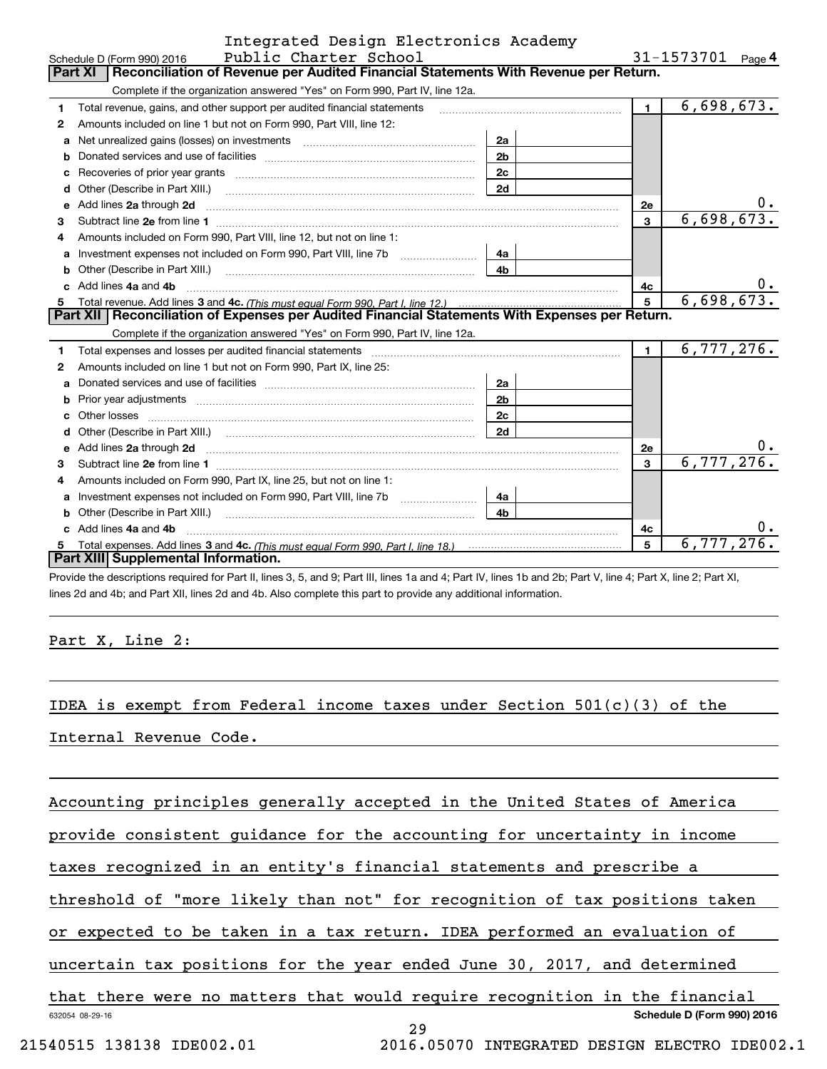|              | Integrated Design Electronics Academy                                                                                                                                                                                          |                |                   |            |
|--------------|--------------------------------------------------------------------------------------------------------------------------------------------------------------------------------------------------------------------------------|----------------|-------------------|------------|
|              | Public Charter School<br>Schedule D (Form 990) 2016                                                                                                                                                                            |                | 31-1573701 Page 4 |            |
|              | Reconciliation of Revenue per Audited Financial Statements With Revenue per Return.<br><b>Part XI</b>                                                                                                                          |                |                   |            |
|              | Complete if the organization answered "Yes" on Form 990, Part IV, line 12a.                                                                                                                                                    |                |                   |            |
| 1            | Total revenue, gains, and other support per audited financial statements                                                                                                                                                       | $\mathbf{1}$   | 6,698,673.        |            |
| $\mathbf{2}$ | Amounts included on line 1 but not on Form 990, Part VIII, line 12:                                                                                                                                                            |                |                   |            |
| a            | Net unrealized gains (losses) on investments [11] matter contracts and the unrealized gains (losses) on investments                                                                                                            | 2a             |                   |            |
|              |                                                                                                                                                                                                                                | 2 <sub>b</sub> |                   |            |
|              |                                                                                                                                                                                                                                | 2c             |                   |            |
| d            |                                                                                                                                                                                                                                | 2d             |                   |            |
| е            | Add lines 2a through 2d                                                                                                                                                                                                        |                | <b>2e</b>         |            |
| 3            |                                                                                                                                                                                                                                |                | 3                 | 6,698,673. |
| 4            | Amounts included on Form 990, Part VIII, line 12, but not on line 1:                                                                                                                                                           |                |                   |            |
| a            | Investment expenses not included on Form 990, Part VIII, line 7b [1000000000000000000000000000000000                                                                                                                           | 4a             |                   |            |
| b            | Other (Describe in Part XIII.) <b>Construction Contract Construction</b> Construction Construction Construction Constr                                                                                                         | 4h             |                   |            |
|              | Add lines 4a and 4b                                                                                                                                                                                                            | 4c             | $0 \cdot$         |            |
| 5            |                                                                                                                                                                                                                                | 5              | 6,698,673.        |            |
|              | Part XII   Reconciliation of Expenses per Audited Financial Statements With Expenses per Return.                                                                                                                               |                |                   |            |
|              | Complete if the organization answered "Yes" on Form 990, Part IV, line 12a.                                                                                                                                                    |                |                   |            |
| 1            | Total expenses and losses per audited financial statements [11] [12] manuscription and contract the statements [13] manuscription and the statements [13] manuscription and the statements and the statements and the statemen |                | $\blacksquare$    | 6,777,276. |
| 2            | Amounts included on line 1 but not on Form 990, Part IX, line 25:                                                                                                                                                              |                |                   |            |
| a            |                                                                                                                                                                                                                                | 2a             |                   |            |
| b            |                                                                                                                                                                                                                                | 2 <sub>b</sub> |                   |            |
|              |                                                                                                                                                                                                                                | 2c             |                   |            |
| d            |                                                                                                                                                                                                                                | 2d             |                   |            |
| e            | Add lines 2a through 2d <b>contained a contained a contained a contained a</b> contained a contained a contact the set                                                                                                         |                | <b>2e</b>         |            |
| 3            |                                                                                                                                                                                                                                |                | 3                 | 6,777,276. |
| 4            | Amounts included on Form 990, Part IX, line 25, but not on line 1:                                                                                                                                                             |                |                   |            |
| a            |                                                                                                                                                                                                                                | 4a             |                   |            |
| b            | Other (Describe in Part XIII.) <b>Construction Contract Construction</b> Chemical Construction Construction Construction                                                                                                       | 4b             |                   |            |
|              | c Add lines 4a and 4b                                                                                                                                                                                                          |                | 4c                | υ.         |
|              |                                                                                                                                                                                                                                |                | 5                 | 6,777,276. |
|              | Part XIII Supplemental Information.                                                                                                                                                                                            |                |                   |            |

Provide the descriptions required for Part II, lines 3, 5, and 9; Part III, lines 1a and 4; Part IV, lines 1b and 2b; Part V, line 4; Part X, line 2; Part XI, lines 2d and 4b; and Part XII, lines 2d and 4b. Also complete this part to provide any additional information.

### Part X, Line 2:

IDEA is exempt from Federal income taxes under Section  $501(c)(3)$  of the

Internal Revenue Code.

Accounting principles generally accepted in the United States of America

provide consistent guidance for the accounting for uncertainty in income

taxes recognized in an entity's financial statements and prescribe a

threshold of "more likely than not" for recognition of tax positions taken

or expected to be taken in a tax return. IDEA performed an evaluation of

uncertain tax positions for the year ended June 30, 2017, and determined

632054 08-29-16 **Schedule D (Form 990) 2016** that there were no matters that would require recognition in the financial

29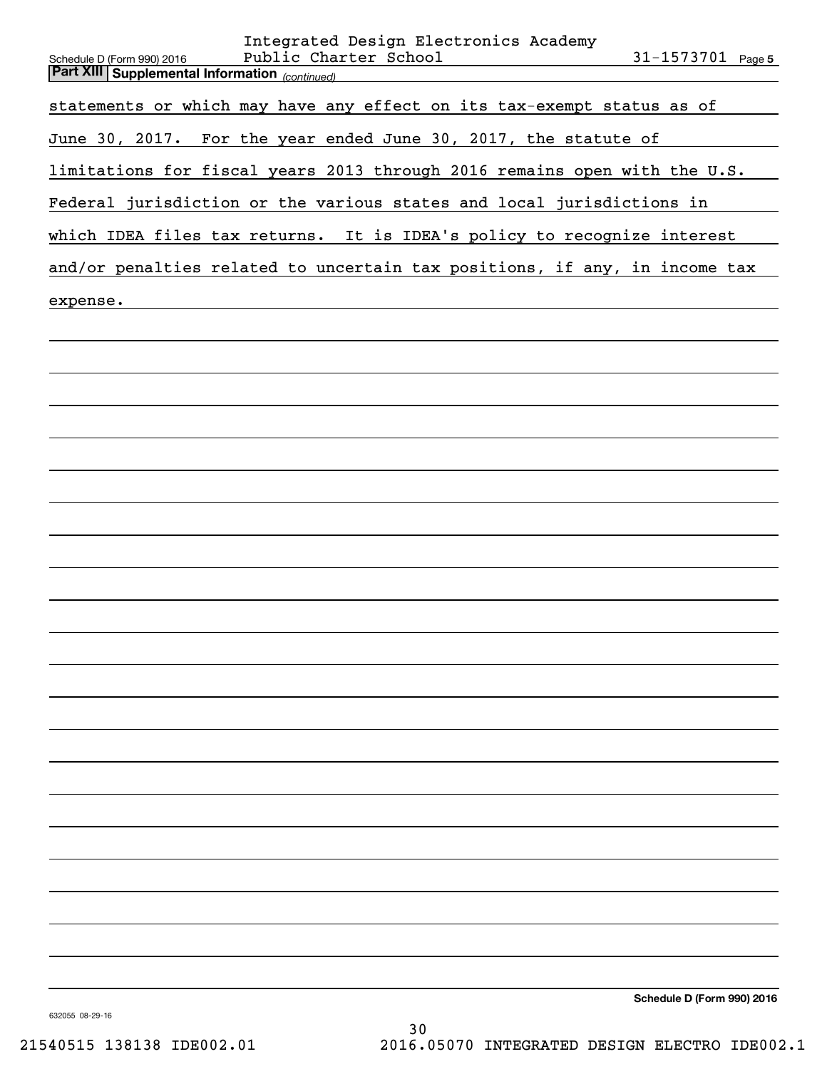| Integrated Design Electronics Academy<br>Public Charter School<br>$31 - 1573701$ Page 5<br>Schedule D (Form 990) 2016 |
|-----------------------------------------------------------------------------------------------------------------------|
| <b>Part XIII Supplemental Information</b> (continued)                                                                 |
| statements or which may have any effect on its tax-exempt status as of                                                |
| June 30, 2017. For the year ended June 30, 2017, the statute of                                                       |
| limitations for fiscal years 2013 through 2016 remains open with the U.S.                                             |
| Federal jurisdiction or the various states and local jurisdictions in                                                 |
| which IDEA files tax returns. It is IDEA's policy to recognize interest                                               |
| and/or penalties related to uncertain tax positions, if any, in income tax                                            |
| expense.                                                                                                              |
|                                                                                                                       |
|                                                                                                                       |
|                                                                                                                       |
|                                                                                                                       |
|                                                                                                                       |
|                                                                                                                       |
|                                                                                                                       |
|                                                                                                                       |
|                                                                                                                       |
|                                                                                                                       |
|                                                                                                                       |
|                                                                                                                       |
|                                                                                                                       |
|                                                                                                                       |
|                                                                                                                       |
|                                                                                                                       |
|                                                                                                                       |
|                                                                                                                       |
|                                                                                                                       |
|                                                                                                                       |
|                                                                                                                       |
|                                                                                                                       |
| Schedule D (Form 990) 2016                                                                                            |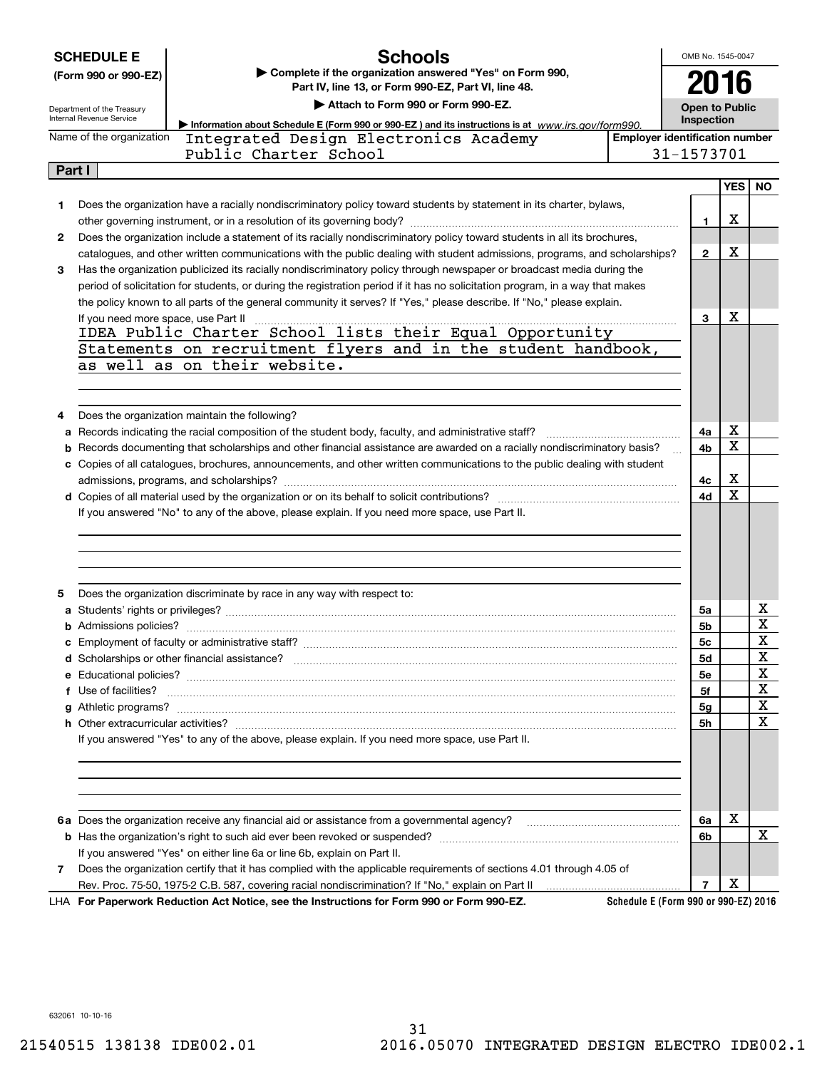|  |  |  | <b>SCHEDULE E</b> |  |
|--|--|--|-------------------|--|
|  |  |  |                   |  |

# **Schools**

**(Form 990 or 990-EZ) | Complete if the organization answered "Yes" on Form 990, Part IV, line 13, or Form 990-EZ, Part VI, line 48.**

OMB No. 1545-0047 **2016**

| Department of the Treasury |
|----------------------------|
| Internal Revenue Service   |

# **| Attach to Form 990 or Form 990-EZ.**

**Open to Public Inspection**

| Internal Revenue Service | • Information about Schedule E (Form 990 or 990-EZ) and its instructions is at www.irs.gov/form990.                 | <b>Inspection</b>                     |        |  |  |  |
|--------------------------|---------------------------------------------------------------------------------------------------------------------|---------------------------------------|--------|--|--|--|
| Name of the organization | Integrated Design Electronics Academy                                                                               | <b>Employer identification number</b> |        |  |  |  |
|                          | Public Charter School                                                                                               | 31-1573701                            |        |  |  |  |
| Part I                   |                                                                                                                     |                                       |        |  |  |  |
|                          |                                                                                                                     |                                       | YES NO |  |  |  |
|                          | Does the organization have a racially nondiscriminatory policy toward students by statement in its charter, bylaws, |                                       |        |  |  |  |

| 1 | Does the organization have a racially nondiscriminatory policy toward students by statement in its charter, bylaws,                                                                                                                |                |             |                         |
|---|------------------------------------------------------------------------------------------------------------------------------------------------------------------------------------------------------------------------------------|----------------|-------------|-------------------------|
|   |                                                                                                                                                                                                                                    | 1.             | х           |                         |
| 2 | Does the organization include a statement of its racially nondiscriminatory policy toward students in all its brochures,                                                                                                           |                |             |                         |
|   | catalogues, and other written communications with the public dealing with student admissions, programs, and scholarships?                                                                                                          | $\mathbf{2}$   | х           |                         |
| 3 | Has the organization publicized its racially nondiscriminatory policy through newspaper or broadcast media during the                                                                                                              |                |             |                         |
|   | period of solicitation for students, or during the registration period if it has no solicitation program, in a way that makes                                                                                                      |                |             |                         |
|   | the policy known to all parts of the general community it serves? If "Yes," please describe. If "No," please explain.                                                                                                              |                |             |                         |
|   | If you need more space, use Part II                                                                                                                                                                                                | 3              | x           |                         |
|   | IDEA Public Charter School lists their Equal Opportunity                                                                                                                                                                           |                |             |                         |
|   | Statements on recruitment flyers and in the student handbook,                                                                                                                                                                      |                |             |                         |
|   | as well as on their website.                                                                                                                                                                                                       |                |             |                         |
|   |                                                                                                                                                                                                                                    |                |             |                         |
|   |                                                                                                                                                                                                                                    |                |             |                         |
| 4 | Does the organization maintain the following?                                                                                                                                                                                      |                |             |                         |
| a | Records indicating the racial composition of the student body, faculty, and administrative staff?                                                                                                                                  | 4a             | х           |                         |
|   | <b>b</b> Records documenting that scholarships and other financial assistance are awarded on a racially nondiscriminatory basis?                                                                                                   | 4b             | X           |                         |
|   | c Copies of all catalogues, brochures, announcements, and other written communications to the public dealing with student                                                                                                          |                |             |                         |
|   |                                                                                                                                                                                                                                    | 4с             | х           |                         |
|   |                                                                                                                                                                                                                                    | 4d             | $\mathbf X$ |                         |
|   | If you answered "No" to any of the above, please explain. If you need more space, use Part II.                                                                                                                                     |                |             |                         |
|   |                                                                                                                                                                                                                                    |                |             |                         |
|   |                                                                                                                                                                                                                                    |                |             |                         |
|   |                                                                                                                                                                                                                                    |                |             |                         |
|   |                                                                                                                                                                                                                                    |                |             |                         |
| 5 | Does the organization discriminate by race in any way with respect to:                                                                                                                                                             |                |             |                         |
|   |                                                                                                                                                                                                                                    | 5a             |             | $\mathbf{x}$            |
|   |                                                                                                                                                                                                                                    | 5b             |             | $\overline{\mathtt{x}}$ |
|   |                                                                                                                                                                                                                                    | 5 <sub>c</sub> |             | $\overline{\mathtt{x}}$ |
|   |                                                                                                                                                                                                                                    | <b>5d</b>      |             | $\overline{\mathtt{x}}$ |
|   |                                                                                                                                                                                                                                    | 5e             |             | $\overline{\mathtt{x}}$ |
|   | f Use of facilities? <b>www.communities.</b> We can be a series of the contract of the contract of the contract of the contract of the contract of the contract of the contract of the contract of the contract of the contract of | 5f             |             | $\overline{\mathbf{x}}$ |
|   |                                                                                                                                                                                                                                    | 5 <sub>g</sub> |             | $\overline{\textbf{X}}$ |
|   |                                                                                                                                                                                                                                    | 5h             |             | $\overline{\mathbf{x}}$ |
|   | If you answered "Yes" to any of the above, please explain. If you need more space, use Part II.                                                                                                                                    |                |             |                         |
|   |                                                                                                                                                                                                                                    |                |             |                         |
|   |                                                                                                                                                                                                                                    |                |             |                         |
|   |                                                                                                                                                                                                                                    |                |             |                         |
|   |                                                                                                                                                                                                                                    |                |             |                         |
|   | 6a Does the organization receive any financial aid or assistance from a governmental agency?                                                                                                                                       | 6a             | Χ           |                         |
|   |                                                                                                                                                                                                                                    | 6b             |             | х                       |
|   | If you answered "Yes" on either line 6a or line 6b, explain on Part II.                                                                                                                                                            |                |             |                         |
| 7 | Does the organization certify that it has complied with the applicable requirements of sections 4.01 through 4.05 of                                                                                                               |                |             |                         |
|   | Rev. Proc. 75-50, 1975-2 C.B. 587, covering racial nondiscrimination? If "No," explain on Part II                                                                                                                                  | 7              | х           |                         |
|   | Schedule E (Form 990 or 990-EZ) 2016<br>LHA For Paperwork Reduction Act Notice, see the Instructions for Form 990 or Form 990-EZ.                                                                                                  |                |             |                         |

632061 10-10-16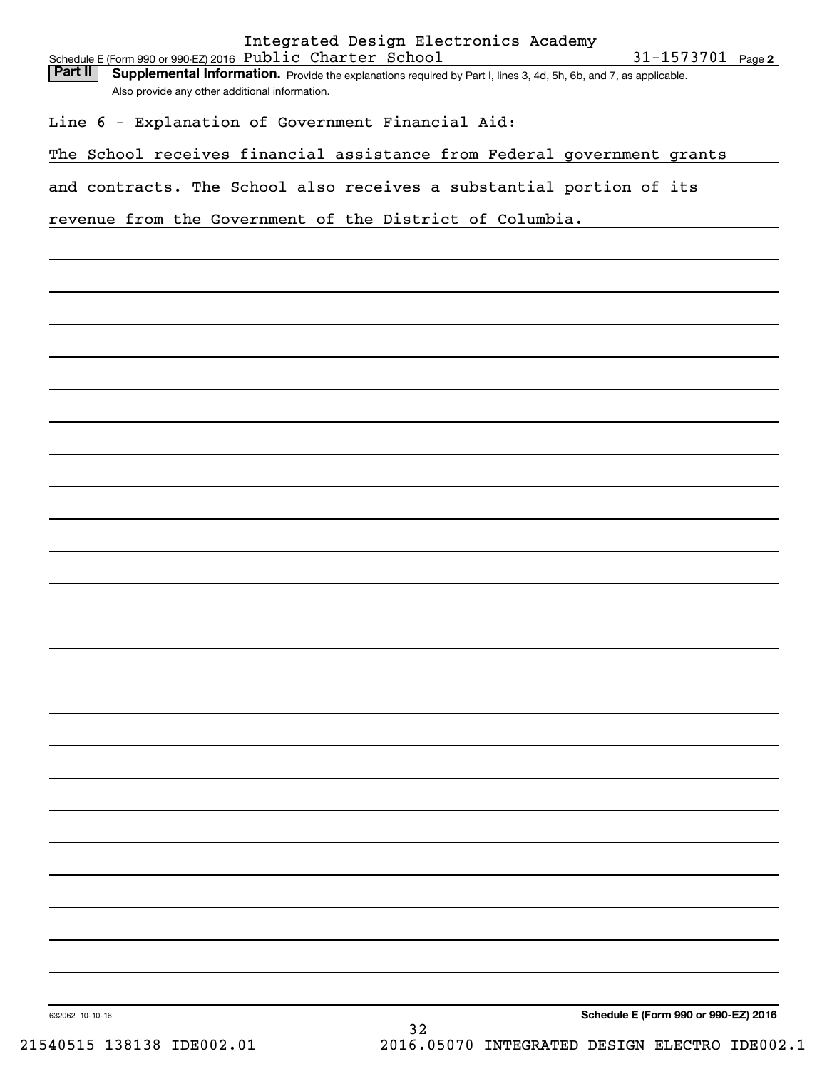Part II | Supplemental Information. Provide the explanations required by Part I, lines 3, 4d, 5h, 6b, and 7, as applicable. Also provide any other additional information.

Line 6 - Explanation of Government Financial Aid:

The School receives financial assistance from Federal government grants

and contracts. The School also receives a substantial portion of its

revenue from the Government of the District of Columbia.

632062 10-10-16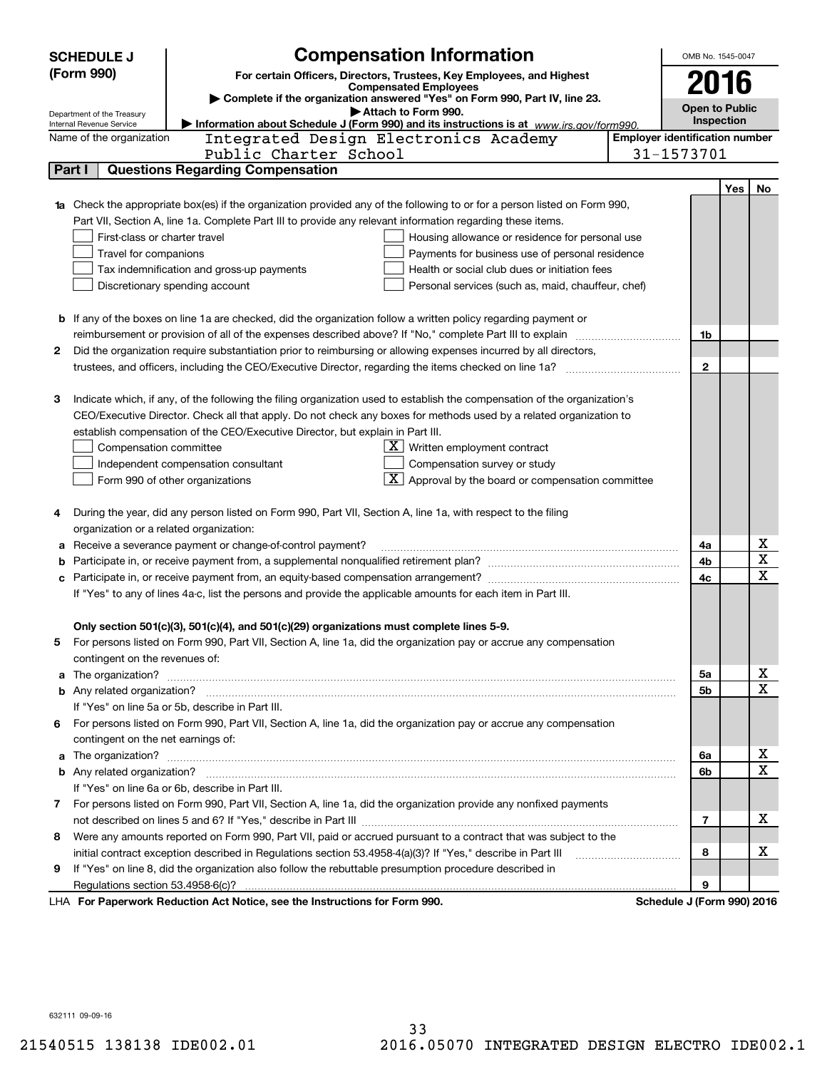|        | <b>SCHEDULE J</b>                                      |                                                                                                                           | OMB No. 1545-0047 |                                       |     |        |  |  |
|--------|--------------------------------------------------------|---------------------------------------------------------------------------------------------------------------------------|-------------------|---------------------------------------|-----|--------|--|--|
|        | (Form 990)                                             | <b>Compensation Information</b><br>For certain Officers, Directors, Trustees, Key Employees, and Highest                  |                   |                                       |     |        |  |  |
|        |                                                        | <b>Compensated Employees</b>                                                                                              |                   | 2016                                  |     |        |  |  |
|        |                                                        | Complete if the organization answered "Yes" on Form 990, Part IV, line 23.<br>Attach to Form 990.                         |                   | <b>Open to Public</b>                 |     |        |  |  |
|        | Department of the Treasury<br>Internal Revenue Service | Information about Schedule J (Form 990) and its instructions is at www.irs.gov/form990.                                   |                   | Inspection                            |     |        |  |  |
|        | Name of the organization                               | Integrated Design Electronics Academy                                                                                     |                   | <b>Employer identification number</b> |     |        |  |  |
|        |                                                        | Public Charter School                                                                                                     |                   | 31-1573701                            |     |        |  |  |
| Part I |                                                        | <b>Questions Regarding Compensation</b>                                                                                   |                   |                                       |     |        |  |  |
|        |                                                        |                                                                                                                           |                   |                                       | Yes | No     |  |  |
|        |                                                        | Check the appropriate box(es) if the organization provided any of the following to or for a person listed on Form 990,    |                   |                                       |     |        |  |  |
|        |                                                        | Part VII, Section A, line 1a. Complete Part III to provide any relevant information regarding these items.                |                   |                                       |     |        |  |  |
|        | First-class or charter travel                          | Housing allowance or residence for personal use                                                                           |                   |                                       |     |        |  |  |
|        | Travel for companions                                  | Payments for business use of personal residence                                                                           |                   |                                       |     |        |  |  |
|        | Tax indemnification and gross-up payments              | Health or social club dues or initiation fees                                                                             |                   |                                       |     |        |  |  |
|        |                                                        | Discretionary spending account<br>Personal services (such as, maid, chauffeur, chef)                                      |                   |                                       |     |        |  |  |
|        |                                                        |                                                                                                                           |                   |                                       |     |        |  |  |
|        |                                                        | <b>b</b> If any of the boxes on line 1a are checked, did the organization follow a written policy regarding payment or    |                   |                                       |     |        |  |  |
|        |                                                        |                                                                                                                           |                   | 1b                                    |     |        |  |  |
| 2      |                                                        | Did the organization require substantiation prior to reimbursing or allowing expenses incurred by all directors,          |                   |                                       |     |        |  |  |
|        |                                                        |                                                                                                                           |                   | $\mathbf{2}$                          |     |        |  |  |
|        |                                                        |                                                                                                                           |                   |                                       |     |        |  |  |
| з      |                                                        | Indicate which, if any, of the following the filing organization used to establish the compensation of the organization's |                   |                                       |     |        |  |  |
|        |                                                        | CEO/Executive Director. Check all that apply. Do not check any boxes for methods used by a related organization to        |                   |                                       |     |        |  |  |
|        |                                                        | establish compensation of the CEO/Executive Director, but explain in Part III.                                            |                   |                                       |     |        |  |  |
|        | Compensation committee                                 | $X$ Written employment contract                                                                                           |                   |                                       |     |        |  |  |
|        |                                                        | Compensation survey or study<br>Independent compensation consultant                                                       |                   |                                       |     |        |  |  |
|        |                                                        | $\boxed{\text{X}}$ Approval by the board or compensation committee<br>Form 990 of other organizations                     |                   |                                       |     |        |  |  |
|        |                                                        |                                                                                                                           |                   |                                       |     |        |  |  |
| 4      |                                                        | During the year, did any person listed on Form 990, Part VII, Section A, line 1a, with respect to the filing              |                   |                                       |     |        |  |  |
|        |                                                        | organization or a related organization:                                                                                   |                   |                                       |     |        |  |  |
| а      |                                                        | Receive a severance payment or change-of-control payment?                                                                 |                   | 4a                                    |     | х      |  |  |
| b      |                                                        |                                                                                                                           |                   | 4b                                    |     | X      |  |  |
|        |                                                        |                                                                                                                           |                   | 4c                                    |     | х      |  |  |
|        |                                                        | If "Yes" to any of lines 4a-c, list the persons and provide the applicable amounts for each item in Part III.             |                   |                                       |     |        |  |  |
|        |                                                        |                                                                                                                           |                   |                                       |     |        |  |  |
|        |                                                        | Only section 501(c)(3), 501(c)(4), and 501(c)(29) organizations must complete lines 5-9.                                  |                   |                                       |     |        |  |  |
| 5      |                                                        | For persons listed on Form 990, Part VII, Section A, line 1a, did the organization pay or accrue any compensation         |                   |                                       |     |        |  |  |
|        | contingent on the revenues of:                         |                                                                                                                           |                   |                                       |     |        |  |  |
| a      |                                                        |                                                                                                                           |                   | 5а                                    |     | х<br>х |  |  |
|        |                                                        |                                                                                                                           |                   | 5b                                    |     |        |  |  |
|        |                                                        | If "Yes" on line 5a or 5b, describe in Part III.                                                                          |                   |                                       |     |        |  |  |
|        |                                                        | 6 For persons listed on Form 990, Part VII, Section A, line 1a, did the organization pay or accrue any compensation       |                   |                                       |     |        |  |  |
|        | contingent on the net earnings of:                     |                                                                                                                           |                   | 6a                                    |     | х      |  |  |
|        | a                                                      |                                                                                                                           |                   |                                       |     | Χ      |  |  |
|        |                                                        |                                                                                                                           |                   | 6b                                    |     |        |  |  |
|        |                                                        | If "Yes" on line 6a or 6b, describe in Part III.                                                                          |                   |                                       |     |        |  |  |
|        |                                                        | 7 For persons listed on Form 990, Part VII, Section A, line 1a, did the organization provide any nonfixed payments        |                   |                                       |     | х      |  |  |
|        |                                                        |                                                                                                                           |                   | 7                                     |     |        |  |  |
| 8      |                                                        | Were any amounts reported on Form 990, Part VII, paid or accrued pursuant to a contract that was subject to the           |                   |                                       |     | х      |  |  |
|        |                                                        | initial contract exception described in Regulations section 53.4958-4(a)(3)? If "Yes," describe in Part III               |                   | 8                                     |     |        |  |  |
| 9      |                                                        | If "Yes" on line 8, did the organization also follow the rebuttable presumption procedure described in                    |                   | 9                                     |     |        |  |  |
|        |                                                        | LHA For Paperwork Reduction Act Notice, see the Instructions for Form 990.                                                |                   | Schedule J (Form 990) 2016            |     |        |  |  |
|        |                                                        |                                                                                                                           |                   |                                       |     |        |  |  |

632111 09-09-16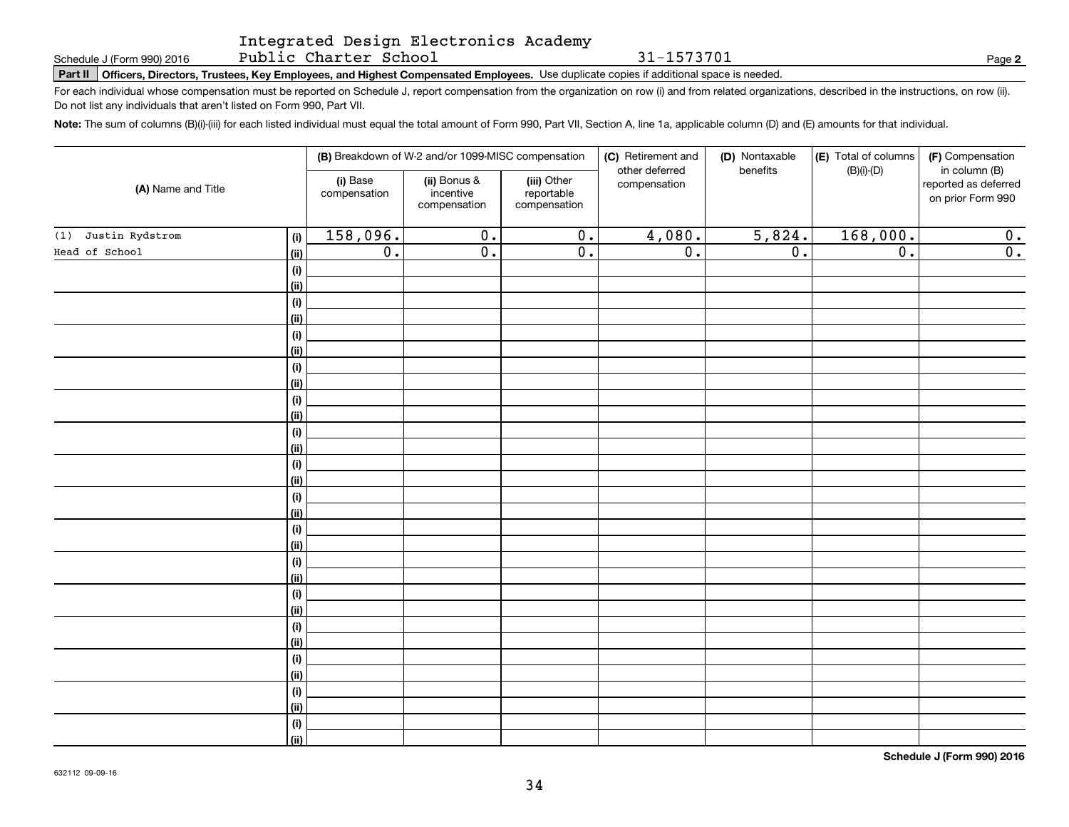### Integrated Design Electronics Academy Public Charter School

31-1573701

**2**

Schedule J (Form 990) 2016 PUDIIC Charter School<br> **Part II** | Officers, Directors, Trustees, Key Employees, and Highest Compensated Employees. Use duplicate copies if additional space is needed.

For each individual whose compensation must be reported on Schedule J, report compensation from the organization on row (i) and from related organizations, described in the instructions, on row (ii). Do not list any individuals that aren't listed on Form 990, Part VII.

**Note:**  The sum of columns (B)(i)-(iii) for each listed individual must equal the total amount of Form 990, Part VII, Section A, line 1a, applicable column (D) and (E) amounts for that individual.

| (A) Name and Title     |             |                          | (B) Breakdown of W-2 and/or 1099-MISC compensation |                                           | (C) Retirement and             | (D) Nontaxable   | (E) Total of columns | (F) Compensation                                           |
|------------------------|-------------|--------------------------|----------------------------------------------------|-------------------------------------------|--------------------------------|------------------|----------------------|------------------------------------------------------------|
|                        |             | (i) Base<br>compensation | (ii) Bonus &<br>incentive<br>compensation          | (iii) Other<br>reportable<br>compensation | other deferred<br>compensation | benefits         | $(B)(i)-(D)$         | in column (B)<br>reported as deferred<br>on prior Form 990 |
| Justin Rydstrom<br>(1) | (i)         | 158,096.                 | $\overline{0}$ .                                   | $\overline{\mathbf{0}}$ .                 | 4,080.                         | 5,824.           | 168,000.             | 0.                                                         |
| Head of School         | <u>(ii)</u> | $\overline{0}$ .         | $\overline{0}$ .                                   | $\overline{0}$ .                          | $\overline{0}$ .               | $\overline{0}$ . | $\overline{0}$ .     | $\overline{0}$ .                                           |
|                        | (i)         |                          |                                                    |                                           |                                |                  |                      |                                                            |
|                        | <u>(ii)</u> |                          |                                                    |                                           |                                |                  |                      |                                                            |
|                        | (i)         |                          |                                                    |                                           |                                |                  |                      |                                                            |
|                        | <u>(ii)</u> |                          |                                                    |                                           |                                |                  |                      |                                                            |
|                        | (i)         |                          |                                                    |                                           |                                |                  |                      |                                                            |
|                        | <u>(ii)</u> |                          |                                                    |                                           |                                |                  |                      |                                                            |
|                        | (i)         |                          |                                                    |                                           |                                |                  |                      |                                                            |
|                        | <u>(ii)</u> |                          |                                                    |                                           |                                |                  |                      |                                                            |
|                        | (i)<br>(ii) |                          |                                                    |                                           |                                |                  |                      |                                                            |
|                        | (i)         |                          |                                                    |                                           |                                |                  |                      |                                                            |
|                        | (ii)        |                          |                                                    |                                           |                                |                  |                      |                                                            |
|                        | (i)         |                          |                                                    |                                           |                                |                  |                      |                                                            |
|                        | (ii)        |                          |                                                    |                                           |                                |                  |                      |                                                            |
|                        | (i)         |                          |                                                    |                                           |                                |                  |                      |                                                            |
|                        | (ii)        |                          |                                                    |                                           |                                |                  |                      |                                                            |
|                        | (i)         |                          |                                                    |                                           |                                |                  |                      |                                                            |
|                        | (ii)        |                          |                                                    |                                           |                                |                  |                      |                                                            |
|                        | (i)         |                          |                                                    |                                           |                                |                  |                      |                                                            |
|                        | (ii)        |                          |                                                    |                                           |                                |                  |                      |                                                            |
|                        | (i)         |                          |                                                    |                                           |                                |                  |                      |                                                            |
|                        | (ii)        |                          |                                                    |                                           |                                |                  |                      |                                                            |
|                        | (i)         |                          |                                                    |                                           |                                |                  |                      |                                                            |
|                        | (ii)        |                          |                                                    |                                           |                                |                  |                      |                                                            |
|                        | (i)<br>(ii) |                          |                                                    |                                           |                                |                  |                      |                                                            |
|                        | (i)         |                          |                                                    |                                           |                                |                  |                      |                                                            |
|                        | (ii)        |                          |                                                    |                                           |                                |                  |                      |                                                            |
|                        | $(\sf{i})$  |                          |                                                    |                                           |                                |                  |                      |                                                            |
|                        | (ii)        |                          |                                                    |                                           |                                |                  |                      |                                                            |
|                        |             |                          |                                                    |                                           |                                |                  |                      |                                                            |

**Schedule J (Form 990) 2016**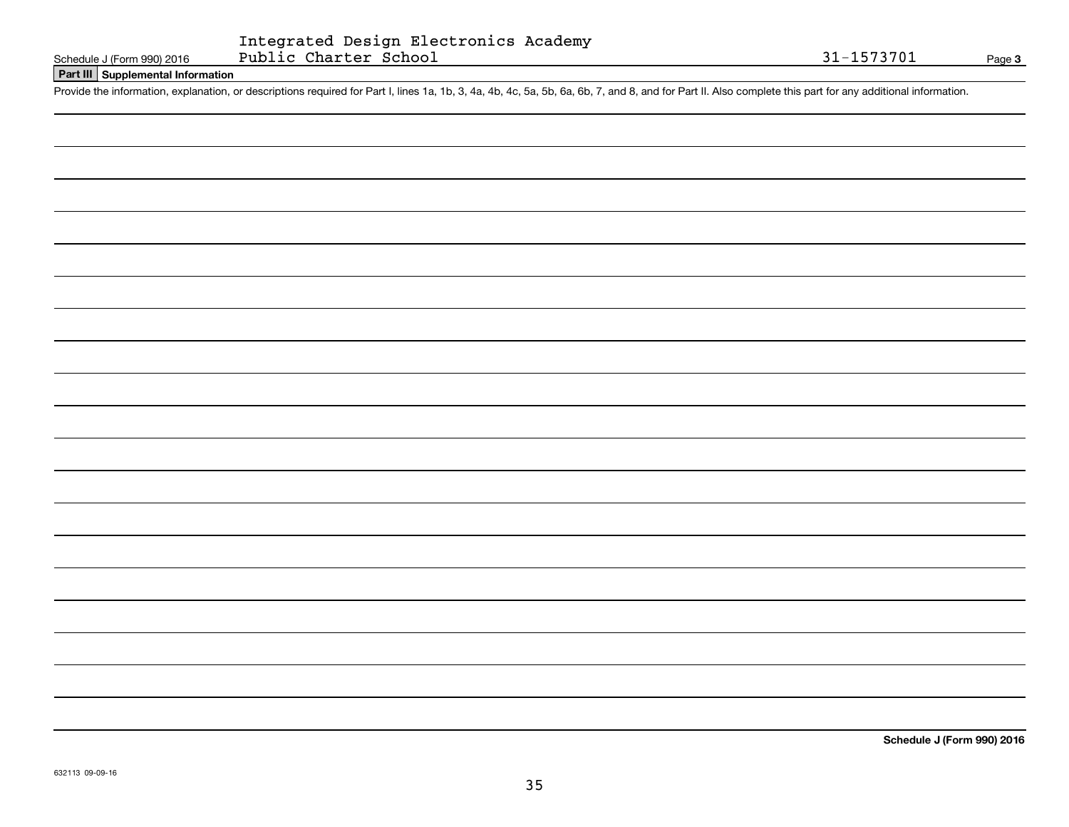# **Part III Supplemental Information**

Schedule J (Form 990) 2016 Public Charter School 31-1573701<br>Part III Supplemental Information<br>Provide the information, explanation, or descriptions required for Part I, lines 1a, 1b, 3, 4a, 4b, 4c, 5a, 5b, 6a, 6b, 7, and 8

**Schedule J (Form 990) 2016**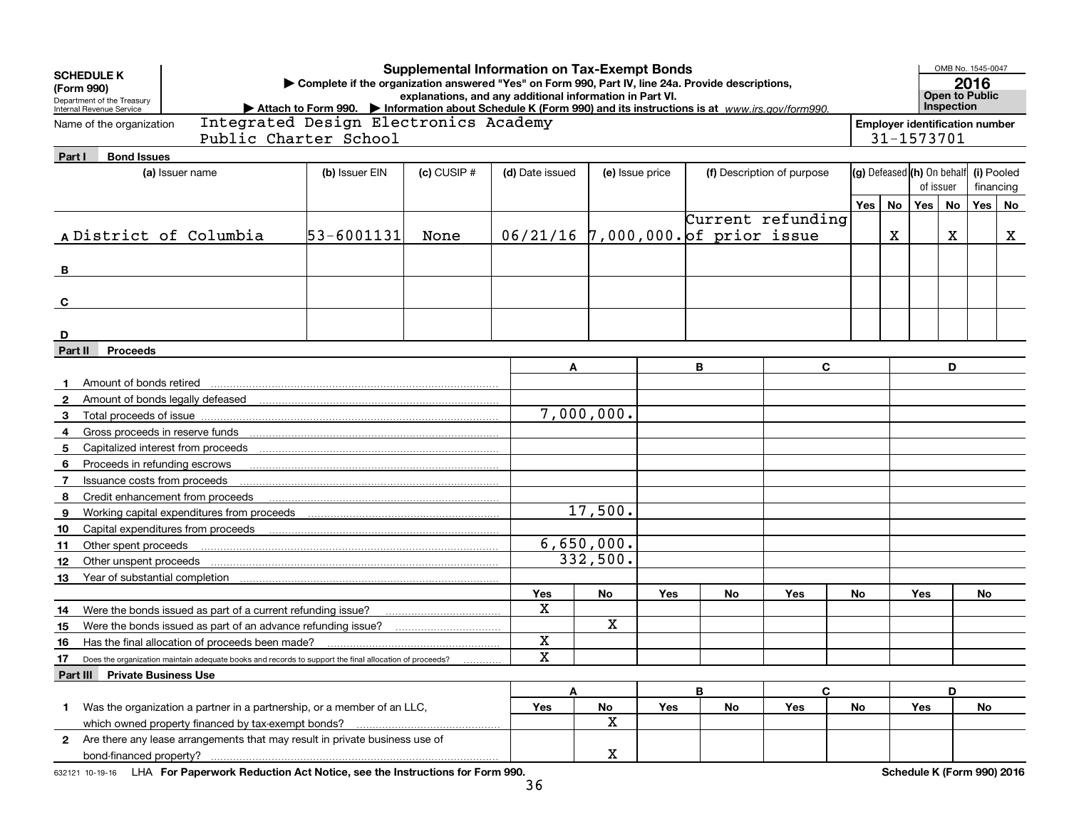|              | <b>Supplemental Information on Tax-Exempt Bonds</b><br><b>SCHEDULE K</b><br>Complete if the organization answered "Yes" on Form 990, Part IV, line 24a. Provide descriptions,<br>(Form 990)<br>explanations, and any additional information in Part VI.<br>Department of the Treasury<br>Attach to Form 990. Information about Schedule K (Form 990) and its instructions is at www.irs.gov/form990.<br>Internal Revenue Service<br>Integrated Design Electronics Academy |                                                                                                        |                       |                 |                                    |             |                                                     |        |    |                            |                                          |          | OMB No. 1545-0047<br>2016<br><b>Open to Public</b><br>Inspection |           |           |   |
|--------------|---------------------------------------------------------------------------------------------------------------------------------------------------------------------------------------------------------------------------------------------------------------------------------------------------------------------------------------------------------------------------------------------------------------------------------------------------------------------------|--------------------------------------------------------------------------------------------------------|-----------------------|-----------------|------------------------------------|-------------|-----------------------------------------------------|--------|----|----------------------------|------------------------------------------|----------|------------------------------------------------------------------|-----------|-----------|---|
|              | Name of the organization                                                                                                                                                                                                                                                                                                                                                                                                                                                  |                                                                                                        | Public Charter School |                 |                                    |             | <b>Employer identification number</b><br>31-1573701 |        |    |                            |                                          |          |                                                                  |           |           |   |
| Part I       | <b>Bond Issues</b><br>(a) Issuer name                                                                                                                                                                                                                                                                                                                                                                                                                                     |                                                                                                        | (b) Issuer EIN        | $(c)$ CUSIP $#$ | (d) Date issued                    |             | (e) Issue price                                     |        |    | (f) Description of purpose | (g) Defeased (h) On behalf<br>(i) Pooled |          |                                                                  |           |           |   |
|              |                                                                                                                                                                                                                                                                                                                                                                                                                                                                           |                                                                                                        |                       |                 |                                    |             |                                                     |        |    |                            |                                          |          | of issuer                                                        |           | financing |   |
|              |                                                                                                                                                                                                                                                                                                                                                                                                                                                                           |                                                                                                        |                       |                 |                                    |             |                                                     |        |    |                            |                                          | Yes   No | Yes                                                              | <b>No</b> | Yes   No  |   |
|              | A District of Columbia                                                                                                                                                                                                                                                                                                                                                                                                                                                    |                                                                                                        | 53-6001131            | None            | 06/21/16 7,000,000. of prior issue |             |                                                     |        |    | Current refunding          |                                          | X        |                                                                  | X         |           | X |
| в            |                                                                                                                                                                                                                                                                                                                                                                                                                                                                           |                                                                                                        |                       |                 |                                    |             |                                                     |        |    |                            |                                          |          |                                                                  |           |           |   |
| C            |                                                                                                                                                                                                                                                                                                                                                                                                                                                                           |                                                                                                        |                       |                 |                                    |             |                                                     |        |    |                            |                                          |          |                                                                  |           |           |   |
| D            |                                                                                                                                                                                                                                                                                                                                                                                                                                                                           |                                                                                                        |                       |                 |                                    |             |                                                     |        |    |                            |                                          |          |                                                                  |           |           |   |
| Part II      | <b>Proceeds</b>                                                                                                                                                                                                                                                                                                                                                                                                                                                           |                                                                                                        |                       |                 |                                    |             |                                                     |        |    |                            |                                          |          |                                                                  |           |           |   |
|              | Amount of bonds retired                                                                                                                                                                                                                                                                                                                                                                                                                                                   |                                                                                                        |                       |                 | Α                                  |             |                                                     | В<br>C |    |                            | D                                        |          |                                                                  |           |           |   |
| $\mathbf{2}$ | Amount of bonds legally defeased                                                                                                                                                                                                                                                                                                                                                                                                                                          |                                                                                                        |                       |                 |                                    |             |                                                     |        |    |                            |                                          |          |                                                                  |           |           |   |
| 3            |                                                                                                                                                                                                                                                                                                                                                                                                                                                                           |                                                                                                        |                       |                 |                                    | 7,000,000.  |                                                     |        |    |                            |                                          |          |                                                                  |           |           |   |
| 4            | Gross proceeds in reserve funds                                                                                                                                                                                                                                                                                                                                                                                                                                           |                                                                                                        |                       |                 |                                    |             |                                                     |        |    |                            |                                          |          |                                                                  |           |           |   |
| 5            | Capitalized interest from proceeds                                                                                                                                                                                                                                                                                                                                                                                                                                        |                                                                                                        |                       |                 |                                    |             |                                                     |        |    |                            |                                          |          |                                                                  |           |           |   |
| 6            | Proceeds in refunding escrows                                                                                                                                                                                                                                                                                                                                                                                                                                             |                                                                                                        |                       |                 |                                    |             |                                                     |        |    |                            |                                          |          |                                                                  |           |           |   |
| 7            | Issuance costs from proceeds                                                                                                                                                                                                                                                                                                                                                                                                                                              |                                                                                                        |                       |                 |                                    |             |                                                     |        |    |                            |                                          |          |                                                                  |           |           |   |
| 8            | Credit enhancement from proceeds                                                                                                                                                                                                                                                                                                                                                                                                                                          |                                                                                                        |                       |                 |                                    |             |                                                     |        |    |                            |                                          |          |                                                                  |           |           |   |
| 9            |                                                                                                                                                                                                                                                                                                                                                                                                                                                                           | Working capital expenditures from proceeds                                                             |                       |                 |                                    | 17,500.     |                                                     |        |    |                            |                                          |          |                                                                  |           |           |   |
| 10           | Capital expenditures from proceeds                                                                                                                                                                                                                                                                                                                                                                                                                                        |                                                                                                        |                       |                 |                                    |             |                                                     |        |    |                            |                                          |          |                                                                  |           |           |   |
| 11           | Other spent proceeds                                                                                                                                                                                                                                                                                                                                                                                                                                                      |                                                                                                        |                       |                 |                                    | 6,650,000.  |                                                     |        |    |                            |                                          |          |                                                                  |           |           |   |
| 12           | Other unspent proceeds                                                                                                                                                                                                                                                                                                                                                                                                                                                    |                                                                                                        |                       |                 |                                    | 332,500.    |                                                     |        |    |                            |                                          |          |                                                                  |           |           |   |
| 13           | Year of substantial completion                                                                                                                                                                                                                                                                                                                                                                                                                                            |                                                                                                        |                       |                 |                                    |             |                                                     |        |    |                            |                                          |          |                                                                  |           |           |   |
|              |                                                                                                                                                                                                                                                                                                                                                                                                                                                                           |                                                                                                        |                       |                 | Yes<br>X                           | No          | Yes                                                 |        | No | Yes                        | No                                       |          | Yes                                                              |           | No.       |   |
| 14           |                                                                                                                                                                                                                                                                                                                                                                                                                                                                           | Were the bonds issued as part of a current refunding issue?                                            |                       |                 |                                    | X           |                                                     |        |    |                            |                                          |          |                                                                  |           |           |   |
| 15           |                                                                                                                                                                                                                                                                                                                                                                                                                                                                           | Were the bonds issued as part of an advance refunding issue?                                           |                       |                 | X                                  |             |                                                     |        |    |                            |                                          |          |                                                                  |           |           |   |
| 16           |                                                                                                                                                                                                                                                                                                                                                                                                                                                                           | Has the final allocation of proceeds been made?                                                        |                       |                 | x                                  |             |                                                     |        |    |                            |                                          |          |                                                                  |           |           |   |
| 17.          |                                                                                                                                                                                                                                                                                                                                                                                                                                                                           | Does the organization maintain adequate books and records to support the final allocation of proceeds? |                       |                 |                                    |             |                                                     |        |    |                            |                                          |          |                                                                  |           |           |   |
|              | <b>Part III</b> Private Business Use                                                                                                                                                                                                                                                                                                                                                                                                                                      |                                                                                                        |                       |                 |                                    |             |                                                     | B      |    | $\mathbf{C}$               |                                          |          |                                                                  | D         |           |   |
| 1.           |                                                                                                                                                                                                                                                                                                                                                                                                                                                                           | Was the organization a partner in a partnership, or a member of an LLC,                                |                       |                 | A<br>Yes                           | No          | Yes                                                 |        | No | Yes                        | No                                       |          | Yes                                                              |           | No        |   |
|              |                                                                                                                                                                                                                                                                                                                                                                                                                                                                           |                                                                                                        |                       |                 |                                    | $\mathbf X$ |                                                     |        |    |                            |                                          |          |                                                                  |           |           |   |
|              |                                                                                                                                                                                                                                                                                                                                                                                                                                                                           | 2 Are there any lease arrangements that may result in private business use of                          |                       |                 |                                    |             |                                                     |        |    |                            |                                          |          |                                                                  |           |           |   |
|              |                                                                                                                                                                                                                                                                                                                                                                                                                                                                           |                                                                                                        |                       |                 |                                    | X           |                                                     |        |    |                            |                                          |          |                                                                  |           |           |   |

632121 10-19-16 LHA For Paperwork Reduction Act Notice, see the Instructions for Form 990. **Schedule K (Form 990) 2016**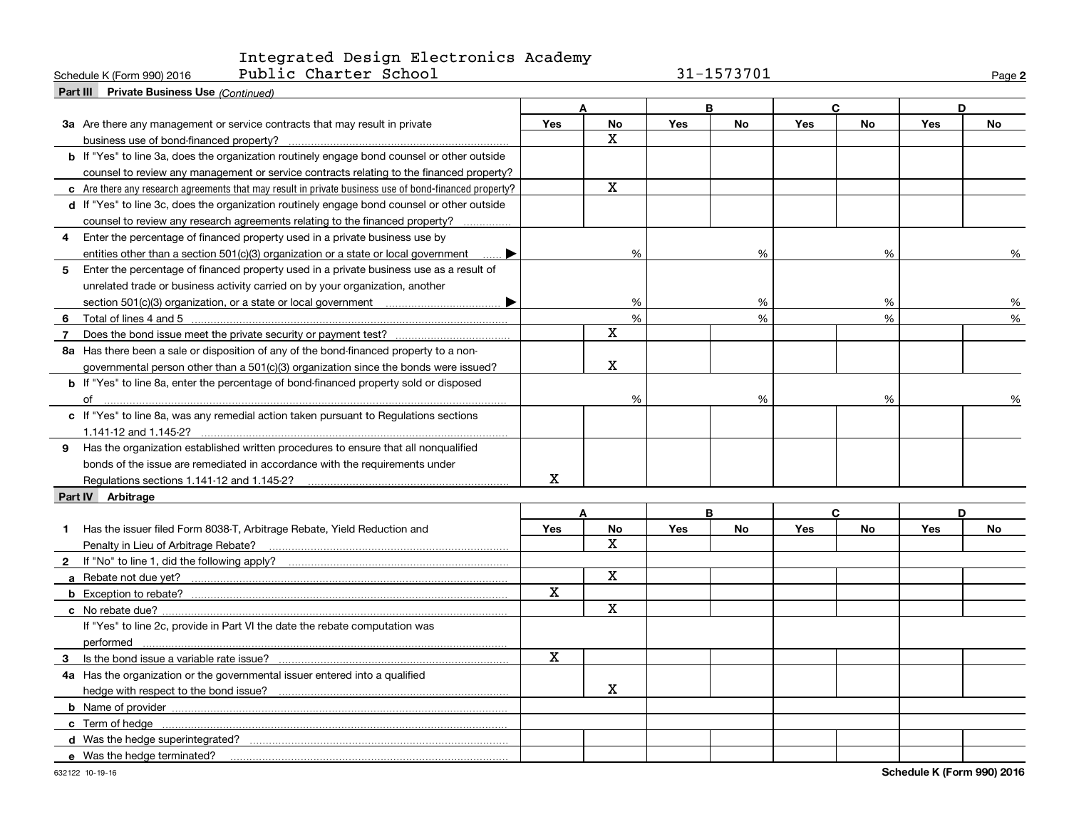Schedule K (Form 990) 2016 Page Public Charter School 31-1573701

**2**

| Part III Private Business Use (Continued)                                                              |             |                         |     |           |            |           |            |           |
|--------------------------------------------------------------------------------------------------------|-------------|-------------------------|-----|-----------|------------|-----------|------------|-----------|
|                                                                                                        |             | A                       |     | B         | C          |           | D          |           |
| 3a Are there any management or service contracts that may result in private                            | <b>Yes</b>  | <b>No</b>               | Yes | <b>No</b> | <b>Yes</b> | <b>No</b> | Yes        | No        |
| business use of bond-financed property?                                                                |             | X                       |     |           |            |           |            |           |
| <b>b</b> If "Yes" to line 3a, does the organization routinely engage bond counsel or other outside     |             |                         |     |           |            |           |            |           |
| counsel to review any management or service contracts relating to the financed property?               |             |                         |     |           |            |           |            |           |
| c Are there any research agreements that may result in private business use of bond-financed property? |             | $\mathbf X$             |     |           |            |           |            |           |
| d If "Yes" to line 3c, does the organization routinely engage bond counsel or other outside            |             |                         |     |           |            |           |            |           |
| counsel to review any research agreements relating to the financed property?                           |             |                         |     |           |            |           |            |           |
| Enter the percentage of financed property used in a private business use by<br>4                       |             |                         |     |           |            |           |            |           |
| entities other than a section 501(c)(3) organization or a state or local government<br>▶               |             | %                       |     | %         |            | %         |            | %         |
| Enter the percentage of financed property used in a private business use as a result of<br>5           |             |                         |     |           |            |           |            |           |
| unrelated trade or business activity carried on by your organization, another                          |             |                         |     |           |            |           |            |           |
| ▶                                                                                                      |             | %                       |     | %         |            | %         |            | %         |
| 6                                                                                                      |             | %                       |     | %         |            | %         |            | %         |
| 7                                                                                                      |             | X                       |     |           |            |           |            |           |
| 8a Has there been a sale or disposition of any of the bond-financed property to a non-                 |             |                         |     |           |            |           |            |           |
| governmental person other than a 501(c)(3) organization since the bonds were issued?                   |             | X                       |     |           |            |           |            |           |
| b If "Yes" to line 8a, enter the percentage of bond-financed property sold or disposed                 |             |                         |     |           |            |           |            |           |
| of                                                                                                     |             | %                       |     | %         |            | %         |            | %         |
| c If "Yes" to line 8a, was any remedial action taken pursuant to Regulations sections                  |             |                         |     |           |            |           |            |           |
|                                                                                                        |             |                         |     |           |            |           |            |           |
| 9 Has the organization established written procedures to ensure that all nonqualified                  |             |                         |     |           |            |           |            |           |
| bonds of the issue are remediated in accordance with the requirements under                            |             |                         |     |           |            |           |            |           |
|                                                                                                        | х           |                         |     |           |            |           |            |           |
| Part IV Arbitrage                                                                                      |             |                         |     |           |            |           |            |           |
|                                                                                                        |             | A                       |     | B         |            | C         |            | D         |
| Has the issuer filed Form 8038-T, Arbitrage Rebate, Yield Reduction and<br>1.                          | <b>Yes</b>  | <b>No</b>               | Yes | <b>No</b> | <b>Yes</b> | <b>No</b> | <b>Yes</b> | <b>No</b> |
|                                                                                                        |             | x                       |     |           |            |           |            |           |
| $\mathbf{2}$                                                                                           |             |                         |     |           |            |           |            |           |
|                                                                                                        |             | X                       |     |           |            |           |            |           |
|                                                                                                        | X           |                         |     |           |            |           |            |           |
|                                                                                                        |             | $\overline{\mathbf{x}}$ |     |           |            |           |            |           |
| If "Yes" to line 2c, provide in Part VI the date the rebate computation was                            |             |                         |     |           |            |           |            |           |
| performed                                                                                              |             |                         |     |           |            |           |            |           |
| 3 Is the bond issue a variable rate issue?                                                             | $\mathbf x$ |                         |     |           |            |           |            |           |
| 4a Has the organization or the governmental issuer entered into a qualified                            |             |                         |     |           |            |           |            |           |
|                                                                                                        |             | x                       |     |           |            |           |            |           |
|                                                                                                        |             |                         |     |           |            |           |            |           |
|                                                                                                        |             |                         |     |           |            |           |            |           |
|                                                                                                        |             |                         |     |           |            |           |            |           |
| e Was the hedge terminated?                                                                            |             |                         |     |           |            |           |            |           |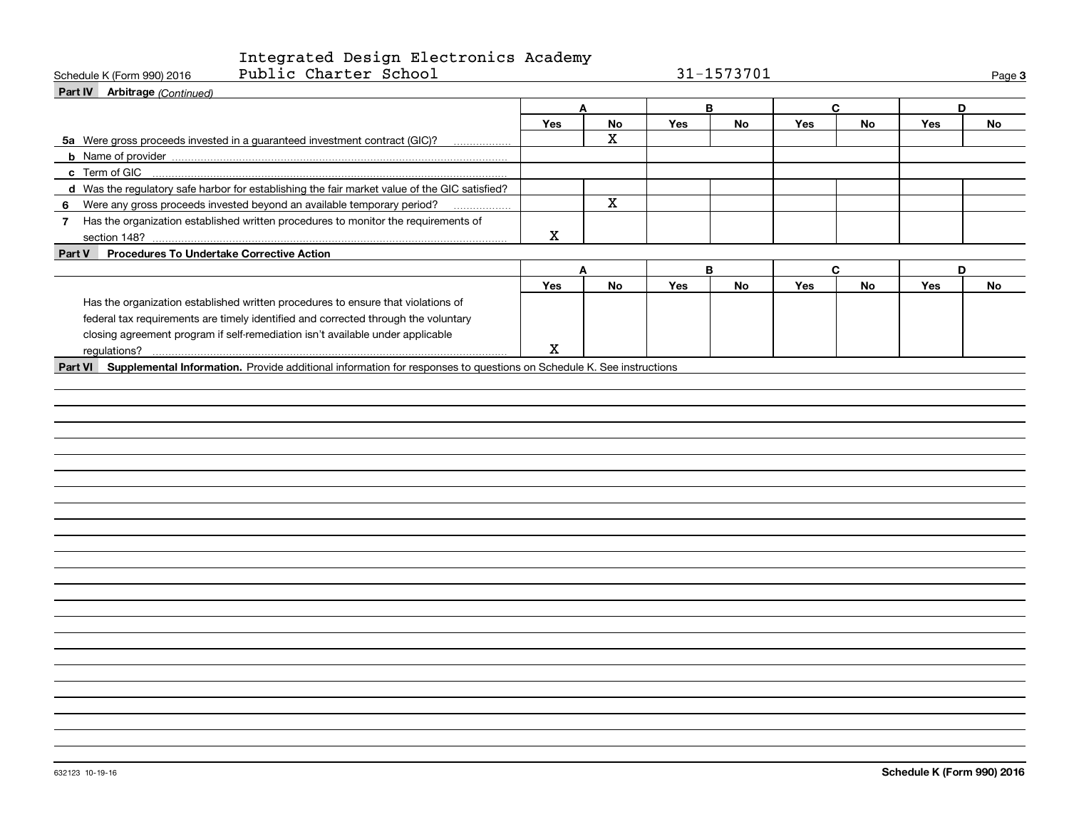| Public Charter School<br>Schedule K (Form 990) 2016                                                                         |             |                         |     | 31-1573701 |            |           |            | Page 3 |
|-----------------------------------------------------------------------------------------------------------------------------|-------------|-------------------------|-----|------------|------------|-----------|------------|--------|
| Part IV Arbitrage (Continued)                                                                                               |             |                         |     |            |            |           |            |        |
|                                                                                                                             |             | A                       |     | В          |            | C         | D          |        |
|                                                                                                                             | Yes         | No                      | Yes | No         | <b>Yes</b> | No        | <b>Yes</b> | No     |
| 5a Were gross proceeds invested in a guaranteed investment contract (GIC)?<br>.                                             |             | X                       |     |            |            |           |            |        |
|                                                                                                                             |             |                         |     |            |            |           |            |        |
| c Term of GIC                                                                                                               |             |                         |     |            |            |           |            |        |
| d Was the regulatory safe harbor for establishing the fair market value of the GIC satisfied?                               |             |                         |     |            |            |           |            |        |
| 6 Were any gross proceeds invested beyond an available temporary period?                                                    |             | $\overline{\mathbf{x}}$ |     |            |            |           |            |        |
| 7 Has the organization established written procedures to monitor the requirements of                                        |             |                         |     |            |            |           |            |        |
|                                                                                                                             | $\mathbf X$ |                         |     |            |            |           |            |        |
| Part V Procedures To Undertake Corrective Action                                                                            |             |                         |     |            |            |           |            |        |
|                                                                                                                             |             | A                       |     | B          |            | C         | D          |        |
|                                                                                                                             | Yes         | No                      | Yes | <b>No</b>  | <b>Yes</b> | <b>No</b> | <b>Yes</b> | No     |
| Has the organization established written procedures to ensure that violations of                                            |             |                         |     |            |            |           |            |        |
| federal tax requirements are timely identified and corrected through the voluntary                                          |             |                         |     |            |            |           |            |        |
| closing agreement program if self-remediation isn't available under applicable                                              |             |                         |     |            |            |           |            |        |
|                                                                                                                             | X           |                         |     |            |            |           |            |        |
| Part VI Supplemental Information. Provide additional information for responses to questions on Schedule K. See instructions |             |                         |     |            |            |           |            |        |
|                                                                                                                             |             |                         |     |            |            |           |            |        |
|                                                                                                                             |             |                         |     |            |            |           |            |        |
|                                                                                                                             |             |                         |     |            |            |           |            |        |
|                                                                                                                             |             |                         |     |            |            |           |            |        |
|                                                                                                                             |             |                         |     |            |            |           |            |        |
|                                                                                                                             |             |                         |     |            |            |           |            |        |
|                                                                                                                             |             |                         |     |            |            |           |            |        |
|                                                                                                                             |             |                         |     |            |            |           |            |        |
|                                                                                                                             |             |                         |     |            |            |           |            |        |
|                                                                                                                             |             |                         |     |            |            |           |            |        |
|                                                                                                                             |             |                         |     |            |            |           |            |        |
|                                                                                                                             |             |                         |     |            |            |           |            |        |
|                                                                                                                             |             |                         |     |            |            |           |            |        |
|                                                                                                                             |             |                         |     |            |            |           |            |        |
|                                                                                                                             |             |                         |     |            |            |           |            |        |
|                                                                                                                             |             |                         |     |            |            |           |            |        |
|                                                                                                                             |             |                         |     |            |            |           |            |        |
|                                                                                                                             |             |                         |     |            |            |           |            |        |
|                                                                                                                             |             |                         |     |            |            |           |            |        |
|                                                                                                                             |             |                         |     |            |            |           |            |        |
|                                                                                                                             |             |                         |     |            |            |           |            |        |
|                                                                                                                             |             |                         |     |            |            |           |            |        |
|                                                                                                                             |             |                         |     |            |            |           |            |        |
|                                                                                                                             |             |                         |     |            |            |           |            |        |
|                                                                                                                             |             |                         |     |            |            |           |            |        |